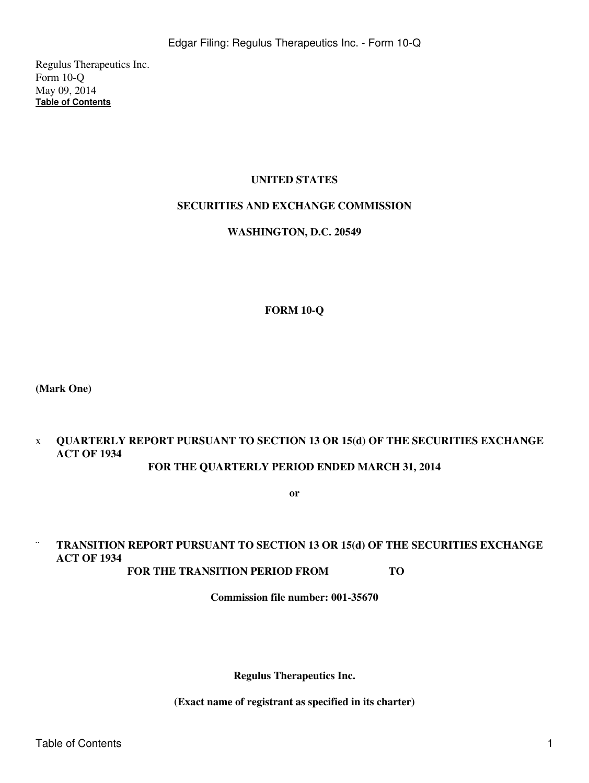Regulus Therapeutics Inc. Form 10-Q May 09, 2014 **[Table of Contents](#page-2-0)**

# **UNITED STATES**

#### **SECURITIES AND EXCHANGE COMMISSION**

#### **WASHINGTON, D.C. 20549**

#### **FORM 10-Q**

**(Mark One)**

### x **QUARTERLY REPORT PURSUANT TO SECTION 13 OR 15(d) OF THE SECURITIES EXCHANGE ACT OF 1934 FOR THE QUARTERLY PERIOD ENDED MARCH 31, 2014**

**or**

# ¨ **TRANSITION REPORT PURSUANT TO SECTION 13 OR 15(d) OF THE SECURITIES EXCHANGE ACT OF 1934**

**FOR THE TRANSITION PERIOD FROM TO** 

**Commission file number: 001-35670**

**Regulus Therapeutics Inc.**

**(Exact name of registrant as specified in its charter)**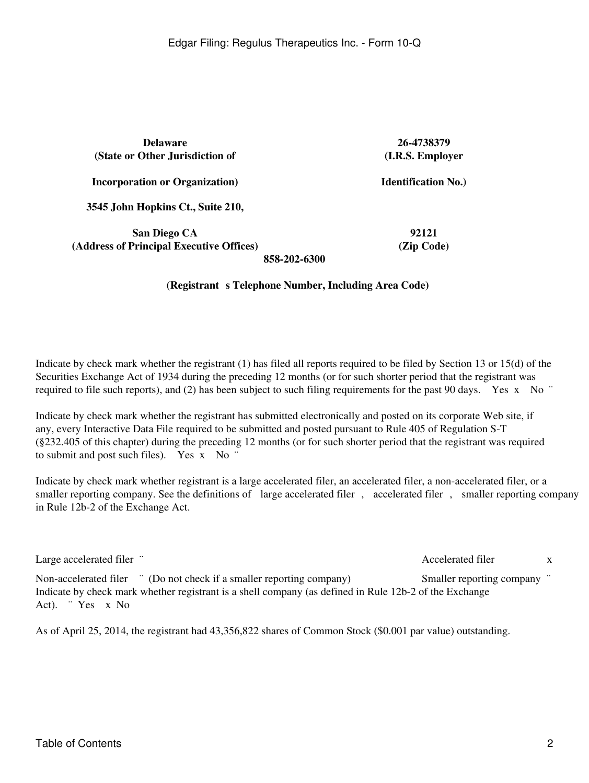**Delaware 26-4738379 (State or Other Jurisdiction of**

**(I.R.S. Employer**

**Identification No.)**

**Incorporation or Organization)**

**3545 John Hopkins Ct., Suite 210,**

**San Diego CA 92121 (Address of Principal Executive Offices) (Zip Code)**

**858-202-6300**

#### (Registrant s Telephone Number, Including Area Code)

Indicate by check mark whether the registrant (1) has filed all reports required to be filed by Section 13 or 15(d) of the Securities Exchange Act of 1934 during the preceding 12 months (or for such shorter period that the registrant was required to file such reports), and (2) has been subject to such filing requirements for the past 90 days. Yes x No  $\degree$ 

Indicate by check mark whether the registrant has submitted electronically and posted on its corporate Web site, if any, every Interactive Data File required to be submitted and posted pursuant to Rule 405 of Regulation S-T (§232.405 of this chapter) during the preceding 12 months (or for such shorter period that the registrant was required to submit and post such files). Yes x No "

Indicate by check mark whether registrant is a large accelerated filer, an accelerated filer, a non-accelerated filer, or a smaller reporting company. See the definitions of large accelerated filer, accelerated filer, smaller reporting company in Rule 12b-2 of the Exchange Act.

| Large accelerated filer "                                                                              | Accelerated filer           | $\mathbf{x}$ |
|--------------------------------------------------------------------------------------------------------|-----------------------------|--------------|
| Non-accelerated filer <sup>"</sup> (Do not check if a smaller reporting company)                       | Smaller reporting company " |              |
| Indicate by check mark whether registrant is a shell company (as defined in Rule 12b-2 of the Exchange |                             |              |
| Act). $Yes \times No$                                                                                  |                             |              |

As of April 25, 2014, the registrant had 43,356,822 shares of Common Stock (\$0.001 par value) outstanding.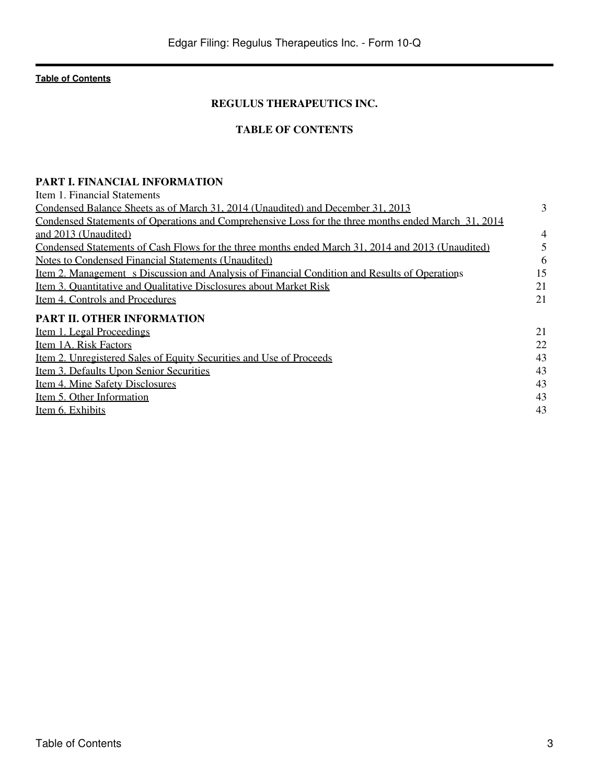# **REGULUS THERAPEUTICS INC.**

# **TABLE OF CONTENTS**

# <span id="page-2-0"></span>**PART I. FINANCIAL INFORMATION**

| Item 1. Financial Statements                                                                         |    |
|------------------------------------------------------------------------------------------------------|----|
| Condensed Balance Sheets as of March 31, 2014 (Unaudited) and December 31, 2013                      | 3  |
| Condensed Statements of Operations and Comprehensive Loss for the three months ended March 31, 2014  |    |
| and 2013 (Unaudited)                                                                                 | 4  |
| Condensed Statements of Cash Flows for the three months ended March 31, 2014 and 2013 (Unaudited)    | 5  |
| Notes to Condensed Financial Statements (Unaudited)                                                  | 6  |
| <u>Item 2. Management s Discussion and Analysis of Financial Condition and Results of Operations</u> | 15 |
| Item 3. Quantitative and Qualitative Disclosures about Market Risk                                   | 21 |
| Item 4. Controls and Procedures                                                                      | 21 |
| PART II. OTHER INFORMATION                                                                           |    |
| <u>Item 1. Legal Proceedings</u>                                                                     | 21 |
| Item 1A. Risk Factors                                                                                | 22 |
| <u>Item 2. Unregistered Sales of Equity Securities and Use of Proceeds</u>                           | 43 |
| <u>Item 3. Defaults Upon Senior Securities</u>                                                       | 43 |
| Item 4. Mine Safety Disclosures                                                                      | 43 |
| Item 5. Other Information                                                                            | 43 |
| Item 6. Exhibits                                                                                     | 43 |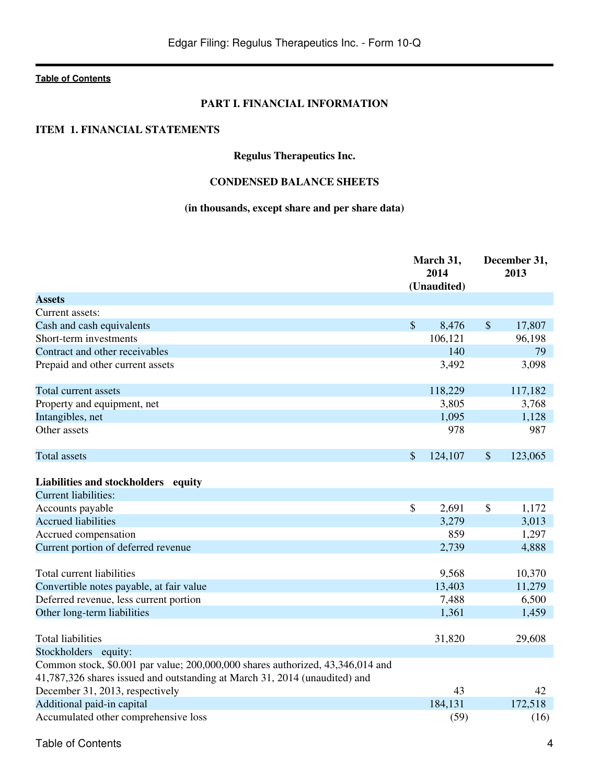# **PART I. FINANCIAL INFORMATION**

## <span id="page-3-0"></span>**ITEM 1. FINANCIAL STATEMENTS**

# **Regulus Therapeutics Inc.**

# **CONDENSED BALANCE SHEETS**

# **(in thousands, except share and per share data)**

|                                                                                | March 31,<br>2014 |                    | December 31,<br>2013 |  |
|--------------------------------------------------------------------------------|-------------------|--------------------|----------------------|--|
| <b>Assets</b>                                                                  | (Unaudited)       |                    |                      |  |
| Current assets:                                                                |                   |                    |                      |  |
| Cash and cash equivalents                                                      | \$<br>8,476       | $\mathbf{\hat{S}}$ | 17,807               |  |
| Short-term investments                                                         | 106,121           |                    | 96,198               |  |
| Contract and other receivables                                                 | 140               |                    | 79                   |  |
| Prepaid and other current assets                                               | 3,492             |                    | 3,098                |  |
| Total current assets                                                           | 118,229           |                    | 117,182              |  |
| Property and equipment, net                                                    | 3,805             |                    | 3,768                |  |
| Intangibles, net                                                               | 1,095             |                    | 1,128                |  |
| Other assets                                                                   | 978               |                    | 987                  |  |
| Total assets                                                                   | \$<br>124,107     | \$                 | 123,065              |  |
| Liabilities and stockholders equity                                            |                   |                    |                      |  |
| <b>Current liabilities:</b>                                                    |                   |                    |                      |  |
| Accounts payable                                                               | \$<br>2,691       | \$                 | 1,172                |  |
| <b>Accrued liabilities</b>                                                     | 3,279             |                    | 3,013                |  |
| Accrued compensation                                                           | 859               |                    | 1,297                |  |
| Current portion of deferred revenue                                            | 2,739             |                    | 4,888                |  |
| Total current liabilities                                                      | 9,568             |                    | 10,370               |  |
| Convertible notes payable, at fair value                                       | 13,403            |                    | 11,279               |  |
| Deferred revenue, less current portion                                         | 7,488             |                    | 6,500                |  |
| Other long-term liabilities                                                    | 1,361             |                    | 1,459                |  |
| <b>Total liabilities</b>                                                       | 31,820            |                    | 29,608               |  |
| Stockholders equity:                                                           |                   |                    |                      |  |
| Common stock, \$0.001 par value; 200,000,000 shares authorized, 43,346,014 and |                   |                    |                      |  |
| 41,787,326 shares issued and outstanding at March 31, 2014 (unaudited) and     |                   |                    |                      |  |
| December 31, 2013, respectively                                                | 43                |                    | 42                   |  |
| Additional paid-in capital                                                     | 184,131           |                    | 172,518              |  |
| Accumulated other comprehensive loss                                           | (59)              |                    | (16)                 |  |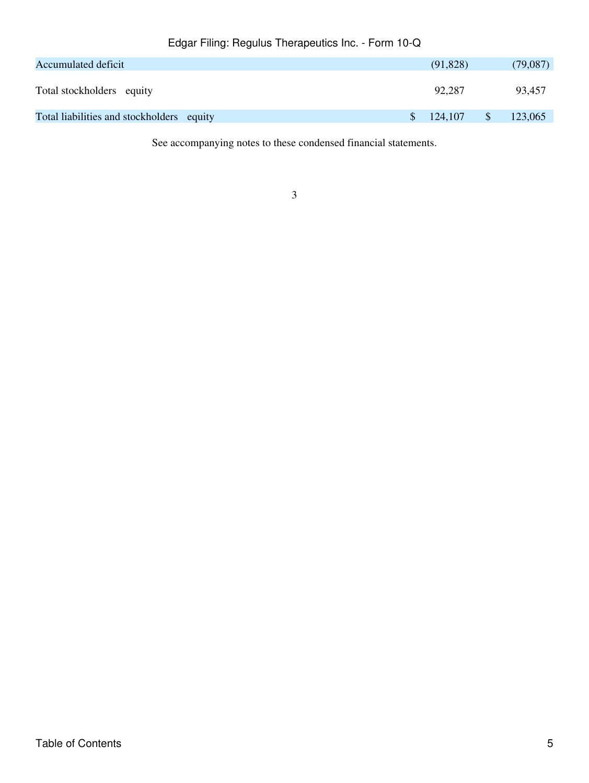| Accumulated deficit                       |  |  |     | (91, 828) | (79,087) |
|-------------------------------------------|--|--|-----|-----------|----------|
| Total stockholders equity                 |  |  |     | 92.287    | 93,457   |
| Total liabilities and stockholders equity |  |  | \$. | 124,107   | 123,065  |

See accompanying notes to these condensed financial statements.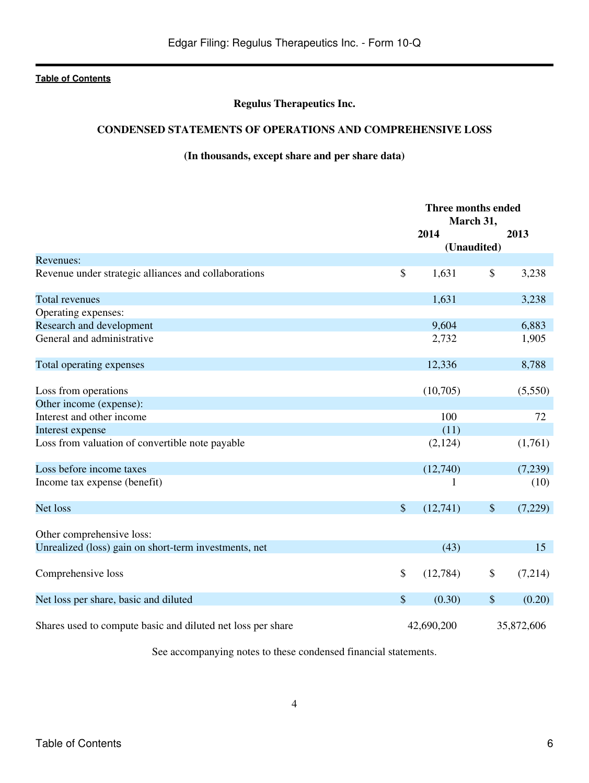# **Regulus Therapeutics Inc.**

# <span id="page-5-0"></span>**CONDENSED STATEMENTS OF OPERATIONS AND COMPREHENSIVE LOSS**

# **(In thousands, except share and per share data)**

|                                                             | Three months ended<br>March 31, |                           |            |
|-------------------------------------------------------------|---------------------------------|---------------------------|------------|
|                                                             | 2014                            |                           | 2013       |
|                                                             | (Unaudited)                     |                           |            |
| Revenues:                                                   |                                 |                           |            |
| Revenue under strategic alliances and collaborations        | \$<br>1,631                     | \$                        | 3,238      |
| <b>Total revenues</b>                                       | 1,631                           |                           | 3,238      |
| Operating expenses:                                         |                                 |                           |            |
| Research and development                                    | 9,604                           |                           | 6,883      |
| General and administrative                                  | 2,732                           |                           | 1,905      |
| Total operating expenses                                    | 12,336                          |                           | 8,788      |
|                                                             |                                 |                           |            |
| Loss from operations                                        | (10,705)                        |                           | (5,550)    |
| Other income (expense):                                     |                                 |                           |            |
| Interest and other income                                   | 100                             |                           | 72         |
| Interest expense                                            | (11)                            |                           |            |
| Loss from valuation of convertible note payable             | (2,124)                         |                           | (1,761)    |
| Loss before income taxes                                    | (12,740)                        |                           | (7,239)    |
| Income tax expense (benefit)                                | 1                               |                           | (10)       |
| Net loss                                                    | \$<br>(12,741)                  | $\$$                      | (7,229)    |
| Other comprehensive loss:                                   |                                 |                           |            |
| Unrealized (loss) gain on short-term investments, net       | (43)                            |                           | 15         |
| Comprehensive loss                                          | \$<br>(12,784)                  | \$                        | (7,214)    |
| Net loss per share, basic and diluted                       | \$<br>(0.30)                    | $\boldsymbol{\mathsf{S}}$ | (0.20)     |
| Shares used to compute basic and diluted net loss per share | 42,690,200                      |                           | 35,872,606 |

See accompanying notes to these condensed financial statements.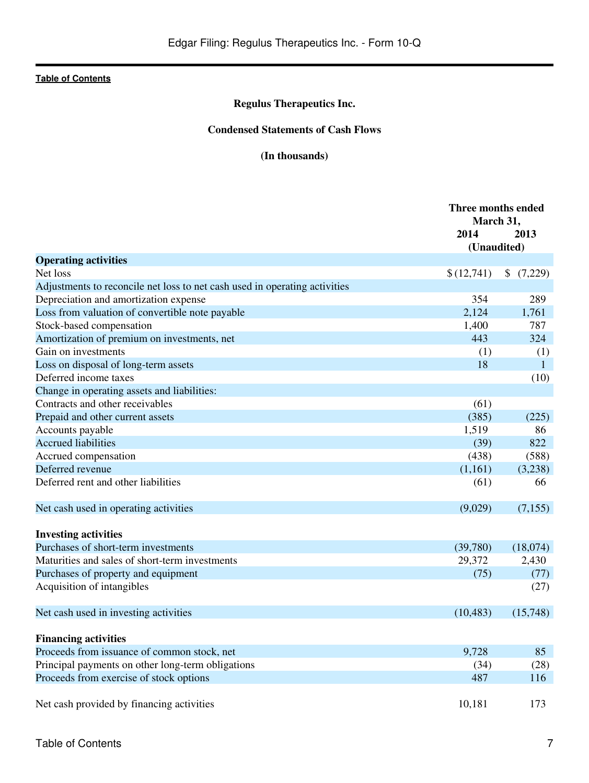# **Regulus Therapeutics Inc.**

# **Condensed Statements of Cash Flows**

# **(In thousands)**

<span id="page-6-0"></span>

|                                                                                | Three months ended<br>March 31, |                     |  |
|--------------------------------------------------------------------------------|---------------------------------|---------------------|--|
|                                                                                | 2014                            | 2013                |  |
|                                                                                | (Unaudited)                     |                     |  |
| <b>Operating activities</b><br>Net loss                                        |                                 |                     |  |
| Adjustments to reconcile net loss to net cash used in operating activities     | \$(12,741)                      | \$(7,229)           |  |
| Depreciation and amortization expense                                          | 354                             | 289                 |  |
| Loss from valuation of convertible note payable                                | 2,124                           | 1,761               |  |
| Stock-based compensation                                                       | 1,400                           | 787                 |  |
|                                                                                | 443                             | 324                 |  |
| Amortization of premium on investments, net<br>Gain on investments             |                                 |                     |  |
| Loss on disposal of long-term assets                                           | (1)<br>18                       | (1)<br>$\mathbf{1}$ |  |
| Deferred income taxes                                                          |                                 |                     |  |
|                                                                                |                                 | (10)                |  |
| Change in operating assets and liabilities:<br>Contracts and other receivables | (61)                            |                     |  |
|                                                                                |                                 |                     |  |
| Prepaid and other current assets                                               | (385)<br>1,519                  | (225)<br>86         |  |
| Accounts payable<br><b>Accrued liabilities</b>                                 |                                 | 822                 |  |
|                                                                                | (39)                            |                     |  |
| Accrued compensation<br>Deferred revenue                                       | (438)                           | (588)               |  |
|                                                                                | (1,161)                         | (3,238)             |  |
| Deferred rent and other liabilities                                            | (61)                            | 66                  |  |
| Net cash used in operating activities                                          | (9,029)                         | (7, 155)            |  |
| <b>Investing activities</b>                                                    |                                 |                     |  |
| Purchases of short-term investments                                            | (39,780)                        | (18,074)            |  |
| Maturities and sales of short-term investments                                 | 29,372                          | 2,430               |  |
| Purchases of property and equipment                                            | (75)                            | (77)                |  |
| Acquisition of intangibles                                                     |                                 | (27)                |  |
|                                                                                |                                 |                     |  |
| Net cash used in investing activities                                          | (10, 483)                       | (15,748)            |  |
| <b>Financing activities</b>                                                    |                                 |                     |  |
| Proceeds from issuance of common stock, net                                    | 9,728                           | 85                  |  |
| Principal payments on other long-term obligations                              | (34)                            | (28)                |  |
| Proceeds from exercise of stock options                                        | 487                             | 116                 |  |
|                                                                                |                                 |                     |  |
| Net cash provided by financing activities                                      | 10,181                          | 173                 |  |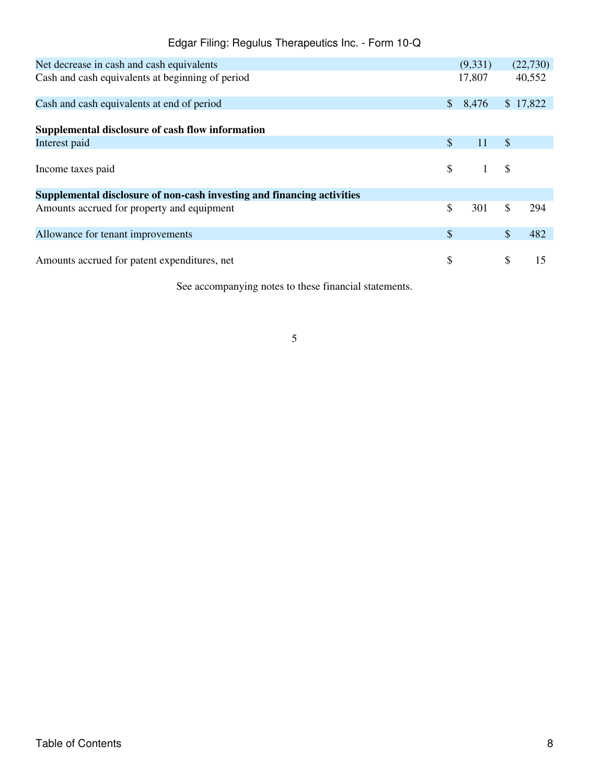| Edgar Filing: Regulus Therapeutics Inc. - Form 10-Q |                    |          |
|-----------------------------------------------------|--------------------|----------|
| Net decrease in cash and cash equivalents           | (9.331)            | (22,730) |
| Cash and cash equivalents at beginning of period    | 17.807             | 40.552   |
| Cash and cash equivalents at end of period          | $$8,476$ $$17,822$ |          |

| CWOIL WILD COULD COURT WICKING ON CHAR OF POSTOR                       |                |                                                            |               |     |
|------------------------------------------------------------------------|----------------|------------------------------------------------------------|---------------|-----|
| Supplemental disclosure of cash flow information                       |                |                                                            |               |     |
|                                                                        |                |                                                            |               |     |
| Interest paid                                                          | $\mathbb{S}$   | 11                                                         | $\mathcal{S}$ |     |
|                                                                        |                |                                                            |               |     |
| Income taxes paid                                                      |                | $\begin{array}{ccc} \text{\$} & 1 & \text{\$} \end{array}$ |               |     |
|                                                                        |                |                                                            |               |     |
| Supplemental disclosure of non-cash investing and financing activities |                |                                                            |               |     |
| Amounts accrued for property and equipment                             | $\mathbb{S}^-$ | $301 \quad \text{S}$                                       |               | 294 |
|                                                                        |                |                                                            |               |     |
| Allowance for tenant improvements                                      | \$             |                                                            |               | 482 |
|                                                                        |                |                                                            |               |     |
|                                                                        |                |                                                            |               |     |

Amounts accrued for patent expenditures, net  $\qquad$  \$  $\qquad$  15

See accompanying notes to these financial statements.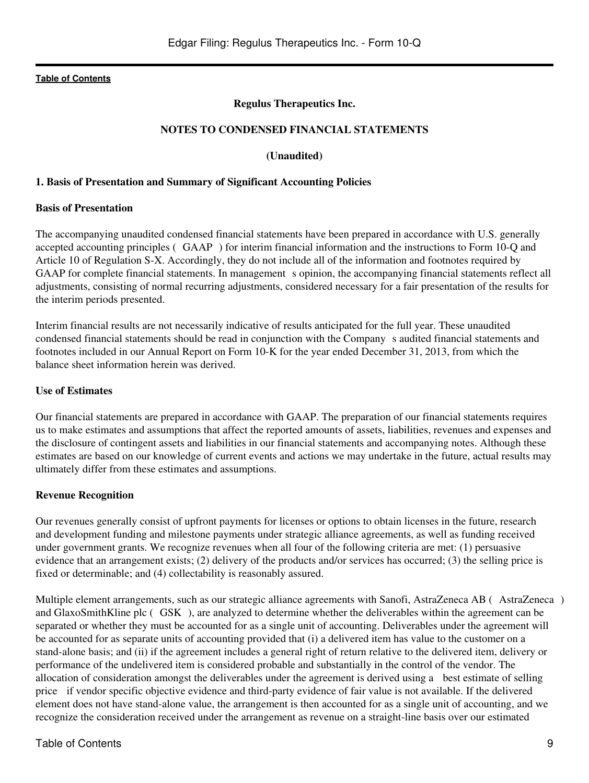### **Regulus Therapeutics Inc.**

### **NOTES TO CONDENSED FINANCIAL STATEMENTS**

#### **(Unaudited)**

#### <span id="page-8-0"></span>**1. Basis of Presentation and Summary of Significant Accounting Policies**

#### **Basis of Presentation**

The accompanying unaudited condensed financial statements have been prepared in accordance with U.S. generally accepted accounting principles (GAAP) for interim financial information and the instructions to Form 10-Q and Article 10 of Regulation S-X. Accordingly, they do not include all of the information and footnotes required by GAAP for complete financial statements. In management s opinion, the accompanying financial statements reflect all adjustments, consisting of normal recurring adjustments, considered necessary for a fair presentation of the results for the interim periods presented.

Interim financial results are not necessarily indicative of results anticipated for the full year. These unaudited condensed financial statements should be read in conjunction with the Companys audited financial statements and footnotes included in our Annual Report on Form 10-K for the year ended December 31, 2013, from which the balance sheet information herein was derived.

#### **Use of Estimates**

Our financial statements are prepared in accordance with GAAP. The preparation of our financial statements requires us to make estimates and assumptions that affect the reported amounts of assets, liabilities, revenues and expenses and the disclosure of contingent assets and liabilities in our financial statements and accompanying notes. Although these estimates are based on our knowledge of current events and actions we may undertake in the future, actual results may ultimately differ from these estimates and assumptions.

#### **Revenue Recognition**

Our revenues generally consist of upfront payments for licenses or options to obtain licenses in the future, research and development funding and milestone payments under strategic alliance agreements, as well as funding received under government grants. We recognize revenues when all four of the following criteria are met: (1) persuasive evidence that an arrangement exists; (2) delivery of the products and/or services has occurred; (3) the selling price is fixed or determinable; and (4) collectability is reasonably assured.

Multiple element arrangements, such as our strategic alliance agreements with Sanofi, AstraZeneca AB (AstraZeneca) and GlaxoSmithKline plc (GSK), are analyzed to determine whether the deliverables within the agreement can be separated or whether they must be accounted for as a single unit of accounting. Deliverables under the agreement will be accounted for as separate units of accounting provided that (i) a delivered item has value to the customer on a stand-alone basis; and (ii) if the agreement includes a general right of return relative to the delivered item, delivery or performance of the undelivered item is considered probable and substantially in the control of the vendor. The allocation of consideration amongst the deliverables under the agreement is derived using a best estimate of selling price if vendor specific objective evidence and third-party evidence of fair value is not available. If the delivered element does not have stand-alone value, the arrangement is then accounted for as a single unit of accounting, and we recognize the consideration received under the arrangement as revenue on a straight-line basis over our estimated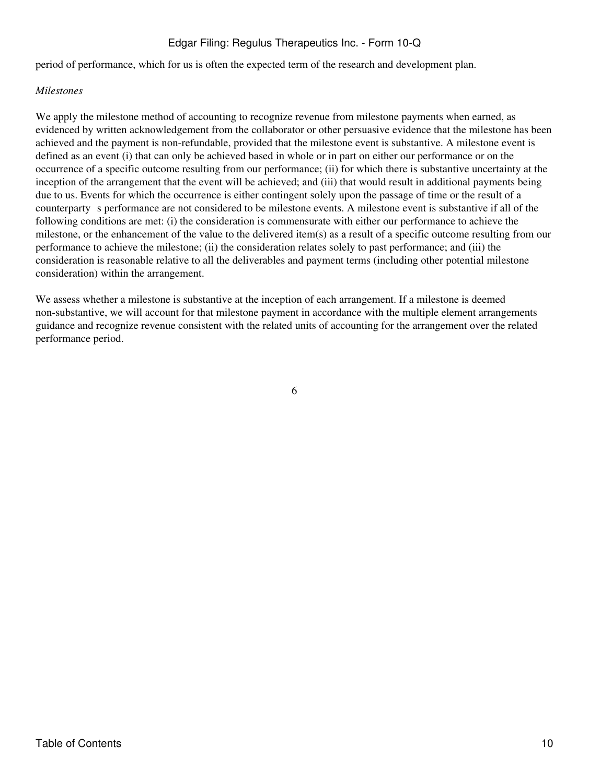period of performance, which for us is often the expected term of the research and development plan.

### *Milestones*

We apply the milestone method of accounting to recognize revenue from milestone payments when earned, as evidenced by written acknowledgement from the collaborator or other persuasive evidence that the milestone has been achieved and the payment is non-refundable, provided that the milestone event is substantive. A milestone event is defined as an event (i) that can only be achieved based in whole or in part on either our performance or on the occurrence of a specific outcome resulting from our performance; (ii) for which there is substantive uncertainty at the inception of the arrangement that the event will be achieved; and (iii) that would result in additional payments being due to us. Events for which the occurrence is either contingent solely upon the passage of time or the result of a counterparty s performance are not considered to be milestone events. A milestone event is substantive if all of the following conditions are met: (i) the consideration is commensurate with either our performance to achieve the milestone, or the enhancement of the value to the delivered item(s) as a result of a specific outcome resulting from our performance to achieve the milestone; (ii) the consideration relates solely to past performance; and (iii) the consideration is reasonable relative to all the deliverables and payment terms (including other potential milestone consideration) within the arrangement.

We assess whether a milestone is substantive at the inception of each arrangement. If a milestone is deemed non-substantive, we will account for that milestone payment in accordance with the multiple element arrangements guidance and recognize revenue consistent with the related units of accounting for the arrangement over the related performance period.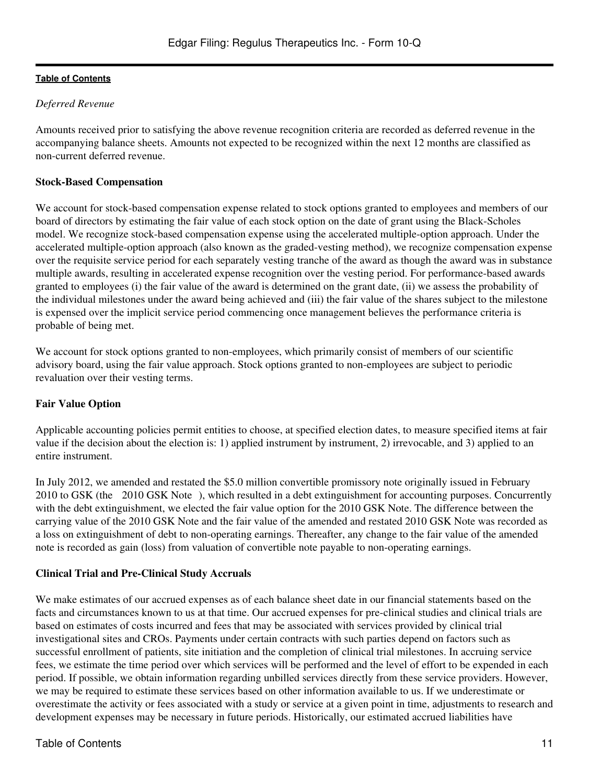# *Deferred Revenue*

Amounts received prior to satisfying the above revenue recognition criteria are recorded as deferred revenue in the accompanying balance sheets. Amounts not expected to be recognized within the next 12 months are classified as non-current deferred revenue.

### **Stock-Based Compensation**

We account for stock-based compensation expense related to stock options granted to employees and members of our board of directors by estimating the fair value of each stock option on the date of grant using the Black-Scholes model. We recognize stock-based compensation expense using the accelerated multiple-option approach. Under the accelerated multiple-option approach (also known as the graded-vesting method), we recognize compensation expense over the requisite service period for each separately vesting tranche of the award as though the award was in substance multiple awards, resulting in accelerated expense recognition over the vesting period. For performance-based awards granted to employees (i) the fair value of the award is determined on the grant date, (ii) we assess the probability of the individual milestones under the award being achieved and (iii) the fair value of the shares subject to the milestone is expensed over the implicit service period commencing once management believes the performance criteria is probable of being met.

We account for stock options granted to non-employees, which primarily consist of members of our scientific advisory board, using the fair value approach. Stock options granted to non-employees are subject to periodic revaluation over their vesting terms.

# **Fair Value Option**

Applicable accounting policies permit entities to choose, at specified election dates, to measure specified items at fair value if the decision about the election is: 1) applied instrument by instrument, 2) irrevocable, and 3) applied to an entire instrument.

In July 2012, we amended and restated the \$5.0 million convertible promissory note originally issued in February 2010 to GSK (the 2010 GSK Note), which resulted in a debt extinguishment for accounting purposes. Concurrently with the debt extinguishment, we elected the fair value option for the 2010 GSK Note. The difference between the carrying value of the 2010 GSK Note and the fair value of the amended and restated 2010 GSK Note was recorded as a loss on extinguishment of debt to non-operating earnings. Thereafter, any change to the fair value of the amended note is recorded as gain (loss) from valuation of convertible note payable to non-operating earnings.

# **Clinical Trial and Pre-Clinical Study Accruals**

We make estimates of our accrued expenses as of each balance sheet date in our financial statements based on the facts and circumstances known to us at that time. Our accrued expenses for pre-clinical studies and clinical trials are based on estimates of costs incurred and fees that may be associated with services provided by clinical trial investigational sites and CROs. Payments under certain contracts with such parties depend on factors such as successful enrollment of patients, site initiation and the completion of clinical trial milestones. In accruing service fees, we estimate the time period over which services will be performed and the level of effort to be expended in each period. If possible, we obtain information regarding unbilled services directly from these service providers. However, we may be required to estimate these services based on other information available to us. If we underestimate or overestimate the activity or fees associated with a study or service at a given point in time, adjustments to research and development expenses may be necessary in future periods. Historically, our estimated accrued liabilities have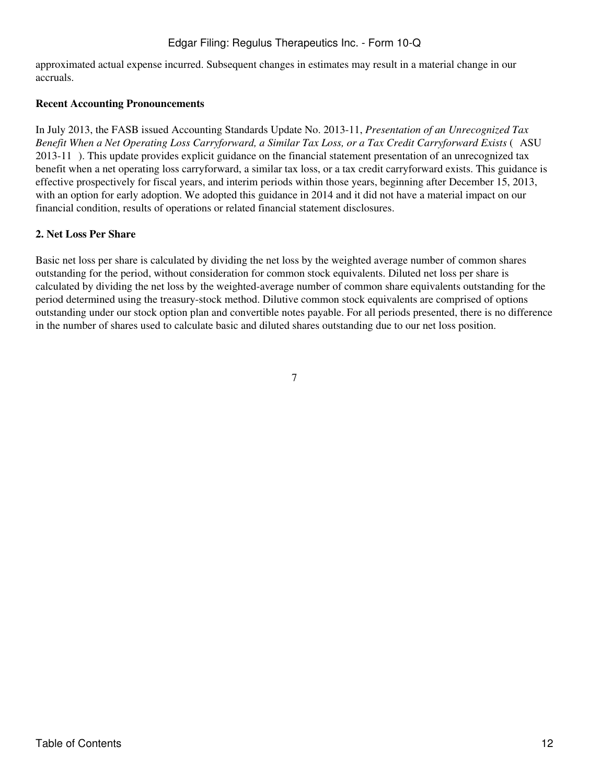approximated actual expense incurred. Subsequent changes in estimates may result in a material change in our accruals.

#### **Recent Accounting Pronouncements**

In July 2013, the FASB issued Accounting Standards Update No. 2013-11, *Presentation of an Unrecognized Tax Benefit When a Net Operating Loss Carryforward, a Similar Tax Loss, or a Tax Credit Carryforward Exists* (ASU 2013-11). This update provides explicit guidance on the financial statement presentation of an unrecognized tax benefit when a net operating loss carryforward, a similar tax loss, or a tax credit carryforward exists. This guidance is effective prospectively for fiscal years, and interim periods within those years, beginning after December 15, 2013, with an option for early adoption. We adopted this guidance in 2014 and it did not have a material impact on our financial condition, results of operations or related financial statement disclosures.

#### **2. Net Loss Per Share**

Basic net loss per share is calculated by dividing the net loss by the weighted average number of common shares outstanding for the period, without consideration for common stock equivalents. Diluted net loss per share is calculated by dividing the net loss by the weighted-average number of common share equivalents outstanding for the period determined using the treasury-stock method. Dilutive common stock equivalents are comprised of options outstanding under our stock option plan and convertible notes payable. For all periods presented, there is no difference in the number of shares used to calculate basic and diluted shares outstanding due to our net loss position.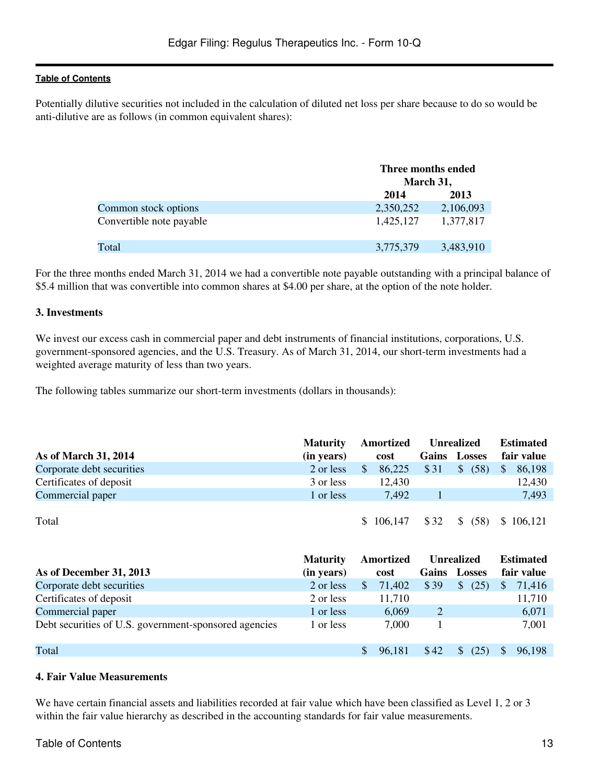Potentially dilutive securities not included in the calculation of diluted net loss per share because to do so would be anti-dilutive are as follows (in common equivalent shares):

|                          | Three months ended<br>March 31, |           |
|--------------------------|---------------------------------|-----------|
|                          | 2014                            | 2013      |
| Common stock options     | 2,350,252                       | 2,106,093 |
| Convertible note payable | 1,425,127                       | 1,377,817 |
| Total                    | 3,775,379                       | 3,483,910 |

For the three months ended March 31, 2014 we had a convertible note payable outstanding with a principal balance of \$5.4 million that was convertible into common shares at \$4.00 per share, at the option of the note holder.

### **3. Investments**

We invest our excess cash in commercial paper and debt instruments of financial institutions, corporations, U.S. government-sponsored agencies, and the U.S. Treasury. As of March 31, 2014, our short-term investments had a weighted average maturity of less than two years.

The following tables summarize our short-term investments (dollars in thousands):

|                           | <b>Maturity</b> | Amortized<br>Unrealized |           |      |                       | <b>Estimated</b>       |  |
|---------------------------|-----------------|-------------------------|-----------|------|-----------------------|------------------------|--|
| As of March 31, 2014      | (in years)      |                         | cost      |      | Gains Losses          | fair value             |  |
| Corporate debt securities | 2 or less       | S                       | 86,225    | \$31 | $\mathcal{S}$<br>(58) | 86,198<br><sup>S</sup> |  |
| Certificates of deposit   | 3 or less       |                         | 12.430    |      |                       | 12,430                 |  |
| Commercial paper          | 1 or less       |                         | 7.492     |      |                       | 7,493                  |  |
|                           |                 |                         |           |      |                       |                        |  |
| Total                     |                 |                         | \$106,147 | \$32 | $\mathcal{S}$<br>(58) | \$106,121              |  |

|                                                       | <b>Maturity</b> | Amortized |        |                | <b>Unrealized</b>     | <b>Estimated</b> |            |  |
|-------------------------------------------------------|-----------------|-----------|--------|----------------|-----------------------|------------------|------------|--|
| As of December 31, 2013                               | (in years)      |           | cost   | Gains          | <b>Losses</b>         |                  | fair value |  |
| Corporate debt securities                             | 2 or less       |           | 71,402 | \$39           | <sup>\$</sup><br>(25) |                  | 71,416     |  |
| Certificates of deposit                               | 2 or less       |           | 11,710 |                |                       |                  | 11,710     |  |
| Commercial paper                                      | 1 or less       |           | 6,069  | $\overline{2}$ |                       |                  | 6,071      |  |
| Debt securities of U.S. government-sponsored agencies | 1 or less       |           | 7.000  |                |                       |                  | 7,001      |  |
| Total                                                 |                 |           | 96.181 | \$42           | (25                   |                  | 96,198     |  |

#### **4. Fair Value Measurements**

We have certain financial assets and liabilities recorded at fair value which have been classified as Level 1, 2 or 3 within the fair value hierarchy as described in the accounting standards for fair value measurements.

# Table of Contents 13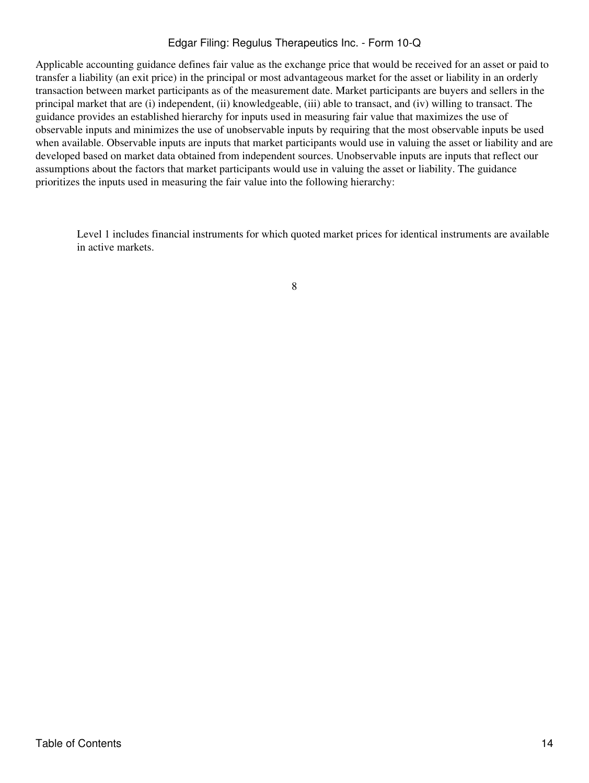Applicable accounting guidance defines fair value as the exchange price that would be received for an asset or paid to transfer a liability (an exit price) in the principal or most advantageous market for the asset or liability in an orderly transaction between market participants as of the measurement date. Market participants are buyers and sellers in the principal market that are (i) independent, (ii) knowledgeable, (iii) able to transact, and (iv) willing to transact. The guidance provides an established hierarchy for inputs used in measuring fair value that maximizes the use of observable inputs and minimizes the use of unobservable inputs by requiring that the most observable inputs be used when available. Observable inputs are inputs that market participants would use in valuing the asset or liability and are developed based on market data obtained from independent sources. Unobservable inputs are inputs that reflect our assumptions about the factors that market participants would use in valuing the asset or liability. The guidance prioritizes the inputs used in measuring the fair value into the following hierarchy:

Level 1 includes financial instruments for which quoted market prices for identical instruments are available in active markets.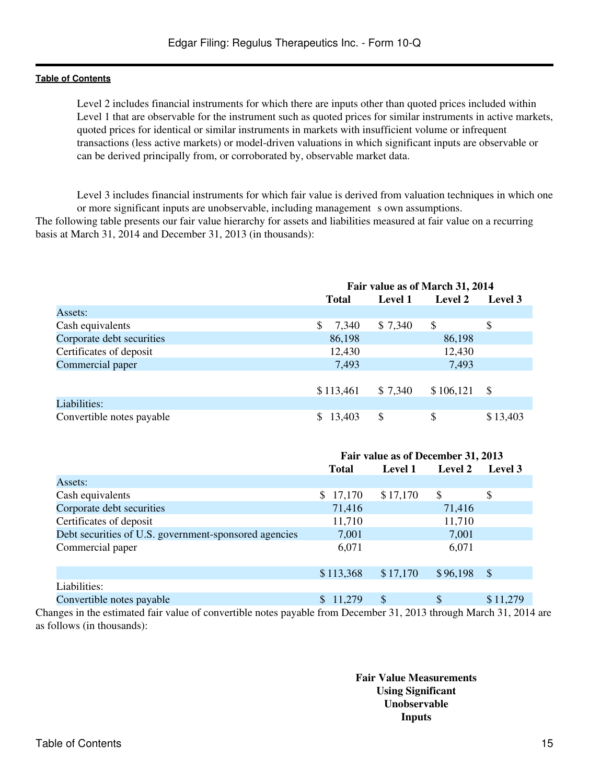Level 2 includes financial instruments for which there are inputs other than quoted prices included within Level 1 that are observable for the instrument such as quoted prices for similar instruments in active markets, quoted prices for identical or similar instruments in markets with insufficient volume or infrequent transactions (less active markets) or model-driven valuations in which significant inputs are observable or can be derived principally from, or corroborated by, observable market data.

Level 3 includes financial instruments for which fair value is derived from valuation techniques in which one or more significant inputs are unobservable, including management s own assumptions.

The following table presents our fair value hierarchy for assets and liabilities measured at fair value on a recurring basis at March 31, 2014 and December 31, 2013 (in thousands):

|                           | Fair value as of March 31, 2014 |                |               |          |  |  |  |
|---------------------------|---------------------------------|----------------|---------------|----------|--|--|--|
|                           | <b>Total</b>                    | <b>Level 1</b> | Level 2       | Level 3  |  |  |  |
| Assets:                   |                                 |                |               |          |  |  |  |
| Cash equivalents          | S<br>7,340                      | \$7,340        | <sup>\$</sup> | \$       |  |  |  |
| Corporate debt securities | 86,198                          |                | 86,198        |          |  |  |  |
| Certificates of deposit   | 12,430                          |                | 12,430        |          |  |  |  |
| Commercial paper          | 7,493                           |                | 7,493         |          |  |  |  |
|                           |                                 |                |               |          |  |  |  |
|                           | \$113,461                       | \$7,340        | \$106,121     | - \$     |  |  |  |
| Liabilities:              |                                 |                |               |          |  |  |  |
| Convertible notes payable | 13,403<br>\$.                   | \$             | \$            | \$13,403 |  |  |  |

|                                                                                                                        | Fair value as of December 31, 2013 |          |          |          |
|------------------------------------------------------------------------------------------------------------------------|------------------------------------|----------|----------|----------|
|                                                                                                                        | <b>Total</b>                       | Level 1  | Level 2  | Level 3  |
| Assets:                                                                                                                |                                    |          |          |          |
| Cash equivalents                                                                                                       | \$17,170                           | \$17,170 | S        | \$       |
| Corporate debt securities                                                                                              | 71,416                             |          | 71,416   |          |
| Certificates of deposit                                                                                                | 11,710                             |          | 11,710   |          |
| Debt securities of U.S. government-sponsored agencies                                                                  | 7,001                              |          | 7,001    |          |
| Commercial paper                                                                                                       | 6,071                              |          | 6,071    |          |
|                                                                                                                        |                                    |          |          |          |
|                                                                                                                        | \$113,368                          | \$17,170 | \$96,198 | - \$     |
| Liabilities:                                                                                                           |                                    |          |          |          |
| Convertible notes payable                                                                                              | \$11,279                           | \$       |          | \$11,279 |
| $\frac{1}{2}$ or the estimated fair value of convertible notes payable from December 31, 2013 through March 31, 2014 a |                                    |          |          |          |

Changes in the estimated fair value of convertible notes payable from December 31, 2013 through March 31, 2014 are as follows (in thousands):

> **Fair Value Measurements Using Significant Unobservable Inputs**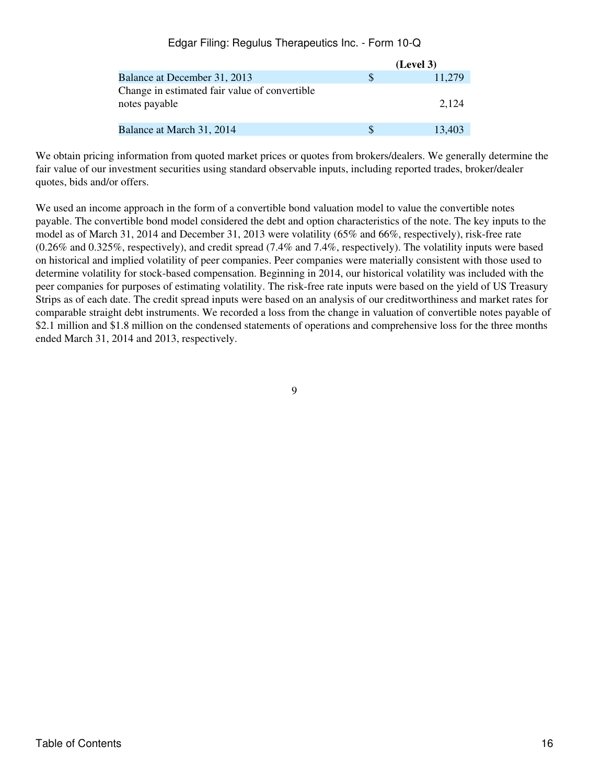|                                                                |          | (Level 3) |
|----------------------------------------------------------------|----------|-----------|
| Balance at December 31, 2013                                   | <b>S</b> | 11.279    |
| Change in estimated fair value of convertible<br>notes payable |          | 2.124     |
| Balance at March 31, 2014                                      | S        | 13.403    |

We obtain pricing information from quoted market prices or quotes from brokers/dealers. We generally determine the fair value of our investment securities using standard observable inputs, including reported trades, broker/dealer quotes, bids and/or offers.

We used an income approach in the form of a convertible bond valuation model to value the convertible notes payable. The convertible bond model considered the debt and option characteristics of the note. The key inputs to the model as of March 31, 2014 and December 31, 2013 were volatility (65% and 66%, respectively), risk-free rate (0.26% and 0.325%, respectively), and credit spread (7.4% and 7.4%, respectively). The volatility inputs were based on historical and implied volatility of peer companies. Peer companies were materially consistent with those used to determine volatility for stock-based compensation. Beginning in 2014, our historical volatility was included with the peer companies for purposes of estimating volatility. The risk-free rate inputs were based on the yield of US Treasury Strips as of each date. The credit spread inputs were based on an analysis of our creditworthiness and market rates for comparable straight debt instruments. We recorded a loss from the change in valuation of convertible notes payable of \$2.1 million and \$1.8 million on the condensed statements of operations and comprehensive loss for the three months ended March 31, 2014 and 2013, respectively.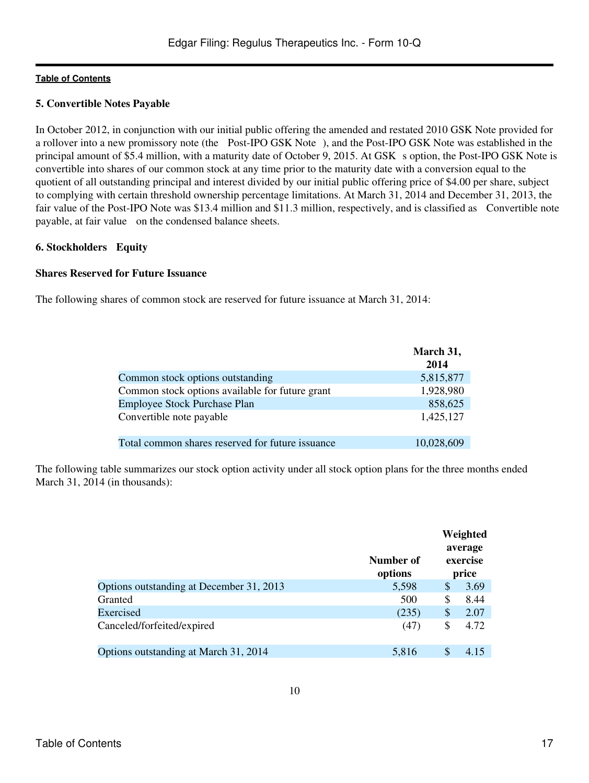### **5. Convertible Notes Payable**

In October 2012, in conjunction with our initial public offering the amended and restated 2010 GSK Note provided for a rollover into a new promissory note (the Post-IPO GSK Note), and the Post-IPO GSK Note was established in the principal amount of \$5.4 million, with a maturity date of October 9, 2015. At GSK s option, the Post-IPO GSK Note is convertible into shares of our common stock at any time prior to the maturity date with a conversion equal to the quotient of all outstanding principal and interest divided by our initial public offering price of \$4.00 per share, subject to complying with certain threshold ownership percentage limitations. At March 31, 2014 and December 31, 2013, the fair value of the Post-IPO Note was \$13.4 million and \$11.3 million, respectively, and is classified as Convertible note payable, at fair value on the condensed balance sheets.

### **6. Stockholders Equity**

#### **Shares Reserved for Future Issuance**

The following shares of common stock are reserved for future issuance at March 31, 2014:

|                                                  | March 31,<br>2014 |
|--------------------------------------------------|-------------------|
| Common stock options outstanding                 | 5,815,877         |
| Common stock options available for future grant  | 1,928,980         |
| Employee Stock Purchase Plan                     | 858,625           |
| Convertible note payable                         | 1,425,127         |
| Total common shares reserved for future issuance | 10,028,609        |

The following table summarizes our stock option activity under all stock option plans for the three months ended March 31, 2014 (in thousands):

|                                          | Number of<br>options |    | Weighted<br>average<br>exercise<br>price |
|------------------------------------------|----------------------|----|------------------------------------------|
| Options outstanding at December 31, 2013 | 5,598                | \$ | 3.69                                     |
| Granted                                  | 500                  | \$ | 8.44                                     |
| Exercised                                | (235)                | \$ | 2.07                                     |
| Canceled/forfeited/expired               | (47)                 | \$ | 4.72                                     |
| Options outstanding at March 31, 2014    | 5,816                | S  | 4.15                                     |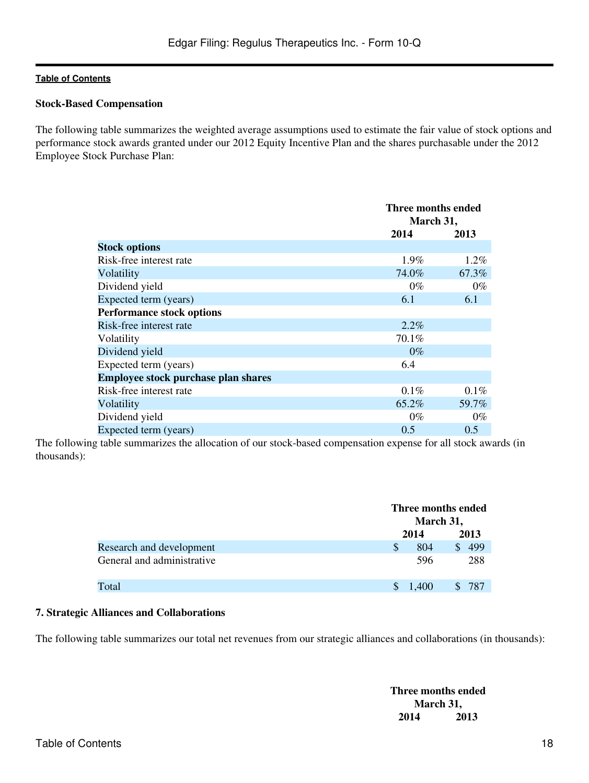#### **Stock-Based Compensation**

The following table summarizes the weighted average assumptions used to estimate the fair value of stock options and performance stock awards granted under our 2012 Equity Incentive Plan and the shares purchasable under the 2012 Employee Stock Purchase Plan:

|                                     |       | Three months ended<br>March 31, |  |
|-------------------------------------|-------|---------------------------------|--|
|                                     | 2014  | 2013                            |  |
| <b>Stock options</b>                |       |                                 |  |
| Risk-free interest rate             | 1.9%  | 1.2%                            |  |
| Volatility                          | 74.0% | 67.3%                           |  |
| Dividend yield                      | $0\%$ | $0\%$                           |  |
| Expected term (years)               | 6.1   | 6.1                             |  |
| <b>Performance stock options</b>    |       |                                 |  |
| Risk-free interest rate             | 2.2%  |                                 |  |
| Volatility                          | 70.1% |                                 |  |
| Dividend yield                      | $0\%$ |                                 |  |
| Expected term (years)               | 6.4   |                                 |  |
| Employee stock purchase plan shares |       |                                 |  |
| Risk-free interest rate             | 0.1%  | $0.1\%$                         |  |
| Volatility                          | 65.2% | 59.7%                           |  |
| Dividend yield                      | $0\%$ | $0\%$                           |  |
| Expected term (years)               | 0.5   | 0.5                             |  |

The following table summarizes the allocation of our stock-based compensation expense for all stock awards (in thousands):

|                            |         | Three months ended<br>March 31, |  |
|----------------------------|---------|---------------------------------|--|
|                            | 2014    | 2013                            |  |
| Research and development   | 804     | 499                             |  |
| General and administrative | 596     | 288                             |  |
| Total                      | \$1,400 | 787                             |  |

#### **7. Strategic Alliances and Collaborations**

The following table summarizes our total net revenues from our strategic alliances and collaborations (in thousands):

**Three months ended March 31, 2014 2013**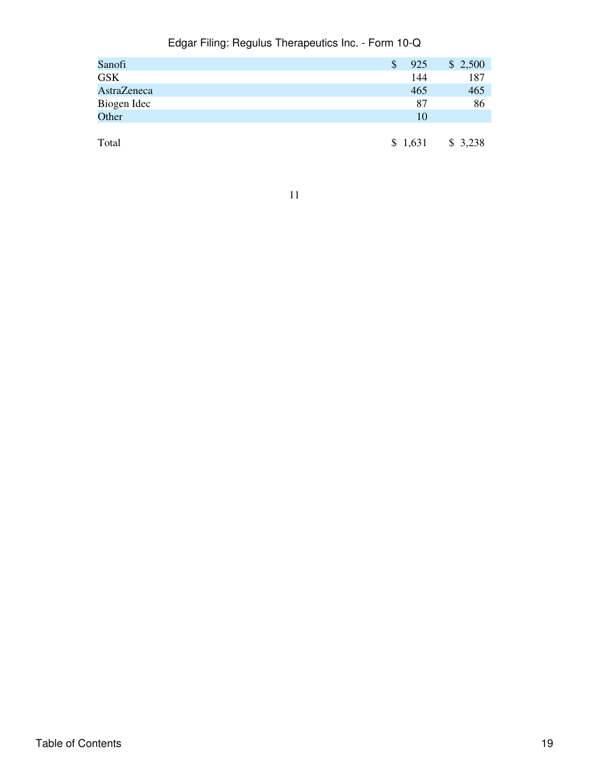| Sanofi      | \$<br>925 | \$2,500 |
|-------------|-----------|---------|
| <b>GSK</b>  | 144       | 187     |
| AstraZeneca | 465       | 465     |
| Biogen Idec | 87        | 86      |
| Other       | 10        |         |
|             |           |         |
| Total       | \$1,631   | \$3,238 |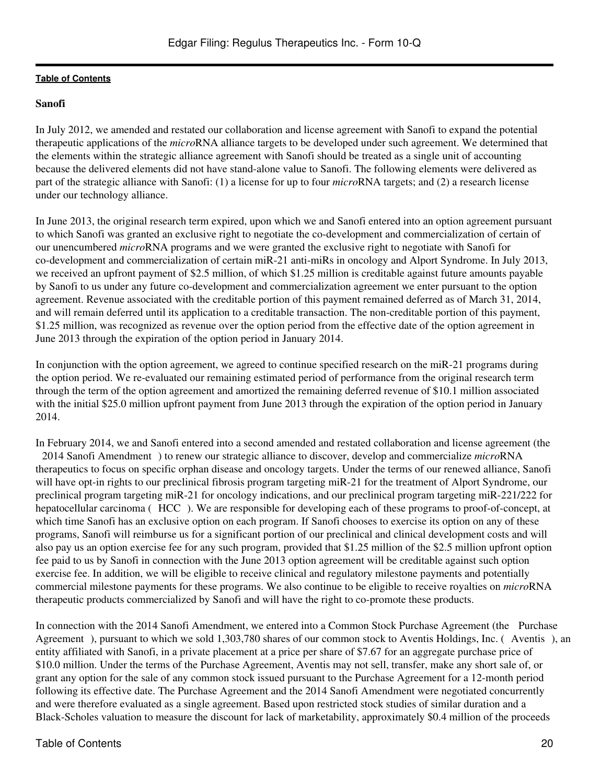# **Sanofi**

In July 2012, we amended and restated our collaboration and license agreement with Sanofi to expand the potential therapeutic applications of the *micro*RNA alliance targets to be developed under such agreement. We determined that the elements within the strategic alliance agreement with Sanofi should be treated as a single unit of accounting because the delivered elements did not have stand-alone value to Sanofi. The following elements were delivered as part of the strategic alliance with Sanofi: (1) a license for up to four *micro*RNA targets; and (2) a research license under our technology alliance.

In June 2013, the original research term expired, upon which we and Sanofi entered into an option agreement pursuant to which Sanofi was granted an exclusive right to negotiate the co-development and commercialization of certain of our unencumbered *micro*RNA programs and we were granted the exclusive right to negotiate with Sanofi for co-development and commercialization of certain miR-21 anti-miRs in oncology and Alport Syndrome. In July 2013, we received an upfront payment of \$2.5 million, of which \$1.25 million is creditable against future amounts payable by Sanofi to us under any future co-development and commercialization agreement we enter pursuant to the option agreement. Revenue associated with the creditable portion of this payment remained deferred as of March 31, 2014, and will remain deferred until its application to a creditable transaction. The non-creditable portion of this payment, \$1.25 million, was recognized as revenue over the option period from the effective date of the option agreement in June 2013 through the expiration of the option period in January 2014.

In conjunction with the option agreement, we agreed to continue specified research on the miR-21 programs during the option period. We re-evaluated our remaining estimated period of performance from the original research term through the term of the option agreement and amortized the remaining deferred revenue of \$10.1 million associated with the initial \$25.0 million upfront payment from June 2013 through the expiration of the option period in January 2014.

In February 2014, we and Sanofi entered into a second amended and restated collaboration and license agreement (the 2014 Sanofi Amendment) to renew our strategic alliance to discover, develop and commercialize *micro*RNA therapeutics to focus on specific orphan disease and oncology targets. Under the terms of our renewed alliance, Sanofi will have opt-in rights to our preclinical fibrosis program targeting miR-21 for the treatment of Alport Syndrome, our preclinical program targeting miR-21 for oncology indications, and our preclinical program targeting miR-221/222 for hepatocellular carcinoma (HCC). We are responsible for developing each of these programs to proof-of-concept, at which time Sanofi has an exclusive option on each program. If Sanofi chooses to exercise its option on any of these programs, Sanofi will reimburse us for a significant portion of our preclinical and clinical development costs and will also pay us an option exercise fee for any such program, provided that \$1.25 million of the \$2.5 million upfront option fee paid to us by Sanofi in connection with the June 2013 option agreement will be creditable against such option exercise fee. In addition, we will be eligible to receive clinical and regulatory milestone payments and potentially commercial milestone payments for these programs. We also continue to be eligible to receive royalties on *micro*RNA therapeutic products commercialized by Sanofi and will have the right to co-promote these products.

In connection with the 2014 Sanofi Amendment, we entered into a Common Stock Purchase Agreement (the Purchase Agreement), pursuant to which we sold 1,303,780 shares of our common stock to Aventis Holdings, Inc. (Aventis), an entity affiliated with Sanofi, in a private placement at a price per share of \$7.67 for an aggregate purchase price of \$10.0 million. Under the terms of the Purchase Agreement, Aventis may not sell, transfer, make any short sale of, or grant any option for the sale of any common stock issued pursuant to the Purchase Agreement for a 12-month period following its effective date. The Purchase Agreement and the 2014 Sanofi Amendment were negotiated concurrently and were therefore evaluated as a single agreement. Based upon restricted stock studies of similar duration and a Black-Scholes valuation to measure the discount for lack of marketability, approximately \$0.4 million of the proceeds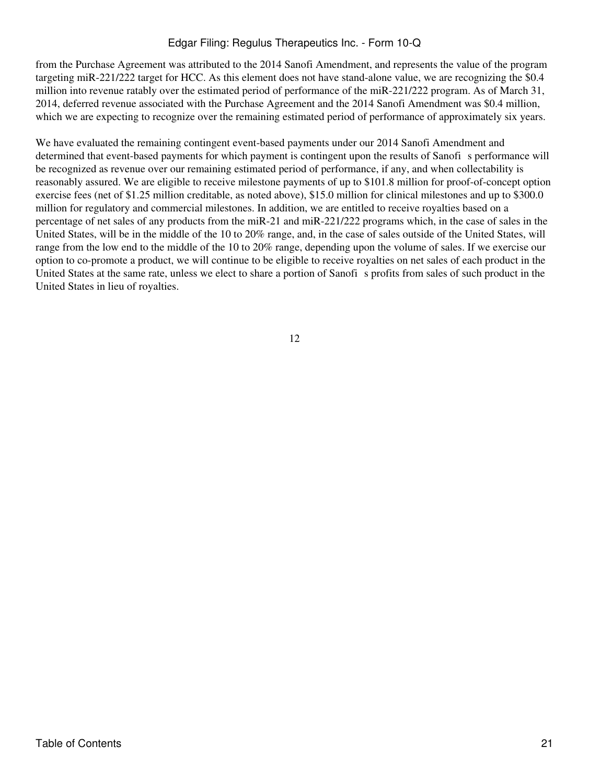from the Purchase Agreement was attributed to the 2014 Sanofi Amendment, and represents the value of the program targeting miR-221/222 target for HCC. As this element does not have stand-alone value, we are recognizing the \$0.4 million into revenue ratably over the estimated period of performance of the miR-221/222 program. As of March 31, 2014, deferred revenue associated with the Purchase Agreement and the 2014 Sanofi Amendment was \$0.4 million, which we are expecting to recognize over the remaining estimated period of performance of approximately six years.

We have evaluated the remaining contingent event-based payments under our 2014 Sanofi Amendment and determined that event-based payments for which payment is contingent upon the results of Sanofi s performance will be recognized as revenue over our remaining estimated period of performance, if any, and when collectability is reasonably assured. We are eligible to receive milestone payments of up to \$101.8 million for proof-of-concept option exercise fees (net of \$1.25 million creditable, as noted above), \$15.0 million for clinical milestones and up to \$300.0 million for regulatory and commercial milestones. In addition, we are entitled to receive royalties based on a percentage of net sales of any products from the miR-21 and miR-221/222 programs which, in the case of sales in the United States, will be in the middle of the 10 to 20% range, and, in the case of sales outside of the United States, will range from the low end to the middle of the 10 to 20% range, depending upon the volume of sales. If we exercise our option to co-promote a product, we will continue to be eligible to receive royalties on net sales of each product in the United States at the same rate, unless we elect to share a portion of Sanofis profits from sales of such product in the United States in lieu of royalties.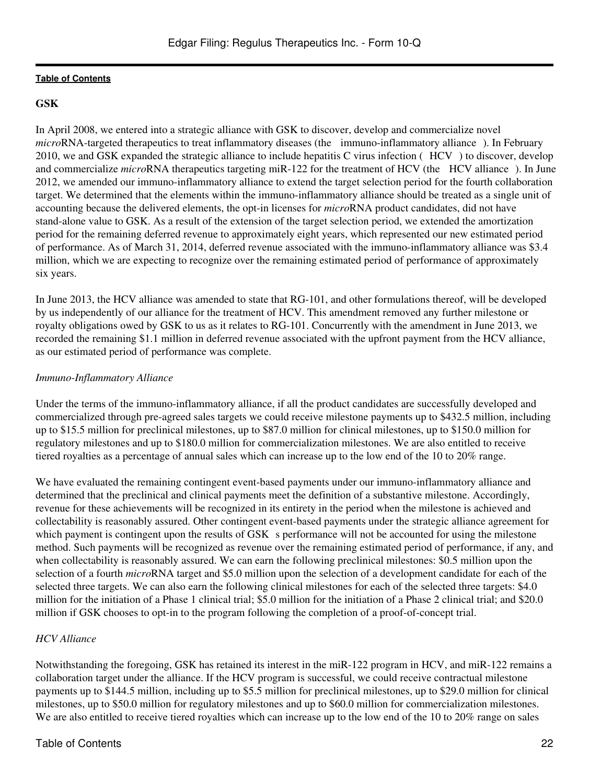# **GSK**

In April 2008, we entered into a strategic alliance with GSK to discover, develop and commercialize novel *micro*RNA-targeted therapeutics to treat inflammatory diseases (the immuno-inflammatory alliance). In February 2010, we and GSK expanded the strategic alliance to include hepatitis C virus infection (HCV) to discover, develop and commercialize *micro*RNA therapeutics targeting miR-122 for the treatment of HCV (the HCV alliance). In June 2012, we amended our immuno-inflammatory alliance to extend the target selection period for the fourth collaboration target. We determined that the elements within the immuno-inflammatory alliance should be treated as a single unit of accounting because the delivered elements, the opt-in licenses for *micro*RNA product candidates, did not have stand-alone value to GSK. As a result of the extension of the target selection period, we extended the amortization period for the remaining deferred revenue to approximately eight years, which represented our new estimated period of performance. As of March 31, 2014, deferred revenue associated with the immuno-inflammatory alliance was \$3.4 million, which we are expecting to recognize over the remaining estimated period of performance of approximately six years.

In June 2013, the HCV alliance was amended to state that RG-101, and other formulations thereof, will be developed by us independently of our alliance for the treatment of HCV. This amendment removed any further milestone or royalty obligations owed by GSK to us as it relates to RG-101. Concurrently with the amendment in June 2013, we recorded the remaining \$1.1 million in deferred revenue associated with the upfront payment from the HCV alliance, as our estimated period of performance was complete.

# *Immuno-Inflammatory Alliance*

Under the terms of the immuno-inflammatory alliance, if all the product candidates are successfully developed and commercialized through pre-agreed sales targets we could receive milestone payments up to \$432.5 million, including up to \$15.5 million for preclinical milestones, up to \$87.0 million for clinical milestones, up to \$150.0 million for regulatory milestones and up to \$180.0 million for commercialization milestones. We are also entitled to receive tiered royalties as a percentage of annual sales which can increase up to the low end of the 10 to 20% range.

We have evaluated the remaining contingent event-based payments under our immuno-inflammatory alliance and determined that the preclinical and clinical payments meet the definition of a substantive milestone. Accordingly, revenue for these achievements will be recognized in its entirety in the period when the milestone is achieved and collectability is reasonably assured. Other contingent event-based payments under the strategic alliance agreement for which payment is contingent upon the results of GSK s performance will not be accounted for using the milestone method. Such payments will be recognized as revenue over the remaining estimated period of performance, if any, and when collectability is reasonably assured. We can earn the following preclinical milestones: \$0.5 million upon the selection of a fourth *micro*RNA target and \$5.0 million upon the selection of a development candidate for each of the selected three targets. We can also earn the following clinical milestones for each of the selected three targets: \$4.0 million for the initiation of a Phase 1 clinical trial; \$5.0 million for the initiation of a Phase 2 clinical trial; and \$20.0 million if GSK chooses to opt-in to the program following the completion of a proof-of-concept trial.

# *HCV Alliance*

Notwithstanding the foregoing, GSK has retained its interest in the miR-122 program in HCV, and miR-122 remains a collaboration target under the alliance. If the HCV program is successful, we could receive contractual milestone payments up to \$144.5 million, including up to \$5.5 million for preclinical milestones, up to \$29.0 million for clinical milestones, up to \$50.0 million for regulatory milestones and up to \$60.0 million for commercialization milestones. We are also entitled to receive tiered royalties which can increase up to the low end of the 10 to 20% range on sales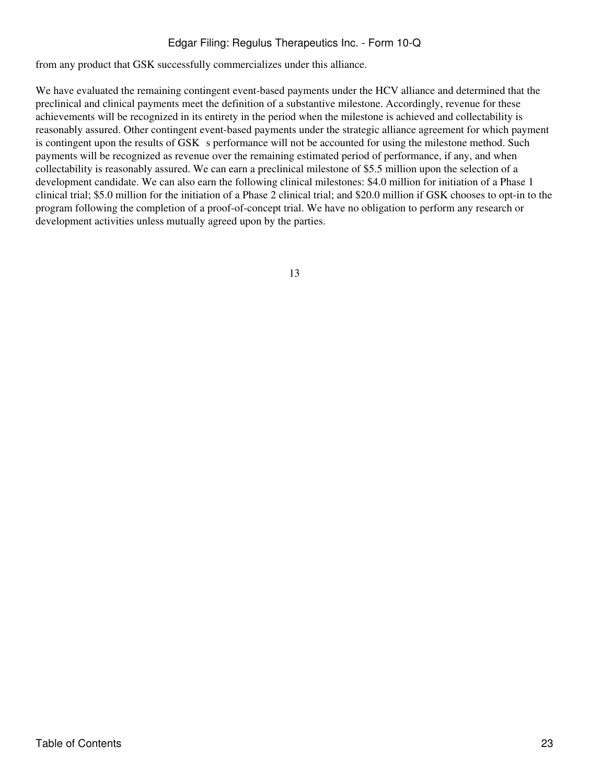from any product that GSK successfully commercializes under this alliance.

We have evaluated the remaining contingent event-based payments under the HCV alliance and determined that the preclinical and clinical payments meet the definition of a substantive milestone. Accordingly, revenue for these achievements will be recognized in its entirety in the period when the milestone is achieved and collectability is reasonably assured. Other contingent event-based payments under the strategic alliance agreement for which payment is contingent upon the results of GSK s performance will not be accounted for using the milestone method. Such payments will be recognized as revenue over the remaining estimated period of performance, if any, and when collectability is reasonably assured. We can earn a preclinical milestone of \$5.5 million upon the selection of a development candidate. We can also earn the following clinical milestones: \$4.0 million for initiation of a Phase 1 clinical trial; \$5.0 million for the initiation of a Phase 2 clinical trial; and \$20.0 million if GSK chooses to opt-in to the program following the completion of a proof-of-concept trial. We have no obligation to perform any research or development activities unless mutually agreed upon by the parties.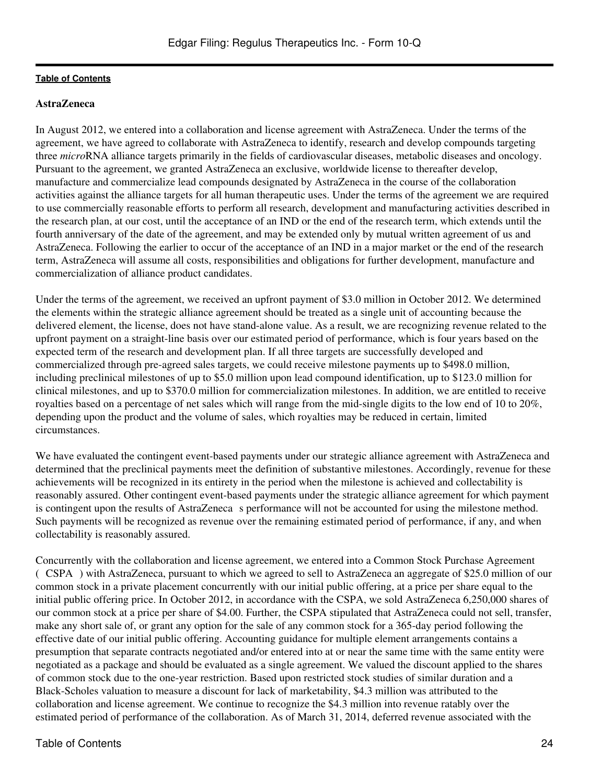# **AstraZeneca**

In August 2012, we entered into a collaboration and license agreement with AstraZeneca. Under the terms of the agreement, we have agreed to collaborate with AstraZeneca to identify, research and develop compounds targeting three *micro*RNA alliance targets primarily in the fields of cardiovascular diseases, metabolic diseases and oncology. Pursuant to the agreement, we granted AstraZeneca an exclusive, worldwide license to thereafter develop, manufacture and commercialize lead compounds designated by AstraZeneca in the course of the collaboration activities against the alliance targets for all human therapeutic uses. Under the terms of the agreement we are required to use commercially reasonable efforts to perform all research, development and manufacturing activities described in the research plan, at our cost, until the acceptance of an IND or the end of the research term, which extends until the fourth anniversary of the date of the agreement, and may be extended only by mutual written agreement of us and AstraZeneca. Following the earlier to occur of the acceptance of an IND in a major market or the end of the research term, AstraZeneca will assume all costs, responsibilities and obligations for further development, manufacture and commercialization of alliance product candidates.

Under the terms of the agreement, we received an upfront payment of \$3.0 million in October 2012. We determined the elements within the strategic alliance agreement should be treated as a single unit of accounting because the delivered element, the license, does not have stand-alone value. As a result, we are recognizing revenue related to the upfront payment on a straight-line basis over our estimated period of performance, which is four years based on the expected term of the research and development plan. If all three targets are successfully developed and commercialized through pre-agreed sales targets, we could receive milestone payments up to \$498.0 million, including preclinical milestones of up to \$5.0 million upon lead compound identification, up to \$123.0 million for clinical milestones, and up to \$370.0 million for commercialization milestones. In addition, we are entitled to receive royalties based on a percentage of net sales which will range from the mid-single digits to the low end of 10 to 20%, depending upon the product and the volume of sales, which royalties may be reduced in certain, limited circumstances.

We have evaluated the contingent event-based payments under our strategic alliance agreement with AstraZeneca and determined that the preclinical payments meet the definition of substantive milestones. Accordingly, revenue for these achievements will be recognized in its entirety in the period when the milestone is achieved and collectability is reasonably assured. Other contingent event-based payments under the strategic alliance agreement for which payment is contingent upon the results of AstraZeneca s performance will not be accounted for using the milestone method. Such payments will be recognized as revenue over the remaining estimated period of performance, if any, and when collectability is reasonably assured.

Concurrently with the collaboration and license agreement, we entered into a Common Stock Purchase Agreement (CSPA) with AstraZeneca, pursuant to which we agreed to sell to AstraZeneca an aggregate of \$25.0 million of our common stock in a private placement concurrently with our initial public offering, at a price per share equal to the initial public offering price. In October 2012, in accordance with the CSPA, we sold AstraZeneca 6,250,000 shares of our common stock at a price per share of \$4.00. Further, the CSPA stipulated that AstraZeneca could not sell, transfer, make any short sale of, or grant any option for the sale of any common stock for a 365-day period following the effective date of our initial public offering. Accounting guidance for multiple element arrangements contains a presumption that separate contracts negotiated and/or entered into at or near the same time with the same entity were negotiated as a package and should be evaluated as a single agreement. We valued the discount applied to the shares of common stock due to the one-year restriction. Based upon restricted stock studies of similar duration and a Black-Scholes valuation to measure a discount for lack of marketability, \$4.3 million was attributed to the collaboration and license agreement. We continue to recognize the \$4.3 million into revenue ratably over the estimated period of performance of the collaboration. As of March 31, 2014, deferred revenue associated with the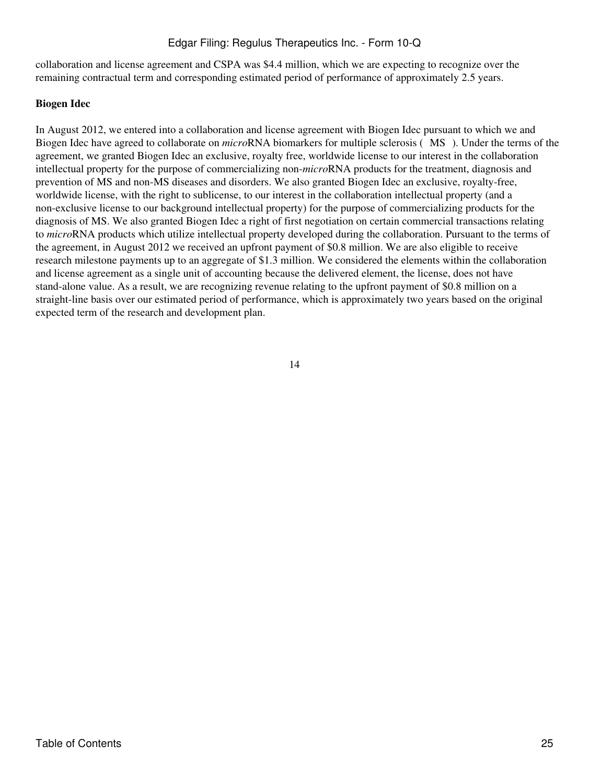collaboration and license agreement and CSPA was \$4.4 million, which we are expecting to recognize over the remaining contractual term and corresponding estimated period of performance of approximately 2.5 years.

# **Biogen Idec**

In August 2012, we entered into a collaboration and license agreement with Biogen Idec pursuant to which we and Biogen Idec have agreed to collaborate on *micro*RNA biomarkers for multiple sclerosis (MS). Under the terms of the agreement, we granted Biogen Idec an exclusive, royalty free, worldwide license to our interest in the collaboration intellectual property for the purpose of commercializing non-*micro*RNA products for the treatment, diagnosis and prevention of MS and non-MS diseases and disorders. We also granted Biogen Idec an exclusive, royalty-free, worldwide license, with the right to sublicense, to our interest in the collaboration intellectual property (and a non-exclusive license to our background intellectual property) for the purpose of commercializing products for the diagnosis of MS. We also granted Biogen Idec a right of first negotiation on certain commercial transactions relating to *micro*RNA products which utilize intellectual property developed during the collaboration. Pursuant to the terms of the agreement, in August 2012 we received an upfront payment of \$0.8 million. We are also eligible to receive research milestone payments up to an aggregate of \$1.3 million. We considered the elements within the collaboration and license agreement as a single unit of accounting because the delivered element, the license, does not have stand-alone value. As a result, we are recognizing revenue relating to the upfront payment of \$0.8 million on a straight-line basis over our estimated period of performance, which is approximately two years based on the original expected term of the research and development plan.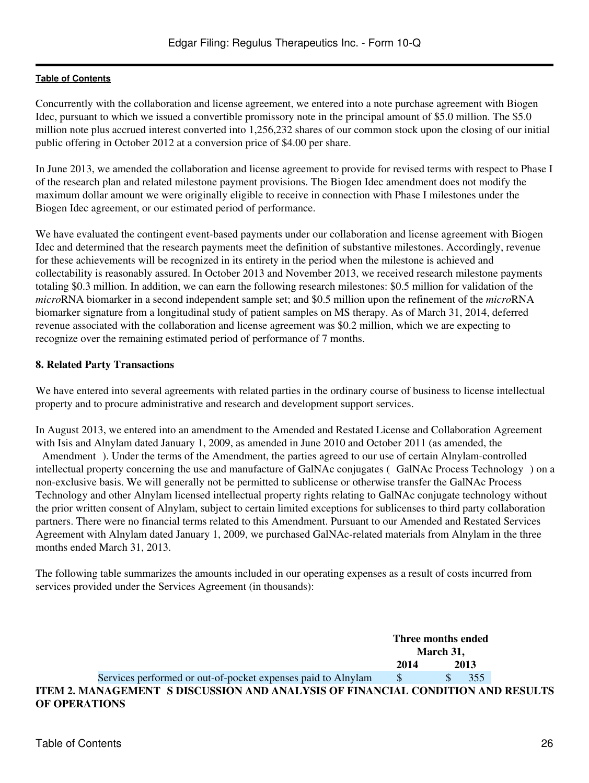Concurrently with the collaboration and license agreement, we entered into a note purchase agreement with Biogen Idec, pursuant to which we issued a convertible promissory note in the principal amount of \$5.0 million. The \$5.0 million note plus accrued interest converted into 1,256,232 shares of our common stock upon the closing of our initial public offering in October 2012 at a conversion price of \$4.00 per share.

In June 2013, we amended the collaboration and license agreement to provide for revised terms with respect to Phase I of the research plan and related milestone payment provisions. The Biogen Idec amendment does not modify the maximum dollar amount we were originally eligible to receive in connection with Phase I milestones under the Biogen Idec agreement, or our estimated period of performance.

We have evaluated the contingent event-based payments under our collaboration and license agreement with Biogen Idec and determined that the research payments meet the definition of substantive milestones. Accordingly, revenue for these achievements will be recognized in its entirety in the period when the milestone is achieved and collectability is reasonably assured. In October 2013 and November 2013, we received research milestone payments totaling \$0.3 million. In addition, we can earn the following research milestones: \$0.5 million for validation of the *micro*RNA biomarker in a second independent sample set; and \$0.5 million upon the refinement of the *micro*RNA biomarker signature from a longitudinal study of patient samples on MS therapy. As of March 31, 2014, deferred revenue associated with the collaboration and license agreement was \$0.2 million, which we are expecting to recognize over the remaining estimated period of performance of 7 months.

### **8. Related Party Transactions**

We have entered into several agreements with related parties in the ordinary course of business to license intellectual property and to procure administrative and research and development support services.

In August 2013, we entered into an amendment to the Amended and Restated License and Collaboration Agreement with Isis and Alnylam dated January 1, 2009, as amended in June 2010 and October 2011 (as amended, the Amendment). Under the terms of the Amendment, the parties agreed to our use of certain Alnylam-controlled intellectual property concerning the use and manufacture of GalNAc conjugates (GalNAc Process Technology) on a non-exclusive basis. We will generally not be permitted to sublicense or otherwise transfer the GalNAc Process Technology and other Alnylam licensed intellectual property rights relating to GalNAc conjugate technology without the prior written consent of Alnylam, subject to certain limited exceptions for sublicenses to third party collaboration partners. There were no financial terms related to this Amendment. Pursuant to our Amended and Restated Services Agreement with Alnylam dated January 1, 2009, we purchased GalNAc-related materials from Alnylam in the three months ended March 31, 2013.

The following table summarizes the amounts included in our operating expenses as a result of costs incurred from services provided under the Services Agreement (in thousands):

<span id="page-25-0"></span>**Three months ended March 31, 2014 2013** Services performed or out-of-pocket expenses paid to Alnylam  $\qquad$  \$ 355 **ITEM 2. MANAGEMENT S DISCUSSION AND ANALYSIS OF FINANCIAL CONDITION AND RESULTS OF OPERATIONS**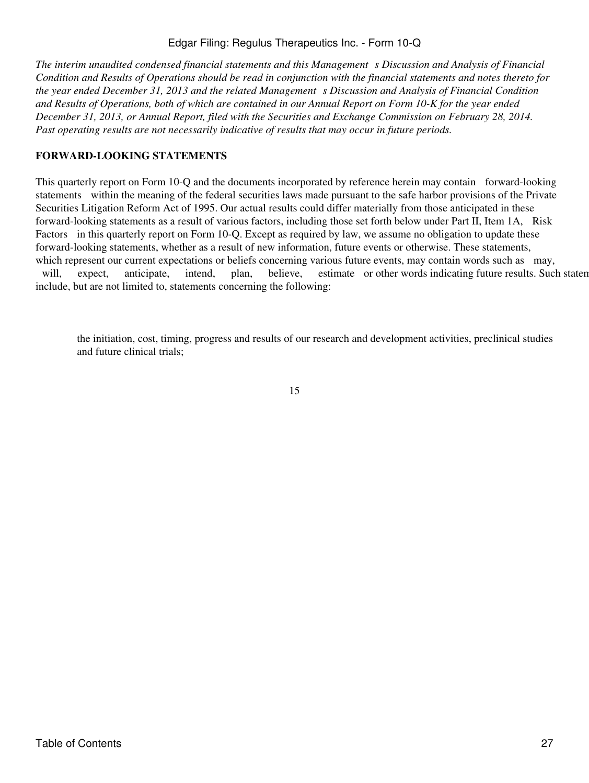*The interim unaudited condensed financial statements and this Managements Discussion and Analysis of Financial Condition and Results of Operations should be read in conjunction with the financial statements and notes thereto for the year ended December 31, 2013 and the related Management s Discussion and Analysis of Financial Condition and Results of Operations, both of which are contained in our Annual Report on Form 10-K for the year ended December 31, 2013, or Annual Report, filed with the Securities and Exchange Commission on February 28, 2014. Past operating results are not necessarily indicative of results that may occur in future periods.*

# **FORWARD-LOOKING STATEMENTS**

This quarterly report on Form 10-Q and the documents incorporated by reference herein may contain forward-looking statements within the meaning of the federal securities laws made pursuant to the safe harbor provisions of the Private Securities Litigation Reform Act of 1995. Our actual results could differ materially from those anticipated in these forward-looking statements as a result of various factors, including those set forth below under Part II, Item 1A, Risk Factors in this quarterly report on Form 10-Q. Except as required by law, we assume no obligation to update these forward-looking statements, whether as a result of new information, future events or otherwise. These statements, which represent our current expectations or beliefs concerning various future events, may contain words such as may, will, expect, anticipate, intend, plan, believe, estimate or other words indicating future results. Such statements may be expected in the may be expected as  $\frac{1}{2}$ include, but are not limited to, statements concerning the following:

the initiation, cost, timing, progress and results of our research and development activities, preclinical studies and future clinical trials;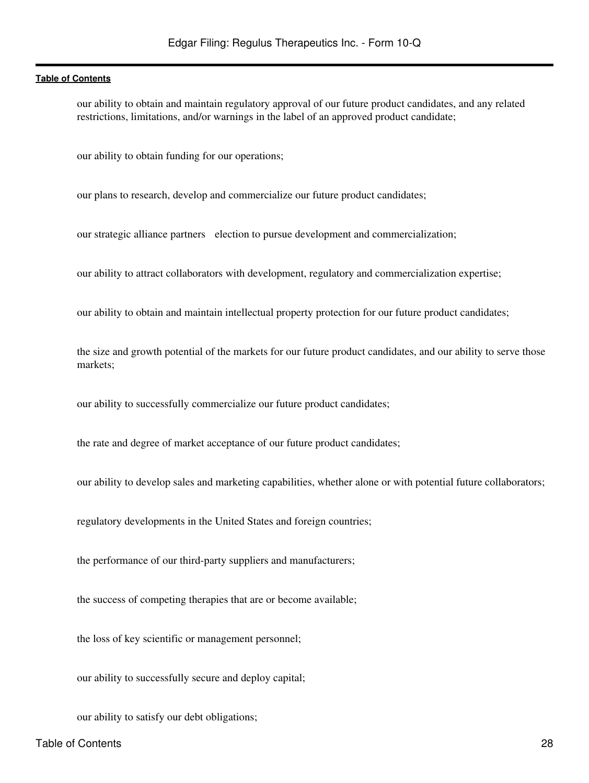our ability to obtain and maintain regulatory approval of our future product candidates, and any related restrictions, limitations, and/or warnings in the label of an approved product candidate;

our ability to obtain funding for our operations;

our plans to research, develop and commercialize our future product candidates;

our strategic alliance partners election to pursue development and commercialization;

our ability to attract collaborators with development, regulatory and commercialization expertise;

our ability to obtain and maintain intellectual property protection for our future product candidates;

the size and growth potential of the markets for our future product candidates, and our ability to serve those markets;

our ability to successfully commercialize our future product candidates;

the rate and degree of market acceptance of our future product candidates;

our ability to develop sales and marketing capabilities, whether alone or with potential future collaborators;

regulatory developments in the United States and foreign countries;

the performance of our third-party suppliers and manufacturers;

the success of competing therapies that are or become available;

the loss of key scientific or management personnel;

our ability to successfully secure and deploy capital;

our ability to satisfy our debt obligations;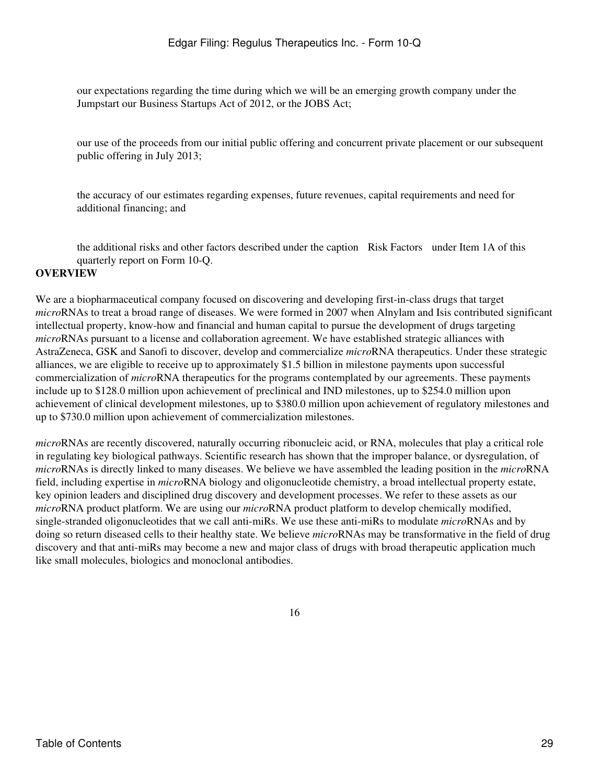our expectations regarding the time during which we will be an emerging growth company under the Jumpstart our Business Startups Act of 2012, or the JOBS Act;

our use of the proceeds from our initial public offering and concurrent private placement or our subsequent public offering in July 2013;

the accuracy of our estimates regarding expenses, future revenues, capital requirements and need for additional financing; and

the additional risks and other factors described under the caption Risk Factors under Item 1A of this quarterly report on Form 10-Q.

### **OVERVIEW**

We are a biopharmaceutical company focused on discovering and developing first-in-class drugs that target *micro*RNAs to treat a broad range of diseases. We were formed in 2007 when Alnylam and Isis contributed significant intellectual property, know-how and financial and human capital to pursue the development of drugs targeting *micro*RNAs pursuant to a license and collaboration agreement. We have established strategic alliances with AstraZeneca, GSK and Sanofi to discover, develop and commercialize *micro*RNA therapeutics. Under these strategic alliances, we are eligible to receive up to approximately \$1.5 billion in milestone payments upon successful commercialization of *micro*RNA therapeutics for the programs contemplated by our agreements. These payments include up to \$128.0 million upon achievement of preclinical and IND milestones, up to \$254.0 million upon achievement of clinical development milestones, up to \$380.0 million upon achievement of regulatory milestones and up to \$730.0 million upon achievement of commercialization milestones.

*micro*RNAs are recently discovered, naturally occurring ribonucleic acid, or RNA, molecules that play a critical role in regulating key biological pathways. Scientific research has shown that the improper balance, or dysregulation, of *micro*RNAs is directly linked to many diseases. We believe we have assembled the leading position in the *micro*RNA field, including expertise in *micro*RNA biology and oligonucleotide chemistry, a broad intellectual property estate, key opinion leaders and disciplined drug discovery and development processes. We refer to these assets as our *micro*RNA product platform. We are using our *micro*RNA product platform to develop chemically modified, single-stranded oligonucleotides that we call anti-miRs. We use these anti-miRs to modulate *micro*RNAs and by doing so return diseased cells to their healthy state. We believe *micro*RNAs may be transformative in the field of drug discovery and that anti-miRs may become a new and major class of drugs with broad therapeutic application much like small molecules, biologics and monoclonal antibodies.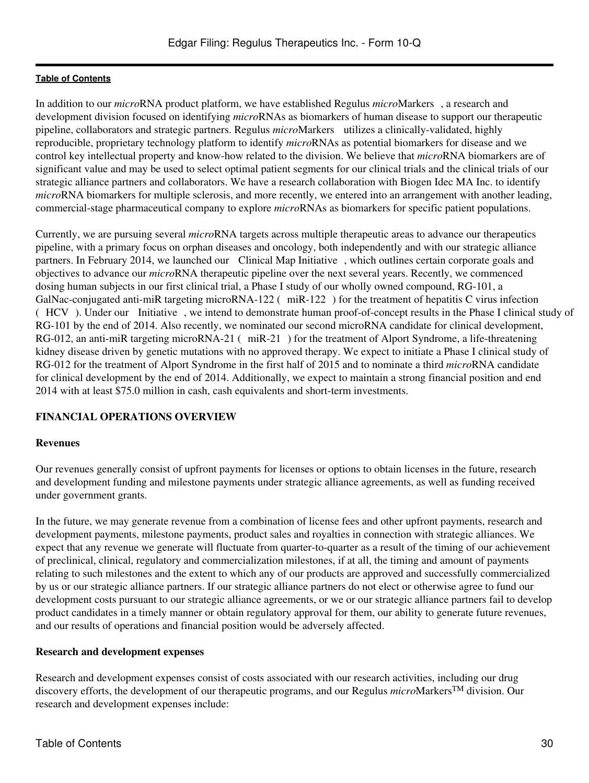In addition to our *micro*RNA product platform, we have established Regulus *micro*Markers, a research and development division focused on identifying *micro*RNAs as biomarkers of human disease to support our therapeutic pipeline, collaborators and strategic partners. Regulus *micro*Markers utilizes a clinically-validated, highly reproducible, proprietary technology platform to identify *micro*RNAs as potential biomarkers for disease and we control key intellectual property and know-how related to the division. We believe that *micro*RNA biomarkers are of significant value and may be used to select optimal patient segments for our clinical trials and the clinical trials of our strategic alliance partners and collaborators. We have a research collaboration with Biogen Idec MA Inc. to identify *micro*RNA biomarkers for multiple sclerosis, and more recently, we entered into an arrangement with another leading, commercial-stage pharmaceutical company to explore *micro*RNAs as biomarkers for specific patient populations.

Currently, we are pursuing several *micro*RNA targets across multiple therapeutic areas to advance our therapeutics pipeline, with a primary focus on orphan diseases and oncology, both independently and with our strategic alliance partners. In February 2014, we launched our Clinical Map Initiative, which outlines certain corporate goals and objectives to advance our *micro*RNA therapeutic pipeline over the next several years. Recently, we commenced dosing human subjects in our first clinical trial, a Phase I study of our wholly owned compound, RG-101, a GalNac-conjugated anti-miR targeting microRNA-122 (miR-122) for the treatment of hepatitis C virus infection (HCV). Under our Initiative, we intend to demonstrate human proof-of-concept results in the Phase I clinical study of RG-101 by the end of 2014. Also recently, we nominated our second microRNA candidate for clinical development, RG-012, an anti-miR targeting microRNA-21 (miR-21) for the treatment of Alport Syndrome, a life-threatening kidney disease driven by genetic mutations with no approved therapy. We expect to initiate a Phase I clinical study of RG-012 for the treatment of Alport Syndrome in the first half of 2015 and to nominate a third *micro*RNA candidate for clinical development by the end of 2014. Additionally, we expect to maintain a strong financial position and end 2014 with at least \$75.0 million in cash, cash equivalents and short-term investments.

# **FINANCIAL OPERATIONS OVERVIEW**

#### **Revenues**

Our revenues generally consist of upfront payments for licenses or options to obtain licenses in the future, research and development funding and milestone payments under strategic alliance agreements, as well as funding received under government grants.

In the future, we may generate revenue from a combination of license fees and other upfront payments, research and development payments, milestone payments, product sales and royalties in connection with strategic alliances. We expect that any revenue we generate will fluctuate from quarter-to-quarter as a result of the timing of our achievement of preclinical, clinical, regulatory and commercialization milestones, if at all, the timing and amount of payments relating to such milestones and the extent to which any of our products are approved and successfully commercialized by us or our strategic alliance partners. If our strategic alliance partners do not elect or otherwise agree to fund our development costs pursuant to our strategic alliance agreements, or we or our strategic alliance partners fail to develop product candidates in a timely manner or obtain regulatory approval for them, our ability to generate future revenues, and our results of operations and financial position would be adversely affected.

#### **Research and development expenses**

Research and development expenses consist of costs associated with our research activities, including our drug discovery efforts, the development of our therapeutic programs, and our Regulus *micro*MarkersTM division. Our research and development expenses include: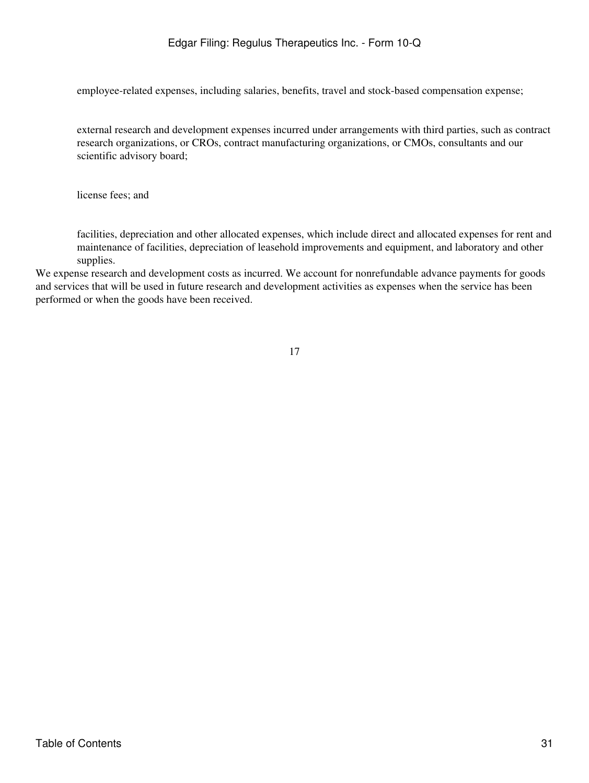employee-related expenses, including salaries, benefits, travel and stock-based compensation expense;

external research and development expenses incurred under arrangements with third parties, such as contract research organizations, or CROs, contract manufacturing organizations, or CMOs, consultants and our scientific advisory board;

license fees; and

facilities, depreciation and other allocated expenses, which include direct and allocated expenses for rent and maintenance of facilities, depreciation of leasehold improvements and equipment, and laboratory and other supplies.

We expense research and development costs as incurred. We account for nonrefundable advance payments for goods and services that will be used in future research and development activities as expenses when the service has been performed or when the goods have been received.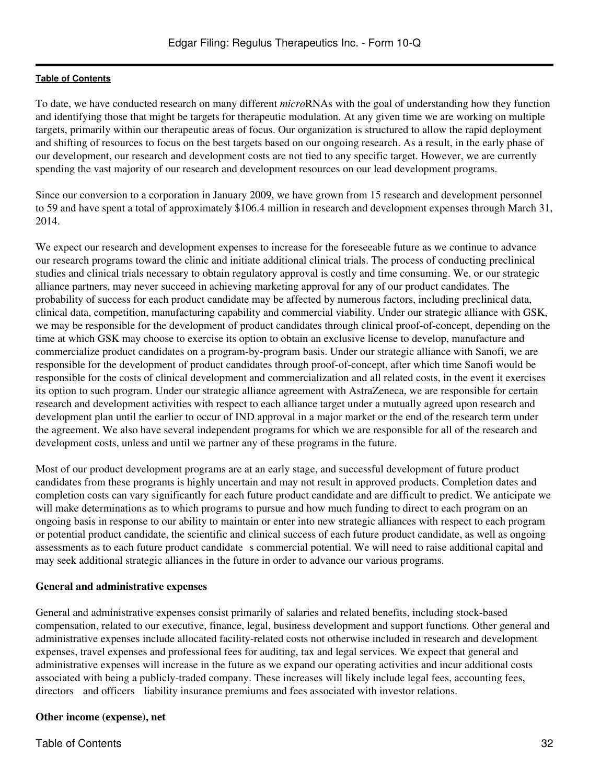To date, we have conducted research on many different *micro*RNAs with the goal of understanding how they function and identifying those that might be targets for therapeutic modulation. At any given time we are working on multiple targets, primarily within our therapeutic areas of focus. Our organization is structured to allow the rapid deployment and shifting of resources to focus on the best targets based on our ongoing research. As a result, in the early phase of our development, our research and development costs are not tied to any specific target. However, we are currently spending the vast majority of our research and development resources on our lead development programs.

Since our conversion to a corporation in January 2009, we have grown from 15 research and development personnel to 59 and have spent a total of approximately \$106.4 million in research and development expenses through March 31, 2014.

We expect our research and development expenses to increase for the foreseeable future as we continue to advance our research programs toward the clinic and initiate additional clinical trials. The process of conducting preclinical studies and clinical trials necessary to obtain regulatory approval is costly and time consuming. We, or our strategic alliance partners, may never succeed in achieving marketing approval for any of our product candidates. The probability of success for each product candidate may be affected by numerous factors, including preclinical data, clinical data, competition, manufacturing capability and commercial viability. Under our strategic alliance with GSK, we may be responsible for the development of product candidates through clinical proof-of-concept, depending on the time at which GSK may choose to exercise its option to obtain an exclusive license to develop, manufacture and commercialize product candidates on a program-by-program basis. Under our strategic alliance with Sanofi, we are responsible for the development of product candidates through proof-of-concept, after which time Sanofi would be responsible for the costs of clinical development and commercialization and all related costs, in the event it exercises its option to such program. Under our strategic alliance agreement with AstraZeneca, we are responsible for certain research and development activities with respect to each alliance target under a mutually agreed upon research and development plan until the earlier to occur of IND approval in a major market or the end of the research term under the agreement. We also have several independent programs for which we are responsible for all of the research and development costs, unless and until we partner any of these programs in the future.

Most of our product development programs are at an early stage, and successful development of future product candidates from these programs is highly uncertain and may not result in approved products. Completion dates and completion costs can vary significantly for each future product candidate and are difficult to predict. We anticipate we will make determinations as to which programs to pursue and how much funding to direct to each program on an ongoing basis in response to our ability to maintain or enter into new strategic alliances with respect to each program or potential product candidate, the scientific and clinical success of each future product candidate, as well as ongoing assessments as to each future product candidate s commercial potential. We will need to raise additional capital and may seek additional strategic alliances in the future in order to advance our various programs.

# **General and administrative expenses**

General and administrative expenses consist primarily of salaries and related benefits, including stock-based compensation, related to our executive, finance, legal, business development and support functions. Other general and administrative expenses include allocated facility-related costs not otherwise included in research and development expenses, travel expenses and professional fees for auditing, tax and legal services. We expect that general and administrative expenses will increase in the future as we expand our operating activities and incur additional costs associated with being a publicly-traded company. These increases will likely include legal fees, accounting fees, directors and officers liability insurance premiums and fees associated with investor relations.

# **Other income (expense), net**

Table of Contents 32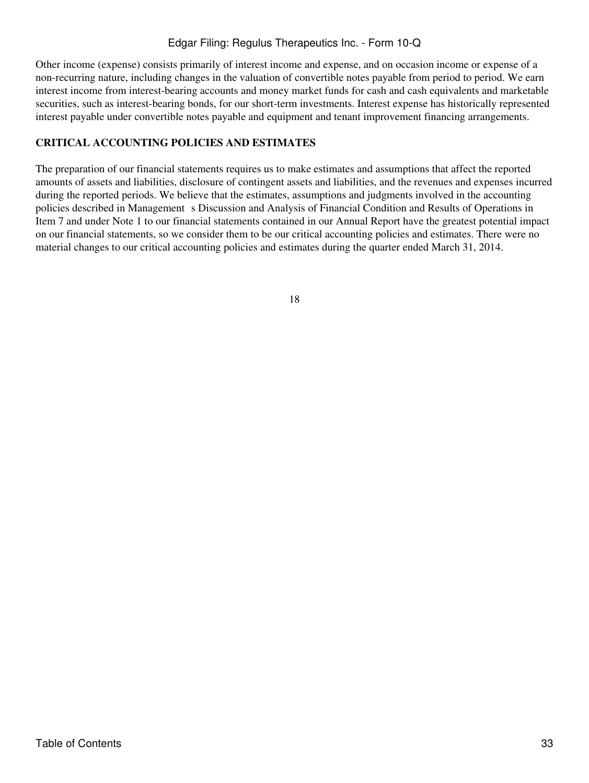Other income (expense) consists primarily of interest income and expense, and on occasion income or expense of a non-recurring nature, including changes in the valuation of convertible notes payable from period to period. We earn interest income from interest-bearing accounts and money market funds for cash and cash equivalents and marketable securities, such as interest-bearing bonds, for our short-term investments. Interest expense has historically represented interest payable under convertible notes payable and equipment and tenant improvement financing arrangements.

# **CRITICAL ACCOUNTING POLICIES AND ESTIMATES**

The preparation of our financial statements requires us to make estimates and assumptions that affect the reported amounts of assets and liabilities, disclosure of contingent assets and liabilities, and the revenues and expenses incurred during the reported periods. We believe that the estimates, assumptions and judgments involved in the accounting policies described in Management s Discussion and Analysis of Financial Condition and Results of Operations in Item 7 and under Note 1 to our financial statements contained in our Annual Report have the greatest potential impact on our financial statements, so we consider them to be our critical accounting policies and estimates. There were no material changes to our critical accounting policies and estimates during the quarter ended March 31, 2014.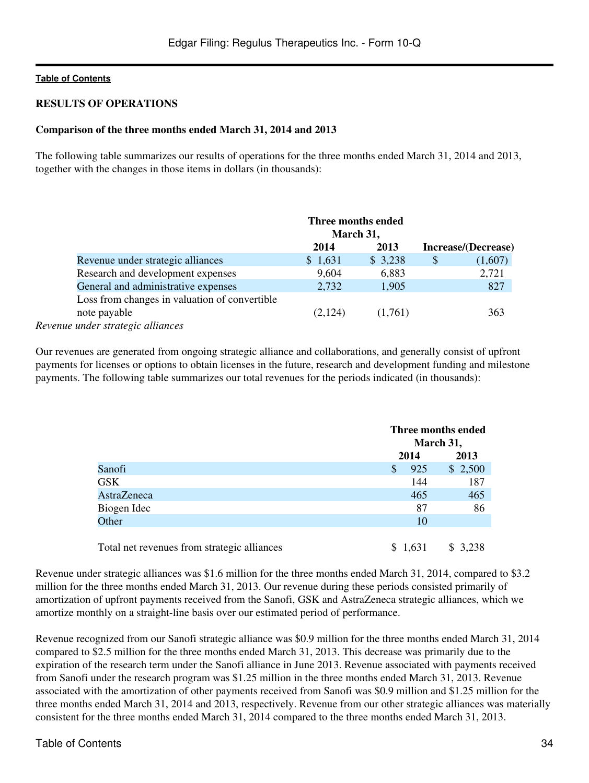### **RESULTS OF OPERATIONS**

#### **Comparison of the three months ended March 31, 2014 and 2013**

The following table summarizes our results of operations for the three months ended March 31, 2014 and 2013, together with the changes in those items in dollars (in thousands):

|                                               | Three months ended |         |                     |
|-----------------------------------------------|--------------------|---------|---------------------|
|                                               | March 31,          |         |                     |
|                                               | 2014               | 2013    | Increase/(Decrease) |
| Revenue under strategic alliances             | \$1,631            | \$3,238 | \$<br>(1,607)       |
| Research and development expenses             | 9,604              | 6,883   | 2,721               |
| General and administrative expenses           | 2,732              | 1,905   | 827                 |
| Loss from changes in valuation of convertible |                    |         |                     |
| note payable                                  | (2,124)            | (1,761) | 363                 |
| Revenue under strategic alliances             |                    |         |                     |

Our revenues are generated from ongoing strategic alliance and collaborations, and generally consist of upfront payments for licenses or options to obtain licenses in the future, research and development funding and milestone payments. The following table summarizes our total revenues for the periods indicated (in thousands):

|                    |                     | Three months ended |  |  |
|--------------------|---------------------|--------------------|--|--|
|                    |                     | March 31,          |  |  |
|                    | 2014                | 2013               |  |  |
| Sanofi             | 925<br><sup>S</sup> | \$2,500            |  |  |
| <b>GSK</b>         | 144                 | 187                |  |  |
| <b>AstraZeneca</b> | 465                 | 465                |  |  |
| Biogen Idec        | 87                  | 86                 |  |  |
| Other              | 10                  |                    |  |  |
|                    |                     |                    |  |  |

Total net revenues from strategic alliances  $$1,631$   $$3,238$ 

Revenue under strategic alliances was \$1.6 million for the three months ended March 31, 2014, compared to \$3.2 million for the three months ended March 31, 2013. Our revenue during these periods consisted primarily of amortization of upfront payments received from the Sanofi, GSK and AstraZeneca strategic alliances, which we amortize monthly on a straight-line basis over our estimated period of performance.

Revenue recognized from our Sanofi strategic alliance was \$0.9 million for the three months ended March 31, 2014 compared to \$2.5 million for the three months ended March 31, 2013. This decrease was primarily due to the expiration of the research term under the Sanofi alliance in June 2013. Revenue associated with payments received from Sanofi under the research program was \$1.25 million in the three months ended March 31, 2013. Revenue associated with the amortization of other payments received from Sanofi was \$0.9 million and \$1.25 million for the three months ended March 31, 2014 and 2013, respectively. Revenue from our other strategic alliances was materially consistent for the three months ended March 31, 2014 compared to the three months ended March 31, 2013.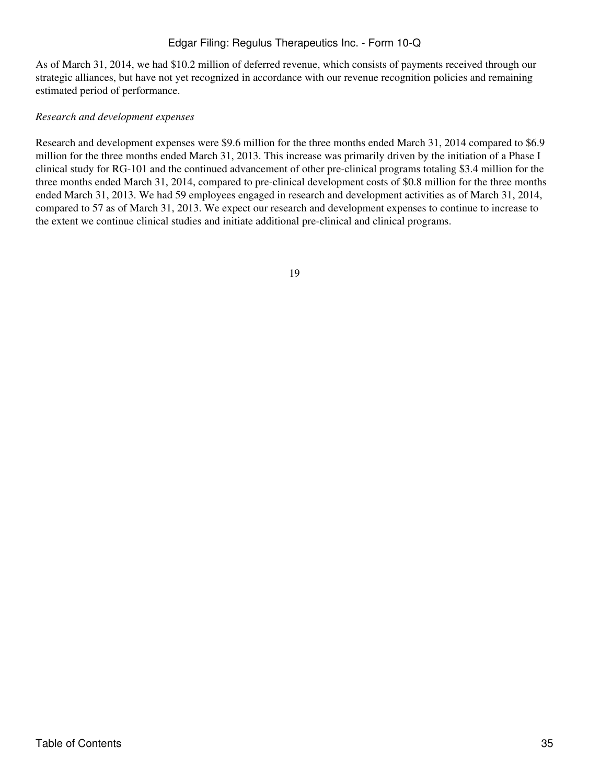As of March 31, 2014, we had \$10.2 million of deferred revenue, which consists of payments received through our strategic alliances, but have not yet recognized in accordance with our revenue recognition policies and remaining estimated period of performance.

#### *Research and development expenses*

Research and development expenses were \$9.6 million for the three months ended March 31, 2014 compared to \$6.9 million for the three months ended March 31, 2013. This increase was primarily driven by the initiation of a Phase I clinical study for RG-101 and the continued advancement of other pre-clinical programs totaling \$3.4 million for the three months ended March 31, 2014, compared to pre-clinical development costs of \$0.8 million for the three months ended March 31, 2013. We had 59 employees engaged in research and development activities as of March 31, 2014, compared to 57 as of March 31, 2013. We expect our research and development expenses to continue to increase to the extent we continue clinical studies and initiate additional pre-clinical and clinical programs.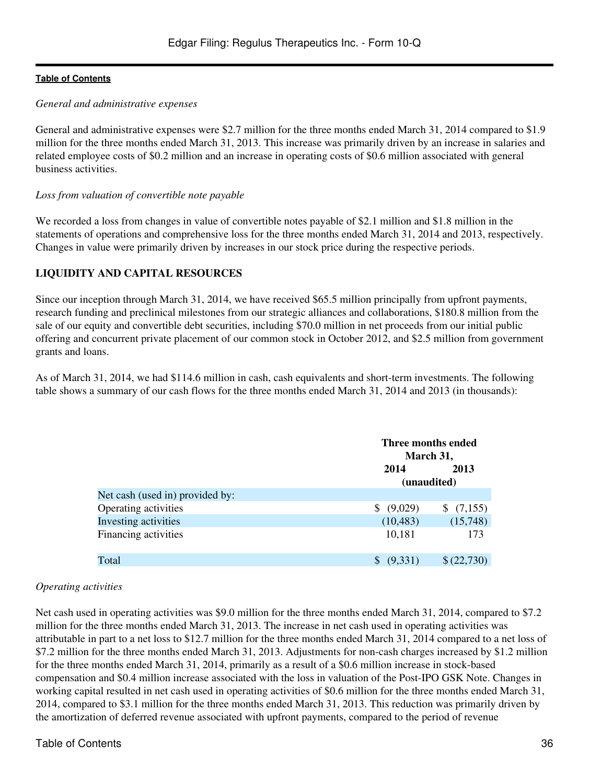#### *General and administrative expenses*

General and administrative expenses were \$2.7 million for the three months ended March 31, 2014 compared to \$1.9 million for the three months ended March 31, 2013. This increase was primarily driven by an increase in salaries and related employee costs of \$0.2 million and an increase in operating costs of \$0.6 million associated with general business activities.

#### *Loss from valuation of convertible note payable*

We recorded a loss from changes in value of convertible notes payable of \$2.1 million and \$1.8 million in the statements of operations and comprehensive loss for the three months ended March 31, 2014 and 2013, respectively. Changes in value were primarily driven by increases in our stock price during the respective periods.

### **LIQUIDITY AND CAPITAL RESOURCES**

Since our inception through March 31, 2014, we have received \$65.5 million principally from upfront payments, research funding and preclinical milestones from our strategic alliances and collaborations, \$180.8 million from the sale of our equity and convertible debt securities, including \$70.0 million in net proceeds from our initial public offering and concurrent private placement of our common stock in October 2012, and \$2.5 million from government grants and loans.

As of March 31, 2014, we had \$114.6 million in cash, cash equivalents and short-term investments. The following table shows a summary of our cash flows for the three months ended March 31, 2014 and 2013 (in thousands):

|                                 |             | Three months ended |  |  |
|---------------------------------|-------------|--------------------|--|--|
|                                 |             | March 31,          |  |  |
|                                 | 2014        | 2013               |  |  |
|                                 | (unaudited) |                    |  |  |
| Net cash (used in) provided by: |             |                    |  |  |
| Operating activities            | (9,029)     | \$(7,155)          |  |  |
| Investing activities            | (10, 483)   | (15,748)           |  |  |
| Financing activities            | 10,181      | 173                |  |  |
|                                 |             |                    |  |  |
| Total                           | (9,331)     | \$(22,730)         |  |  |

#### *Operating activities*

Net cash used in operating activities was \$9.0 million for the three months ended March 31, 2014, compared to \$7.2 million for the three months ended March 31, 2013. The increase in net cash used in operating activities was attributable in part to a net loss to \$12.7 million for the three months ended March 31, 2014 compared to a net loss of \$7.2 million for the three months ended March 31, 2013. Adjustments for non-cash charges increased by \$1.2 million for the three months ended March 31, 2014, primarily as a result of a \$0.6 million increase in stock-based compensation and \$0.4 million increase associated with the loss in valuation of the Post-IPO GSK Note. Changes in working capital resulted in net cash used in operating activities of \$0.6 million for the three months ended March 31, 2014, compared to \$3.1 million for the three months ended March 31, 2013. This reduction was primarily driven by the amortization of deferred revenue associated with upfront payments, compared to the period of revenue

#### Table of Contents 36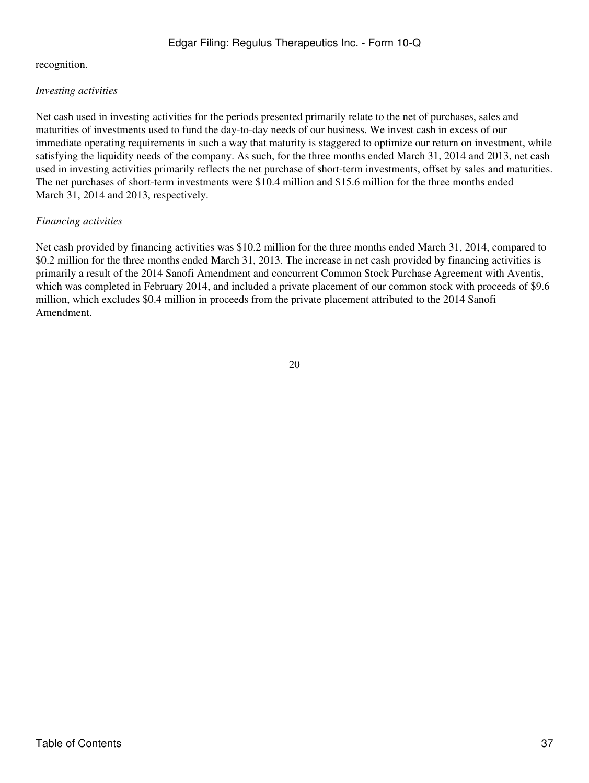### recognition.

## *Investing activities*

Net cash used in investing activities for the periods presented primarily relate to the net of purchases, sales and maturities of investments used to fund the day-to-day needs of our business. We invest cash in excess of our immediate operating requirements in such a way that maturity is staggered to optimize our return on investment, while satisfying the liquidity needs of the company. As such, for the three months ended March 31, 2014 and 2013, net cash used in investing activities primarily reflects the net purchase of short-term investments, offset by sales and maturities. The net purchases of short-term investments were \$10.4 million and \$15.6 million for the three months ended March 31, 2014 and 2013, respectively.

### *Financing activities*

Net cash provided by financing activities was \$10.2 million for the three months ended March 31, 2014, compared to \$0.2 million for the three months ended March 31, 2013. The increase in net cash provided by financing activities is primarily a result of the 2014 Sanofi Amendment and concurrent Common Stock Purchase Agreement with Aventis, which was completed in February 2014, and included a private placement of our common stock with proceeds of \$9.6 million, which excludes \$0.4 million in proceeds from the private placement attributed to the 2014 Sanofi Amendment.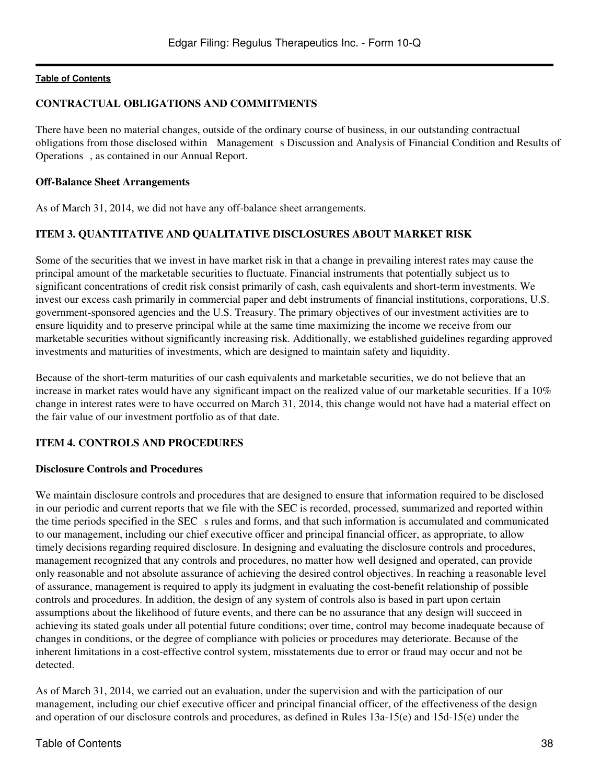#### **CONTRACTUAL OBLIGATIONS AND COMMITMENTS**

There have been no material changes, outside of the ordinary course of business, in our outstanding contractual obligations from those disclosed within Management s Discussion and Analysis of Financial Condition and Results of Operations, as contained in our Annual Report.

#### **Off-Balance Sheet Arrangements**

As of March 31, 2014, we did not have any off-balance sheet arrangements.

### **ITEM 3. QUANTITATIVE AND QUALITATIVE DISCLOSURES ABOUT MARKET RISK**

Some of the securities that we invest in have market risk in that a change in prevailing interest rates may cause the principal amount of the marketable securities to fluctuate. Financial instruments that potentially subject us to significant concentrations of credit risk consist primarily of cash, cash equivalents and short-term investments. We invest our excess cash primarily in commercial paper and debt instruments of financial institutions, corporations, U.S. government-sponsored agencies and the U.S. Treasury. The primary objectives of our investment activities are to ensure liquidity and to preserve principal while at the same time maximizing the income we receive from our marketable securities without significantly increasing risk. Additionally, we established guidelines regarding approved investments and maturities of investments, which are designed to maintain safety and liquidity.

Because of the short-term maturities of our cash equivalents and marketable securities, we do not believe that an increase in market rates would have any significant impact on the realized value of our marketable securities. If a 10% change in interest rates were to have occurred on March 31, 2014, this change would not have had a material effect on the fair value of our investment portfolio as of that date.

## **ITEM 4. CONTROLS AND PROCEDURES**

#### **Disclosure Controls and Procedures**

We maintain disclosure controls and procedures that are designed to ensure that information required to be disclosed in our periodic and current reports that we file with the SEC is recorded, processed, summarized and reported within the time periods specified in the SEC s rules and forms, and that such information is accumulated and communicated to our management, including our chief executive officer and principal financial officer, as appropriate, to allow timely decisions regarding required disclosure. In designing and evaluating the disclosure controls and procedures, management recognized that any controls and procedures, no matter how well designed and operated, can provide only reasonable and not absolute assurance of achieving the desired control objectives. In reaching a reasonable level of assurance, management is required to apply its judgment in evaluating the cost-benefit relationship of possible controls and procedures. In addition, the design of any system of controls also is based in part upon certain assumptions about the likelihood of future events, and there can be no assurance that any design will succeed in achieving its stated goals under all potential future conditions; over time, control may become inadequate because of changes in conditions, or the degree of compliance with policies or procedures may deteriorate. Because of the inherent limitations in a cost-effective control system, misstatements due to error or fraud may occur and not be detected.

As of March 31, 2014, we carried out an evaluation, under the supervision and with the participation of our management, including our chief executive officer and principal financial officer, of the effectiveness of the design and operation of our disclosure controls and procedures, as defined in Rules 13a-15(e) and 15d-15(e) under the

#### Table of Contents 38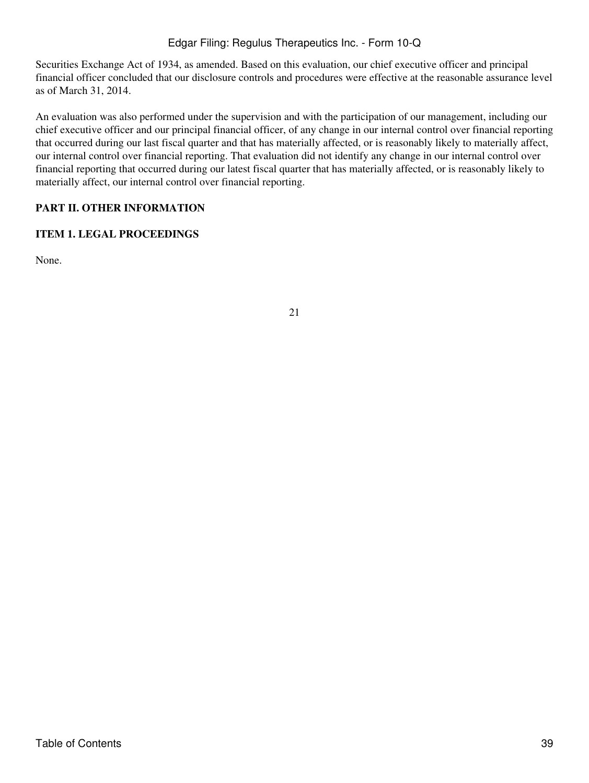Securities Exchange Act of 1934, as amended. Based on this evaluation, our chief executive officer and principal financial officer concluded that our disclosure controls and procedures were effective at the reasonable assurance level as of March 31, 2014.

An evaluation was also performed under the supervision and with the participation of our management, including our chief executive officer and our principal financial officer, of any change in our internal control over financial reporting that occurred during our last fiscal quarter and that has materially affected, or is reasonably likely to materially affect, our internal control over financial reporting. That evaluation did not identify any change in our internal control over financial reporting that occurred during our latest fiscal quarter that has materially affected, or is reasonably likely to materially affect, our internal control over financial reporting.

# **PART II. OTHER INFORMATION**

# **ITEM 1. LEGAL PROCEEDINGS**

None.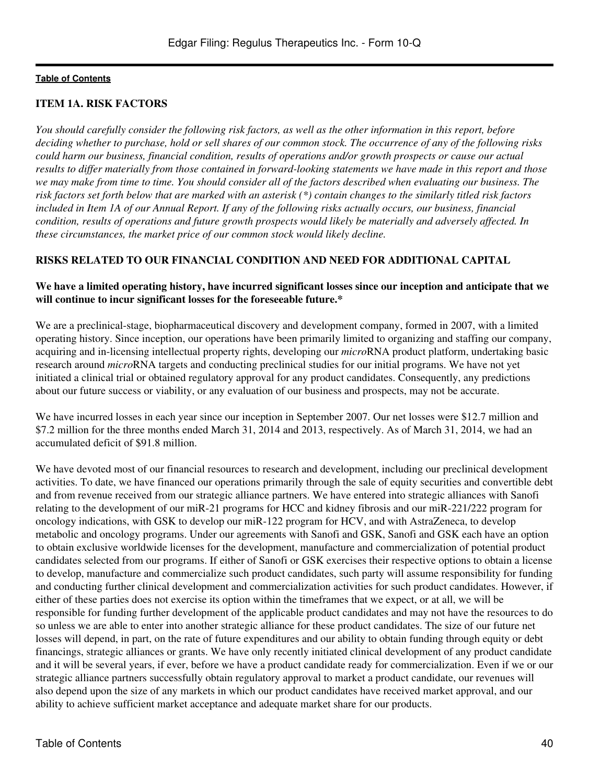### **ITEM 1A. RISK FACTORS**

*You should carefully consider the following risk factors, as well as the other information in this report, before deciding whether to purchase, hold or sell shares of our common stock. The occurrence of any of the following risks could harm our business, financial condition, results of operations and/or growth prospects or cause our actual results to differ materially from those contained in forward-looking statements we have made in this report and those we may make from time to time. You should consider all of the factors described when evaluating our business. The risk factors set forth below that are marked with an asterisk (\*) contain changes to the similarly titled risk factors included in Item 1A of our Annual Report. If any of the following risks actually occurs, our business, financial condition, results of operations and future growth prospects would likely be materially and adversely affected. In these circumstances, the market price of our common stock would likely decline.*

### **RISKS RELATED TO OUR FINANCIAL CONDITION AND NEED FOR ADDITIONAL CAPITAL**

## **We have a limited operating history, have incurred significant losses since our inception and anticipate that we will continue to incur significant losses for the foreseeable future.\***

We are a preclinical-stage, biopharmaceutical discovery and development company, formed in 2007, with a limited operating history. Since inception, our operations have been primarily limited to organizing and staffing our company, acquiring and in-licensing intellectual property rights, developing our *micro*RNA product platform, undertaking basic research around *micro*RNA targets and conducting preclinical studies for our initial programs. We have not yet initiated a clinical trial or obtained regulatory approval for any product candidates. Consequently, any predictions about our future success or viability, or any evaluation of our business and prospects, may not be accurate.

We have incurred losses in each year since our inception in September 2007. Our net losses were \$12.7 million and \$7.2 million for the three months ended March 31, 2014 and 2013, respectively. As of March 31, 2014, we had an accumulated deficit of \$91.8 million.

We have devoted most of our financial resources to research and development, including our preclinical development activities. To date, we have financed our operations primarily through the sale of equity securities and convertible debt and from revenue received from our strategic alliance partners. We have entered into strategic alliances with Sanofi relating to the development of our miR-21 programs for HCC and kidney fibrosis and our miR-221/222 program for oncology indications, with GSK to develop our miR-122 program for HCV, and with AstraZeneca, to develop metabolic and oncology programs. Under our agreements with Sanofi and GSK, Sanofi and GSK each have an option to obtain exclusive worldwide licenses for the development, manufacture and commercialization of potential product candidates selected from our programs. If either of Sanofi or GSK exercises their respective options to obtain a license to develop, manufacture and commercialize such product candidates, such party will assume responsibility for funding and conducting further clinical development and commercialization activities for such product candidates. However, if either of these parties does not exercise its option within the timeframes that we expect, or at all, we will be responsible for funding further development of the applicable product candidates and may not have the resources to do so unless we are able to enter into another strategic alliance for these product candidates. The size of our future net losses will depend, in part, on the rate of future expenditures and our ability to obtain funding through equity or debt financings, strategic alliances or grants. We have only recently initiated clinical development of any product candidate and it will be several years, if ever, before we have a product candidate ready for commercialization. Even if we or our strategic alliance partners successfully obtain regulatory approval to market a product candidate, our revenues will also depend upon the size of any markets in which our product candidates have received market approval, and our ability to achieve sufficient market acceptance and adequate market share for our products.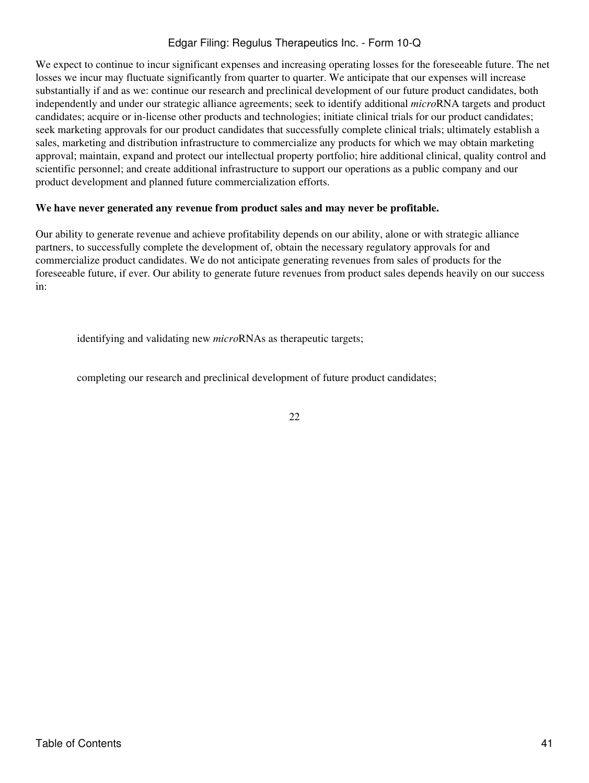We expect to continue to incur significant expenses and increasing operating losses for the foreseeable future. The net losses we incur may fluctuate significantly from quarter to quarter. We anticipate that our expenses will increase substantially if and as we: continue our research and preclinical development of our future product candidates, both independently and under our strategic alliance agreements; seek to identify additional *micro*RNA targets and product candidates; acquire or in-license other products and technologies; initiate clinical trials for our product candidates; seek marketing approvals for our product candidates that successfully complete clinical trials; ultimately establish a sales, marketing and distribution infrastructure to commercialize any products for which we may obtain marketing approval; maintain, expand and protect our intellectual property portfolio; hire additional clinical, quality control and scientific personnel; and create additional infrastructure to support our operations as a public company and our product development and planned future commercialization efforts.

### **We have never generated any revenue from product sales and may never be profitable.**

Our ability to generate revenue and achieve profitability depends on our ability, alone or with strategic alliance partners, to successfully complete the development of, obtain the necessary regulatory approvals for and commercialize product candidates. We do not anticipate generating revenues from sales of products for the foreseeable future, if ever. Our ability to generate future revenues from product sales depends heavily on our success in:

identifying and validating new *micro*RNAs as therapeutic targets;

completing our research and preclinical development of future product candidates;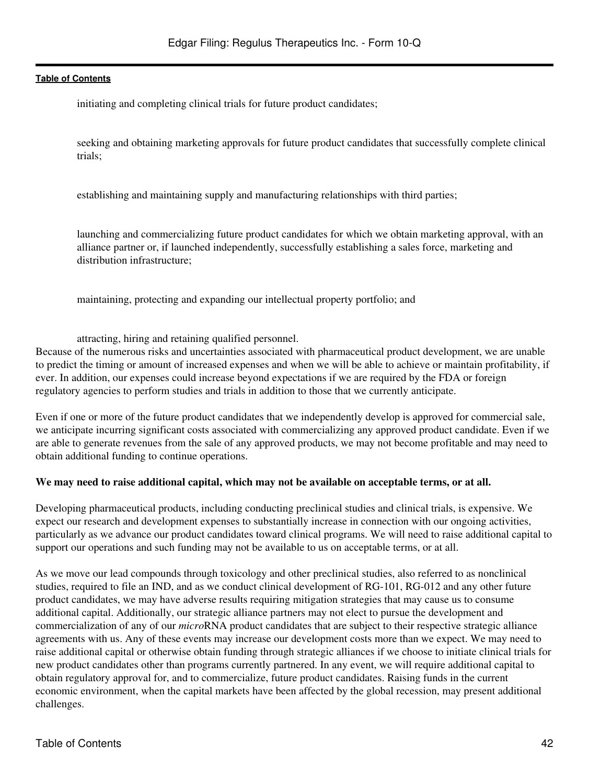initiating and completing clinical trials for future product candidates;

seeking and obtaining marketing approvals for future product candidates that successfully complete clinical trials;

establishing and maintaining supply and manufacturing relationships with third parties;

launching and commercializing future product candidates for which we obtain marketing approval, with an alliance partner or, if launched independently, successfully establishing a sales force, marketing and distribution infrastructure;

maintaining, protecting and expanding our intellectual property portfolio; and

attracting, hiring and retaining qualified personnel.

Because of the numerous risks and uncertainties associated with pharmaceutical product development, we are unable to predict the timing or amount of increased expenses and when we will be able to achieve or maintain profitability, if ever. In addition, our expenses could increase beyond expectations if we are required by the FDA or foreign regulatory agencies to perform studies and trials in addition to those that we currently anticipate.

Even if one or more of the future product candidates that we independently develop is approved for commercial sale, we anticipate incurring significant costs associated with commercializing any approved product candidate. Even if we are able to generate revenues from the sale of any approved products, we may not become profitable and may need to obtain additional funding to continue operations.

#### **We may need to raise additional capital, which may not be available on acceptable terms, or at all.**

Developing pharmaceutical products, including conducting preclinical studies and clinical trials, is expensive. We expect our research and development expenses to substantially increase in connection with our ongoing activities, particularly as we advance our product candidates toward clinical programs. We will need to raise additional capital to support our operations and such funding may not be available to us on acceptable terms, or at all.

As we move our lead compounds through toxicology and other preclinical studies, also referred to as nonclinical studies, required to file an IND, and as we conduct clinical development of RG-101, RG-012 and any other future product candidates, we may have adverse results requiring mitigation strategies that may cause us to consume additional capital. Additionally, our strategic alliance partners may not elect to pursue the development and commercialization of any of our *micro*RNA product candidates that are subject to their respective strategic alliance agreements with us. Any of these events may increase our development costs more than we expect. We may need to raise additional capital or otherwise obtain funding through strategic alliances if we choose to initiate clinical trials for new product candidates other than programs currently partnered. In any event, we will require additional capital to obtain regulatory approval for, and to commercialize, future product candidates. Raising funds in the current economic environment, when the capital markets have been affected by the global recession, may present additional challenges.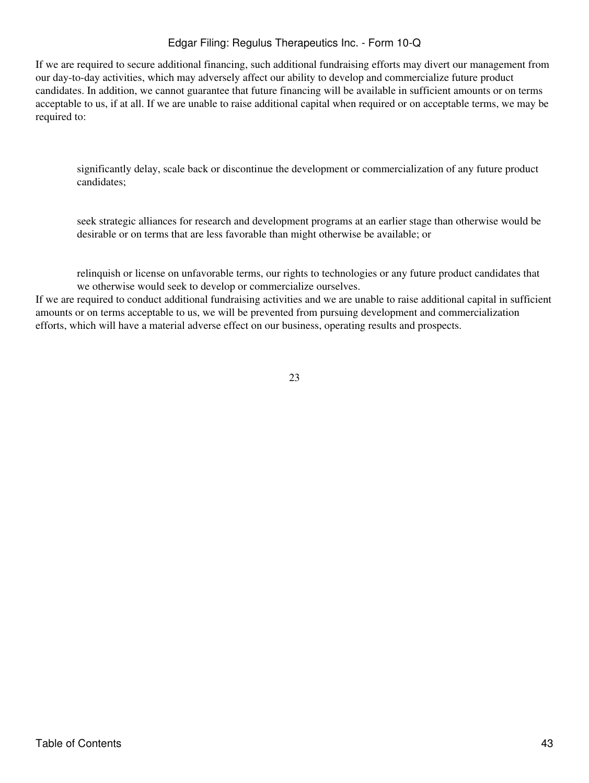If we are required to secure additional financing, such additional fundraising efforts may divert our management from our day-to-day activities, which may adversely affect our ability to develop and commercialize future product candidates. In addition, we cannot guarantee that future financing will be available in sufficient amounts or on terms acceptable to us, if at all. If we are unable to raise additional capital when required or on acceptable terms, we may be required to:

significantly delay, scale back or discontinue the development or commercialization of any future product candidates;

seek strategic alliances for research and development programs at an earlier stage than otherwise would be desirable or on terms that are less favorable than might otherwise be available; or

relinquish or license on unfavorable terms, our rights to technologies or any future product candidates that we otherwise would seek to develop or commercialize ourselves.

If we are required to conduct additional fundraising activities and we are unable to raise additional capital in sufficient amounts or on terms acceptable to us, we will be prevented from pursuing development and commercialization efforts, which will have a material adverse effect on our business, operating results and prospects.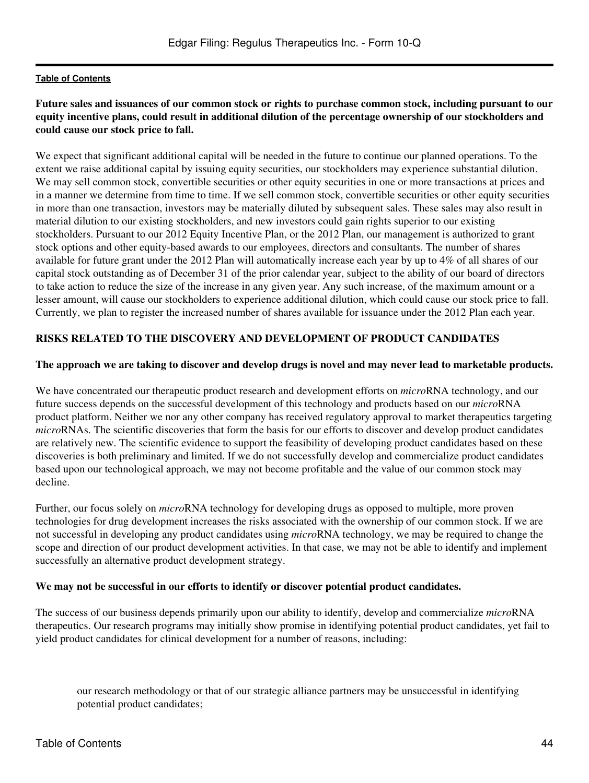## **Future sales and issuances of our common stock or rights to purchase common stock, including pursuant to our equity incentive plans, could result in additional dilution of the percentage ownership of our stockholders and could cause our stock price to fall.**

We expect that significant additional capital will be needed in the future to continue our planned operations. To the extent we raise additional capital by issuing equity securities, our stockholders may experience substantial dilution. We may sell common stock, convertible securities or other equity securities in one or more transactions at prices and in a manner we determine from time to time. If we sell common stock, convertible securities or other equity securities in more than one transaction, investors may be materially diluted by subsequent sales. These sales may also result in material dilution to our existing stockholders, and new investors could gain rights superior to our existing stockholders. Pursuant to our 2012 Equity Incentive Plan, or the 2012 Plan, our management is authorized to grant stock options and other equity-based awards to our employees, directors and consultants. The number of shares available for future grant under the 2012 Plan will automatically increase each year by up to 4% of all shares of our capital stock outstanding as of December 31 of the prior calendar year, subject to the ability of our board of directors to take action to reduce the size of the increase in any given year. Any such increase, of the maximum amount or a lesser amount, will cause our stockholders to experience additional dilution, which could cause our stock price to fall. Currently, we plan to register the increased number of shares available for issuance under the 2012 Plan each year.

## **RISKS RELATED TO THE DISCOVERY AND DEVELOPMENT OF PRODUCT CANDIDATES**

### **The approach we are taking to discover and develop drugs is novel and may never lead to marketable products.**

We have concentrated our therapeutic product research and development efforts on *micro*RNA technology, and our future success depends on the successful development of this technology and products based on our *micro*RNA product platform. Neither we nor any other company has received regulatory approval to market therapeutics targeting *micro*RNAs. The scientific discoveries that form the basis for our efforts to discover and develop product candidates are relatively new. The scientific evidence to support the feasibility of developing product candidates based on these discoveries is both preliminary and limited. If we do not successfully develop and commercialize product candidates based upon our technological approach, we may not become profitable and the value of our common stock may decline.

Further, our focus solely on *micro*RNA technology for developing drugs as opposed to multiple, more proven technologies for drug development increases the risks associated with the ownership of our common stock. If we are not successful in developing any product candidates using *micro*RNA technology, we may be required to change the scope and direction of our product development activities. In that case, we may not be able to identify and implement successfully an alternative product development strategy.

#### **We may not be successful in our efforts to identify or discover potential product candidates.**

The success of our business depends primarily upon our ability to identify, develop and commercialize *micro*RNA therapeutics. Our research programs may initially show promise in identifying potential product candidates, yet fail to yield product candidates for clinical development for a number of reasons, including:

our research methodology or that of our strategic alliance partners may be unsuccessful in identifying potential product candidates;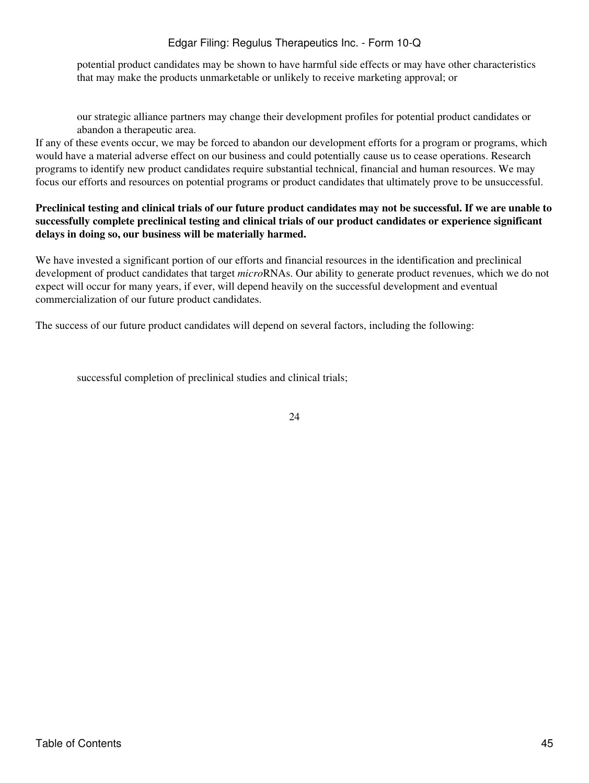potential product candidates may be shown to have harmful side effects or may have other characteristics that may make the products unmarketable or unlikely to receive marketing approval; or

our strategic alliance partners may change their development profiles for potential product candidates or abandon a therapeutic area.

If any of these events occur, we may be forced to abandon our development efforts for a program or programs, which would have a material adverse effect on our business and could potentially cause us to cease operations. Research programs to identify new product candidates require substantial technical, financial and human resources. We may focus our efforts and resources on potential programs or product candidates that ultimately prove to be unsuccessful.

## **Preclinical testing and clinical trials of our future product candidates may not be successful. If we are unable to successfully complete preclinical testing and clinical trials of our product candidates or experience significant delays in doing so, our business will be materially harmed.**

We have invested a significant portion of our efforts and financial resources in the identification and preclinical development of product candidates that target *micro*RNAs. Our ability to generate product revenues, which we do not expect will occur for many years, if ever, will depend heavily on the successful development and eventual commercialization of our future product candidates.

The success of our future product candidates will depend on several factors, including the following:

successful completion of preclinical studies and clinical trials;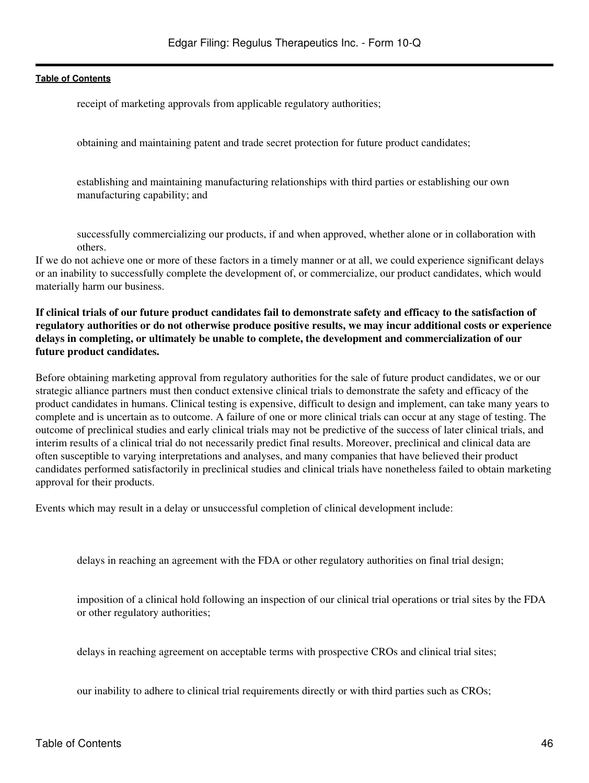receipt of marketing approvals from applicable regulatory authorities;

obtaining and maintaining patent and trade secret protection for future product candidates;

establishing and maintaining manufacturing relationships with third parties or establishing our own manufacturing capability; and

successfully commercializing our products, if and when approved, whether alone or in collaboration with others.

If we do not achieve one or more of these factors in a timely manner or at all, we could experience significant delays or an inability to successfully complete the development of, or commercialize, our product candidates, which would materially harm our business.

## **If clinical trials of our future product candidates fail to demonstrate safety and efficacy to the satisfaction of regulatory authorities or do not otherwise produce positive results, we may incur additional costs or experience delays in completing, or ultimately be unable to complete, the development and commercialization of our future product candidates.**

Before obtaining marketing approval from regulatory authorities for the sale of future product candidates, we or our strategic alliance partners must then conduct extensive clinical trials to demonstrate the safety and efficacy of the product candidates in humans. Clinical testing is expensive, difficult to design and implement, can take many years to complete and is uncertain as to outcome. A failure of one or more clinical trials can occur at any stage of testing. The outcome of preclinical studies and early clinical trials may not be predictive of the success of later clinical trials, and interim results of a clinical trial do not necessarily predict final results. Moreover, preclinical and clinical data are often susceptible to varying interpretations and analyses, and many companies that have believed their product candidates performed satisfactorily in preclinical studies and clinical trials have nonetheless failed to obtain marketing approval for their products.

Events which may result in a delay or unsuccessful completion of clinical development include:

delays in reaching an agreement with the FDA or other regulatory authorities on final trial design;

imposition of a clinical hold following an inspection of our clinical trial operations or trial sites by the FDA or other regulatory authorities;

delays in reaching agreement on acceptable terms with prospective CROs and clinical trial sites;

our inability to adhere to clinical trial requirements directly or with third parties such as CROs;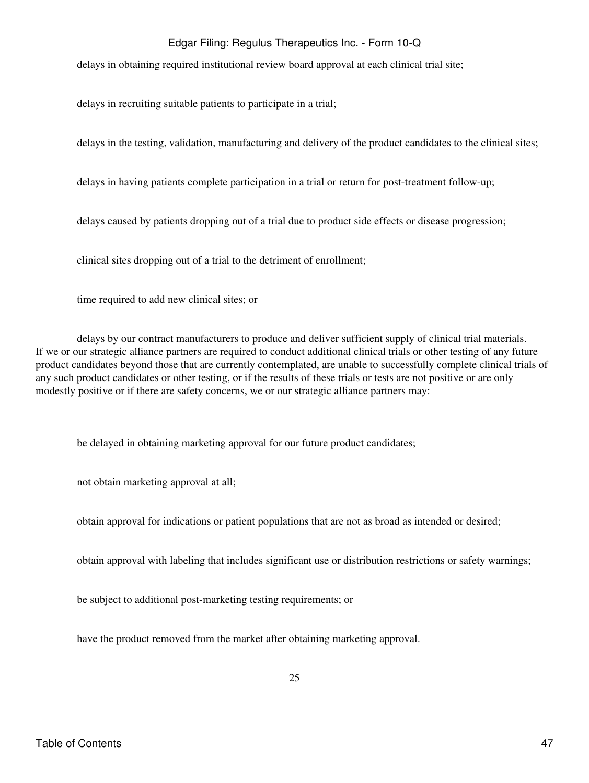delays in obtaining required institutional review board approval at each clinical trial site;

delays in recruiting suitable patients to participate in a trial;

delays in the testing, validation, manufacturing and delivery of the product candidates to the clinical sites;

delays in having patients complete participation in a trial or return for post-treatment follow-up;

delays caused by patients dropping out of a trial due to product side effects or disease progression;

clinical sites dropping out of a trial to the detriment of enrollment;

time required to add new clinical sites; or

delays by our contract manufacturers to produce and deliver sufficient supply of clinical trial materials. If we or our strategic alliance partners are required to conduct additional clinical trials or other testing of any future product candidates beyond those that are currently contemplated, are unable to successfully complete clinical trials of any such product candidates or other testing, or if the results of these trials or tests are not positive or are only modestly positive or if there are safety concerns, we or our strategic alliance partners may:

be delayed in obtaining marketing approval for our future product candidates;

not obtain marketing approval at all;

obtain approval for indications or patient populations that are not as broad as intended or desired;

obtain approval with labeling that includes significant use or distribution restrictions or safety warnings;

be subject to additional post-marketing testing requirements; or

have the product removed from the market after obtaining marketing approval.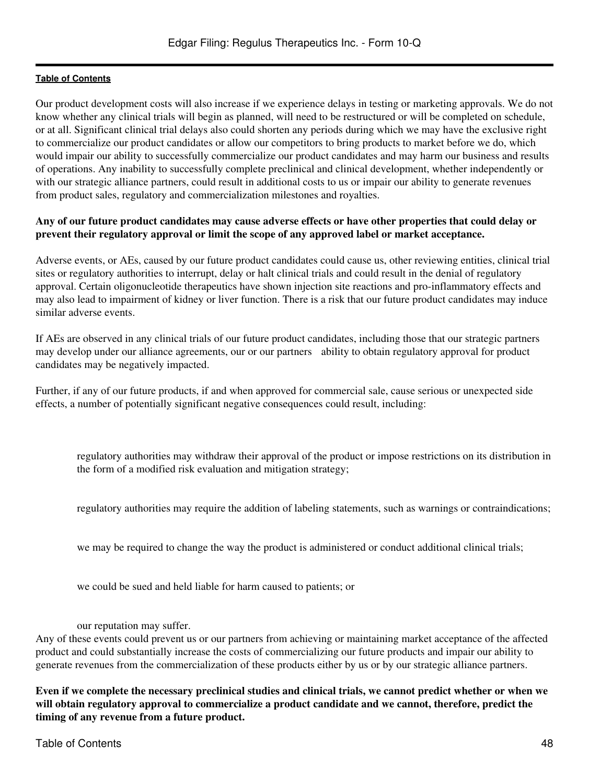Our product development costs will also increase if we experience delays in testing or marketing approvals. We do not know whether any clinical trials will begin as planned, will need to be restructured or will be completed on schedule, or at all. Significant clinical trial delays also could shorten any periods during which we may have the exclusive right to commercialize our product candidates or allow our competitors to bring products to market before we do, which would impair our ability to successfully commercialize our product candidates and may harm our business and results of operations. Any inability to successfully complete preclinical and clinical development, whether independently or with our strategic alliance partners, could result in additional costs to us or impair our ability to generate revenues from product sales, regulatory and commercialization milestones and royalties.

### **Any of our future product candidates may cause adverse effects or have other properties that could delay or prevent their regulatory approval or limit the scope of any approved label or market acceptance.**

Adverse events, or AEs, caused by our future product candidates could cause us, other reviewing entities, clinical trial sites or regulatory authorities to interrupt, delay or halt clinical trials and could result in the denial of regulatory approval. Certain oligonucleotide therapeutics have shown injection site reactions and pro-inflammatory effects and may also lead to impairment of kidney or liver function. There is a risk that our future product candidates may induce similar adverse events.

If AEs are observed in any clinical trials of our future product candidates, including those that our strategic partners may develop under our alliance agreements, our or our partners ability to obtain regulatory approval for product candidates may be negatively impacted.

Further, if any of our future products, if and when approved for commercial sale, cause serious or unexpected side effects, a number of potentially significant negative consequences could result, including:

regulatory authorities may withdraw their approval of the product or impose restrictions on its distribution in the form of a modified risk evaluation and mitigation strategy;

regulatory authorities may require the addition of labeling statements, such as warnings or contraindications;

we may be required to change the way the product is administered or conduct additional clinical trials;

we could be sued and held liable for harm caused to patients; or

our reputation may suffer.

Any of these events could prevent us or our partners from achieving or maintaining market acceptance of the affected product and could substantially increase the costs of commercializing our future products and impair our ability to generate revenues from the commercialization of these products either by us or by our strategic alliance partners.

**Even if we complete the necessary preclinical studies and clinical trials, we cannot predict whether or when we will obtain regulatory approval to commercialize a product candidate and we cannot, therefore, predict the timing of any revenue from a future product.**

Table of Contents 48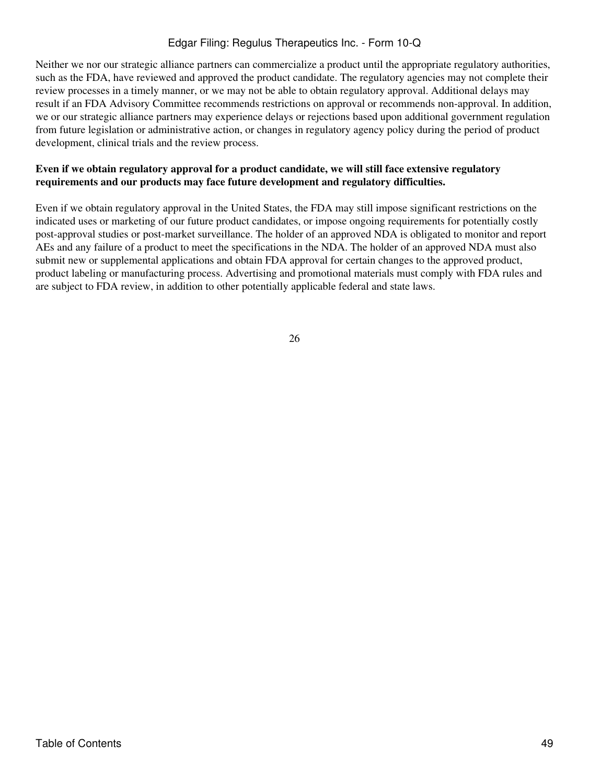Neither we nor our strategic alliance partners can commercialize a product until the appropriate regulatory authorities, such as the FDA, have reviewed and approved the product candidate. The regulatory agencies may not complete their review processes in a timely manner, or we may not be able to obtain regulatory approval. Additional delays may result if an FDA Advisory Committee recommends restrictions on approval or recommends non-approval. In addition, we or our strategic alliance partners may experience delays or rejections based upon additional government regulation from future legislation or administrative action, or changes in regulatory agency policy during the period of product development, clinical trials and the review process.

## **Even if we obtain regulatory approval for a product candidate, we will still face extensive regulatory requirements and our products may face future development and regulatory difficulties.**

Even if we obtain regulatory approval in the United States, the FDA may still impose significant restrictions on the indicated uses or marketing of our future product candidates, or impose ongoing requirements for potentially costly post-approval studies or post-market surveillance. The holder of an approved NDA is obligated to monitor and report AEs and any failure of a product to meet the specifications in the NDA. The holder of an approved NDA must also submit new or supplemental applications and obtain FDA approval for certain changes to the approved product, product labeling or manufacturing process. Advertising and promotional materials must comply with FDA rules and are subject to FDA review, in addition to other potentially applicable federal and state laws.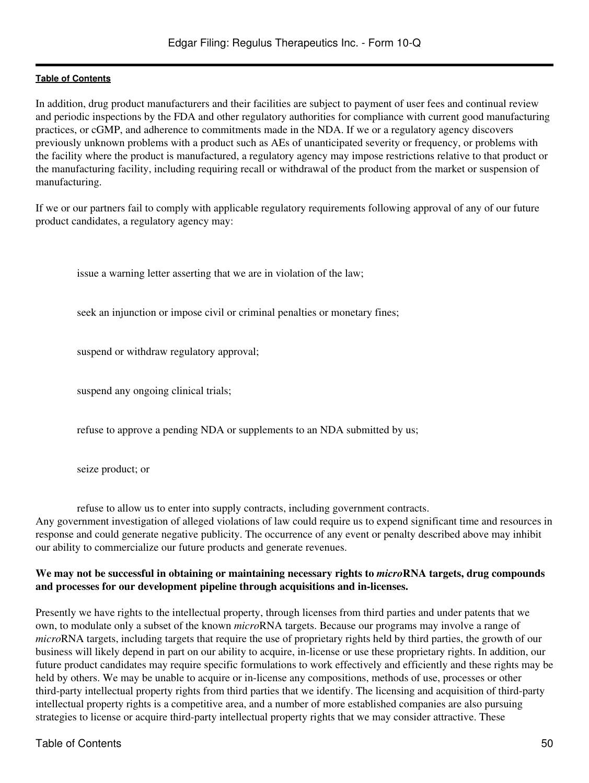In addition, drug product manufacturers and their facilities are subject to payment of user fees and continual review and periodic inspections by the FDA and other regulatory authorities for compliance with current good manufacturing practices, or cGMP, and adherence to commitments made in the NDA. If we or a regulatory agency discovers previously unknown problems with a product such as AEs of unanticipated severity or frequency, or problems with the facility where the product is manufactured, a regulatory agency may impose restrictions relative to that product or the manufacturing facility, including requiring recall or withdrawal of the product from the market or suspension of manufacturing.

If we or our partners fail to comply with applicable regulatory requirements following approval of any of our future product candidates, a regulatory agency may:

issue a warning letter asserting that we are in violation of the law;

seek an injunction or impose civil or criminal penalties or monetary fines;

suspend or withdraw regulatory approval;

suspend any ongoing clinical trials;

refuse to approve a pending NDA or supplements to an NDA submitted by us;

seize product; or

refuse to allow us to enter into supply contracts, including government contracts. Any government investigation of alleged violations of law could require us to expend significant time and resources in response and could generate negative publicity. The occurrence of any event or penalty described above may inhibit our ability to commercialize our future products and generate revenues.

### **We may not be successful in obtaining or maintaining necessary rights to** *micro***RNA targets, drug compounds and processes for our development pipeline through acquisitions and in-licenses.**

Presently we have rights to the intellectual property, through licenses from third parties and under patents that we own, to modulate only a subset of the known *micro*RNA targets. Because our programs may involve a range of *micro*RNA targets, including targets that require the use of proprietary rights held by third parties, the growth of our business will likely depend in part on our ability to acquire, in-license or use these proprietary rights. In addition, our future product candidates may require specific formulations to work effectively and efficiently and these rights may be held by others. We may be unable to acquire or in-license any compositions, methods of use, processes or other third-party intellectual property rights from third parties that we identify. The licensing and acquisition of third-party intellectual property rights is a competitive area, and a number of more established companies are also pursuing strategies to license or acquire third-party intellectual property rights that we may consider attractive. These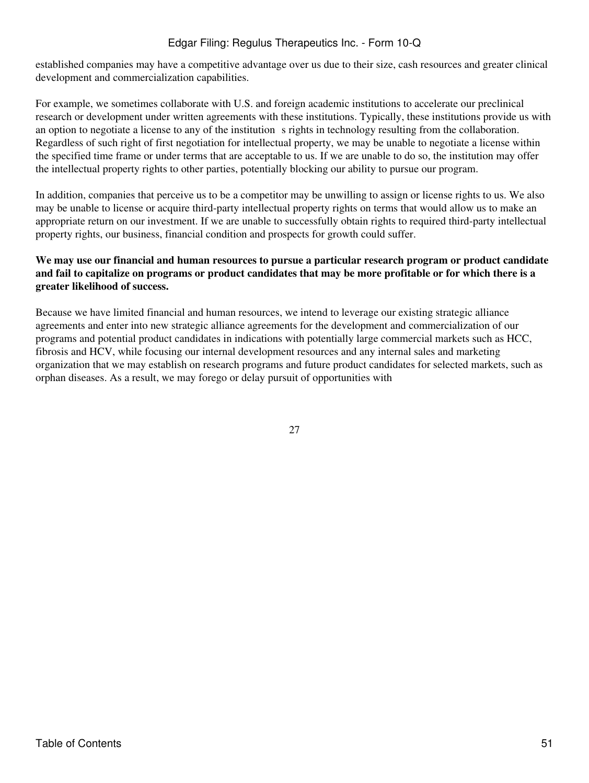established companies may have a competitive advantage over us due to their size, cash resources and greater clinical development and commercialization capabilities.

For example, we sometimes collaborate with U.S. and foreign academic institutions to accelerate our preclinical research or development under written agreements with these institutions. Typically, these institutions provide us with an option to negotiate a license to any of the institution s rights in technology resulting from the collaboration. Regardless of such right of first negotiation for intellectual property, we may be unable to negotiate a license within the specified time frame or under terms that are acceptable to us. If we are unable to do so, the institution may offer the intellectual property rights to other parties, potentially blocking our ability to pursue our program.

In addition, companies that perceive us to be a competitor may be unwilling to assign or license rights to us. We also may be unable to license or acquire third-party intellectual property rights on terms that would allow us to make an appropriate return on our investment. If we are unable to successfully obtain rights to required third-party intellectual property rights, our business, financial condition and prospects for growth could suffer.

## **We may use our financial and human resources to pursue a particular research program or product candidate and fail to capitalize on programs or product candidates that may be more profitable or for which there is a greater likelihood of success.**

Because we have limited financial and human resources, we intend to leverage our existing strategic alliance agreements and enter into new strategic alliance agreements for the development and commercialization of our programs and potential product candidates in indications with potentially large commercial markets such as HCC, fibrosis and HCV, while focusing our internal development resources and any internal sales and marketing organization that we may establish on research programs and future product candidates for selected markets, such as orphan diseases. As a result, we may forego or delay pursuit of opportunities with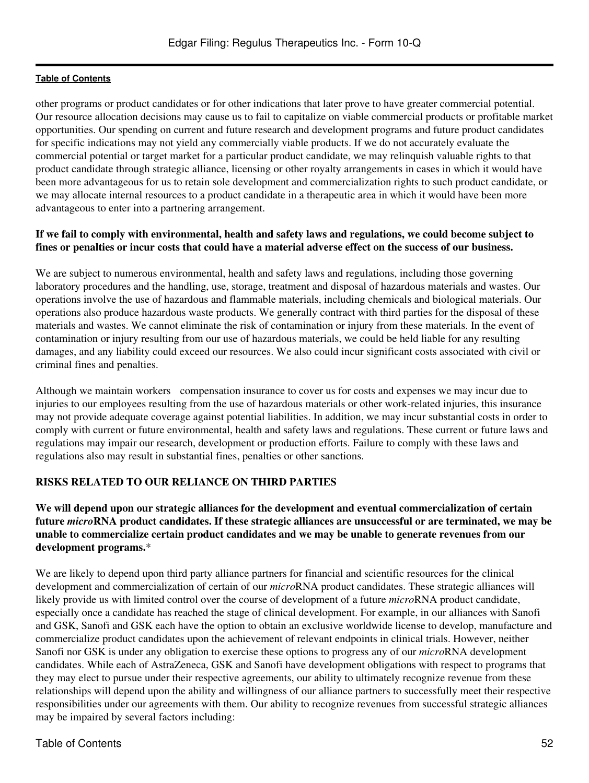other programs or product candidates or for other indications that later prove to have greater commercial potential. Our resource allocation decisions may cause us to fail to capitalize on viable commercial products or profitable market opportunities. Our spending on current and future research and development programs and future product candidates for specific indications may not yield any commercially viable products. If we do not accurately evaluate the commercial potential or target market for a particular product candidate, we may relinquish valuable rights to that product candidate through strategic alliance, licensing or other royalty arrangements in cases in which it would have been more advantageous for us to retain sole development and commercialization rights to such product candidate, or we may allocate internal resources to a product candidate in a therapeutic area in which it would have been more advantageous to enter into a partnering arrangement.

## **If we fail to comply with environmental, health and safety laws and regulations, we could become subject to fines or penalties or incur costs that could have a material adverse effect on the success of our business.**

We are subject to numerous environmental, health and safety laws and regulations, including those governing laboratory procedures and the handling, use, storage, treatment and disposal of hazardous materials and wastes. Our operations involve the use of hazardous and flammable materials, including chemicals and biological materials. Our operations also produce hazardous waste products. We generally contract with third parties for the disposal of these materials and wastes. We cannot eliminate the risk of contamination or injury from these materials. In the event of contamination or injury resulting from our use of hazardous materials, we could be held liable for any resulting damages, and any liability could exceed our resources. We also could incur significant costs associated with civil or criminal fines and penalties.

Although we maintain workers compensation insurance to cover us for costs and expenses we may incur due to injuries to our employees resulting from the use of hazardous materials or other work-related injuries, this insurance may not provide adequate coverage against potential liabilities. In addition, we may incur substantial costs in order to comply with current or future environmental, health and safety laws and regulations. These current or future laws and regulations may impair our research, development or production efforts. Failure to comply with these laws and regulations also may result in substantial fines, penalties or other sanctions.

## **RISKS RELATED TO OUR RELIANCE ON THIRD PARTIES**

**We will depend upon our strategic alliances for the development and eventual commercialization of certain future** *micro***RNA product candidates. If these strategic alliances are unsuccessful or are terminated, we may be unable to commercialize certain product candidates and we may be unable to generate revenues from our development programs.**\*

We are likely to depend upon third party alliance partners for financial and scientific resources for the clinical development and commercialization of certain of our *micro*RNA product candidates. These strategic alliances will likely provide us with limited control over the course of development of a future *micro*RNA product candidate, especially once a candidate has reached the stage of clinical development. For example, in our alliances with Sanofi and GSK, Sanofi and GSK each have the option to obtain an exclusive worldwide license to develop, manufacture and commercialize product candidates upon the achievement of relevant endpoints in clinical trials. However, neither Sanofi nor GSK is under any obligation to exercise these options to progress any of our *micro*RNA development candidates. While each of AstraZeneca, GSK and Sanofi have development obligations with respect to programs that they may elect to pursue under their respective agreements, our ability to ultimately recognize revenue from these relationships will depend upon the ability and willingness of our alliance partners to successfully meet their respective responsibilities under our agreements with them. Our ability to recognize revenues from successful strategic alliances may be impaired by several factors including: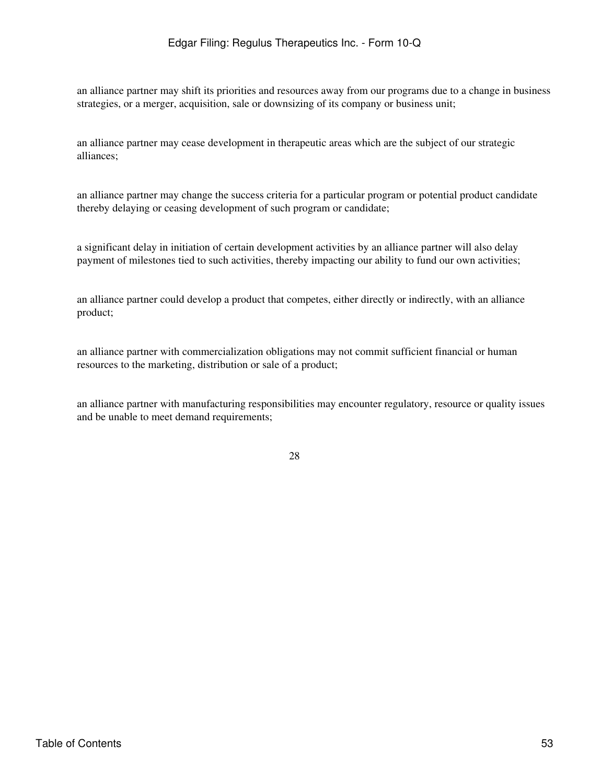an alliance partner may shift its priorities and resources away from our programs due to a change in business strategies, or a merger, acquisition, sale or downsizing of its company or business unit;

an alliance partner may cease development in therapeutic areas which are the subject of our strategic alliances;

an alliance partner may change the success criteria for a particular program or potential product candidate thereby delaying or ceasing development of such program or candidate;

a significant delay in initiation of certain development activities by an alliance partner will also delay payment of milestones tied to such activities, thereby impacting our ability to fund our own activities;

an alliance partner could develop a product that competes, either directly or indirectly, with an alliance product;

an alliance partner with commercialization obligations may not commit sufficient financial or human resources to the marketing, distribution or sale of a product;

an alliance partner with manufacturing responsibilities may encounter regulatory, resource or quality issues and be unable to meet demand requirements;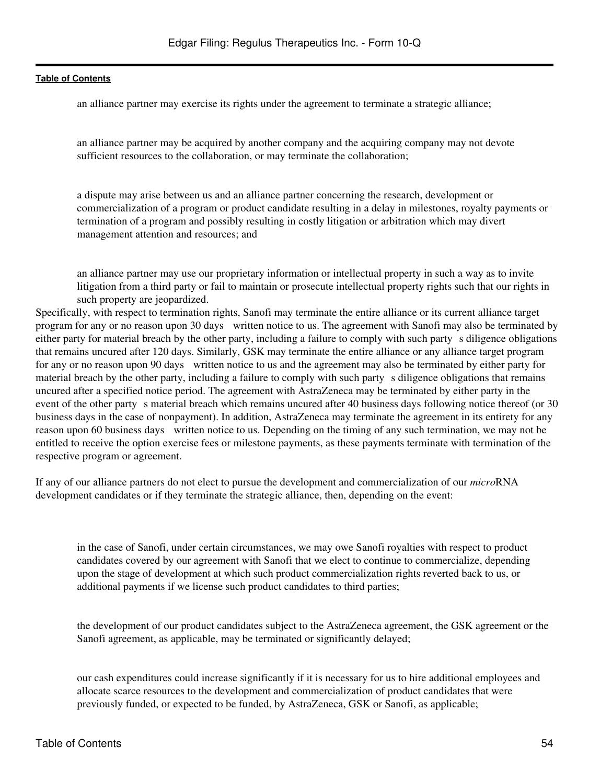an alliance partner may exercise its rights under the agreement to terminate a strategic alliance;

an alliance partner may be acquired by another company and the acquiring company may not devote sufficient resources to the collaboration, or may terminate the collaboration;

a dispute may arise between us and an alliance partner concerning the research, development or commercialization of a program or product candidate resulting in a delay in milestones, royalty payments or termination of a program and possibly resulting in costly litigation or arbitration which may divert management attention and resources; and

an alliance partner may use our proprietary information or intellectual property in such a way as to invite litigation from a third party or fail to maintain or prosecute intellectual property rights such that our rights in such property are jeopardized.

Specifically, with respect to termination rights, Sanofi may terminate the entire alliance or its current alliance target program for any or no reason upon 30 days written notice to us. The agreement with Sanofi may also be terminated by either party for material breach by the other party, including a failure to comply with such party s diligence obligations that remains uncured after 120 days. Similarly, GSK may terminate the entire alliance or any alliance target program for any or no reason upon 90 days written notice to us and the agreement may also be terminated by either party for material breach by the other party, including a failure to comply with such party s diligence obligations that remains uncured after a specified notice period. The agreement with AstraZeneca may be terminated by either party in the event of the other party s material breach which remains uncured after 40 business days following notice thereof (or 30 business days in the case of nonpayment). In addition, AstraZeneca may terminate the agreement in its entirety for any reason upon 60 business days written notice to us. Depending on the timing of any such termination, we may not be entitled to receive the option exercise fees or milestone payments, as these payments terminate with termination of the respective program or agreement.

If any of our alliance partners do not elect to pursue the development and commercialization of our *micro*RNA development candidates or if they terminate the strategic alliance, then, depending on the event:

in the case of Sanofi, under certain circumstances, we may owe Sanofi royalties with respect to product candidates covered by our agreement with Sanofi that we elect to continue to commercialize, depending upon the stage of development at which such product commercialization rights reverted back to us, or additional payments if we license such product candidates to third parties;

the development of our product candidates subject to the AstraZeneca agreement, the GSK agreement or the Sanofi agreement, as applicable, may be terminated or significantly delayed;

our cash expenditures could increase significantly if it is necessary for us to hire additional employees and allocate scarce resources to the development and commercialization of product candidates that were previously funded, or expected to be funded, by AstraZeneca, GSK or Sanofi, as applicable;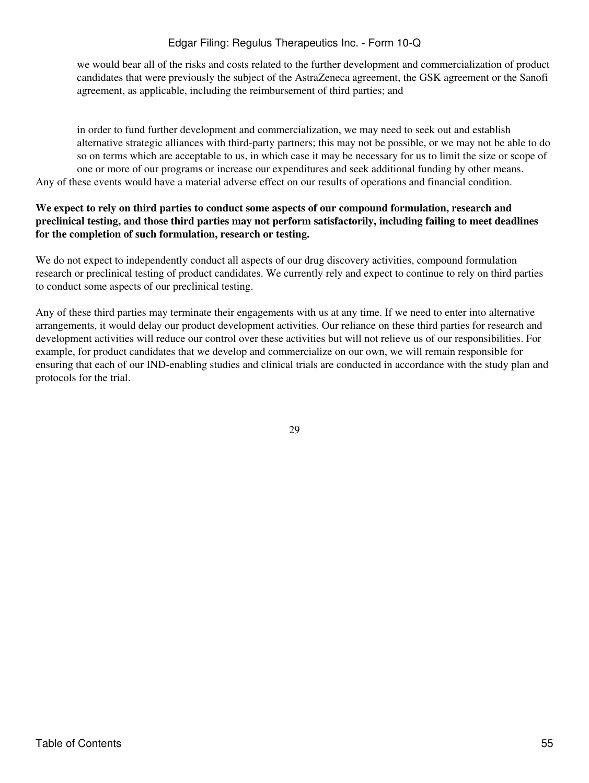we would bear all of the risks and costs related to the further development and commercialization of product candidates that were previously the subject of the AstraZeneca agreement, the GSK agreement or the Sanofi agreement, as applicable, including the reimbursement of third parties; and

in order to fund further development and commercialization, we may need to seek out and establish alternative strategic alliances with third-party partners; this may not be possible, or we may not be able to do so on terms which are acceptable to us, in which case it may be necessary for us to limit the size or scope of one or more of our programs or increase our expenditures and seek additional funding by other means. Any of these events would have a material adverse effect on our results of operations and financial condition.

### **We expect to rely on third parties to conduct some aspects of our compound formulation, research and preclinical testing, and those third parties may not perform satisfactorily, including failing to meet deadlines for the completion of such formulation, research or testing.**

We do not expect to independently conduct all aspects of our drug discovery activities, compound formulation research or preclinical testing of product candidates. We currently rely and expect to continue to rely on third parties to conduct some aspects of our preclinical testing.

Any of these third parties may terminate their engagements with us at any time. If we need to enter into alternative arrangements, it would delay our product development activities. Our reliance on these third parties for research and development activities will reduce our control over these activities but will not relieve us of our responsibilities. For example, for product candidates that we develop and commercialize on our own, we will remain responsible for ensuring that each of our IND-enabling studies and clinical trials are conducted in accordance with the study plan and protocols for the trial.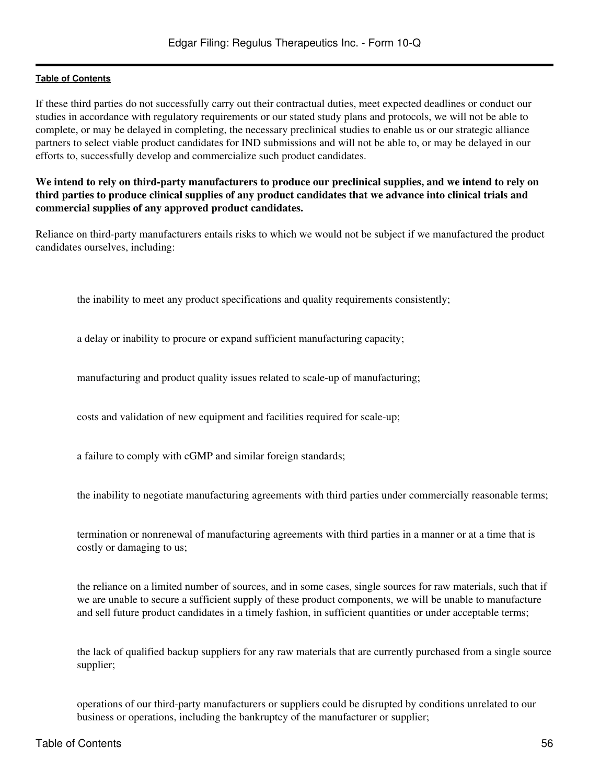If these third parties do not successfully carry out their contractual duties, meet expected deadlines or conduct our studies in accordance with regulatory requirements or our stated study plans and protocols, we will not be able to complete, or may be delayed in completing, the necessary preclinical studies to enable us or our strategic alliance partners to select viable product candidates for IND submissions and will not be able to, or may be delayed in our efforts to, successfully develop and commercialize such product candidates.

### **We intend to rely on third-party manufacturers to produce our preclinical supplies, and we intend to rely on third parties to produce clinical supplies of any product candidates that we advance into clinical trials and commercial supplies of any approved product candidates.**

Reliance on third-party manufacturers entails risks to which we would not be subject if we manufactured the product candidates ourselves, including:

the inability to meet any product specifications and quality requirements consistently;

a delay or inability to procure or expand sufficient manufacturing capacity;

manufacturing and product quality issues related to scale-up of manufacturing;

costs and validation of new equipment and facilities required for scale-up;

a failure to comply with cGMP and similar foreign standards;

the inability to negotiate manufacturing agreements with third parties under commercially reasonable terms;

termination or nonrenewal of manufacturing agreements with third parties in a manner or at a time that is costly or damaging to us;

the reliance on a limited number of sources, and in some cases, single sources for raw materials, such that if we are unable to secure a sufficient supply of these product components, we will be unable to manufacture and sell future product candidates in a timely fashion, in sufficient quantities or under acceptable terms;

the lack of qualified backup suppliers for any raw materials that are currently purchased from a single source supplier;

operations of our third-party manufacturers or suppliers could be disrupted by conditions unrelated to our business or operations, including the bankruptcy of the manufacturer or supplier;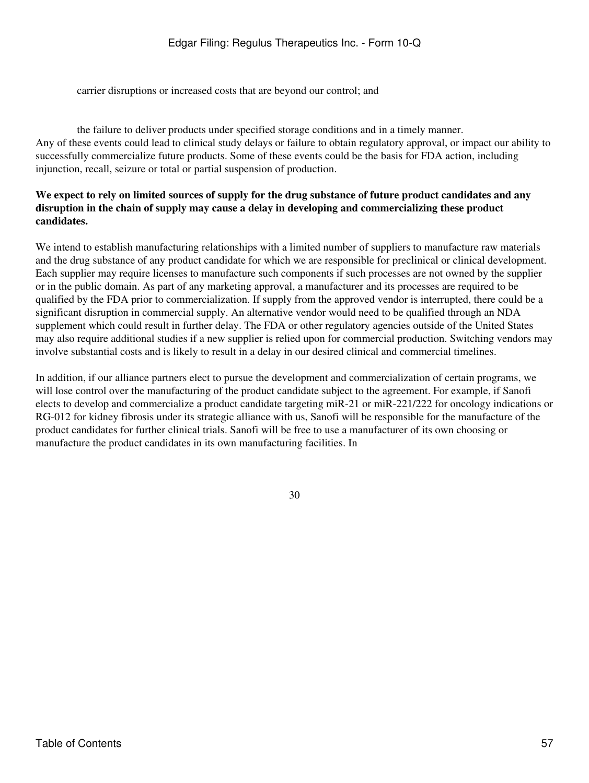carrier disruptions or increased costs that are beyond our control; and

the failure to deliver products under specified storage conditions and in a timely manner. Any of these events could lead to clinical study delays or failure to obtain regulatory approval, or impact our ability to successfully commercialize future products. Some of these events could be the basis for FDA action, including injunction, recall, seizure or total or partial suspension of production.

## **We expect to rely on limited sources of supply for the drug substance of future product candidates and any disruption in the chain of supply may cause a delay in developing and commercializing these product candidates.**

We intend to establish manufacturing relationships with a limited number of suppliers to manufacture raw materials and the drug substance of any product candidate for which we are responsible for preclinical or clinical development. Each supplier may require licenses to manufacture such components if such processes are not owned by the supplier or in the public domain. As part of any marketing approval, a manufacturer and its processes are required to be qualified by the FDA prior to commercialization. If supply from the approved vendor is interrupted, there could be a significant disruption in commercial supply. An alternative vendor would need to be qualified through an NDA supplement which could result in further delay. The FDA or other regulatory agencies outside of the United States may also require additional studies if a new supplier is relied upon for commercial production. Switching vendors may involve substantial costs and is likely to result in a delay in our desired clinical and commercial timelines.

In addition, if our alliance partners elect to pursue the development and commercialization of certain programs, we will lose control over the manufacturing of the product candidate subject to the agreement. For example, if Sanofi elects to develop and commercialize a product candidate targeting miR-21 or miR-221/222 for oncology indications or RG-012 for kidney fibrosis under its strategic alliance with us, Sanofi will be responsible for the manufacture of the product candidates for further clinical trials. Sanofi will be free to use a manufacturer of its own choosing or manufacture the product candidates in its own manufacturing facilities. In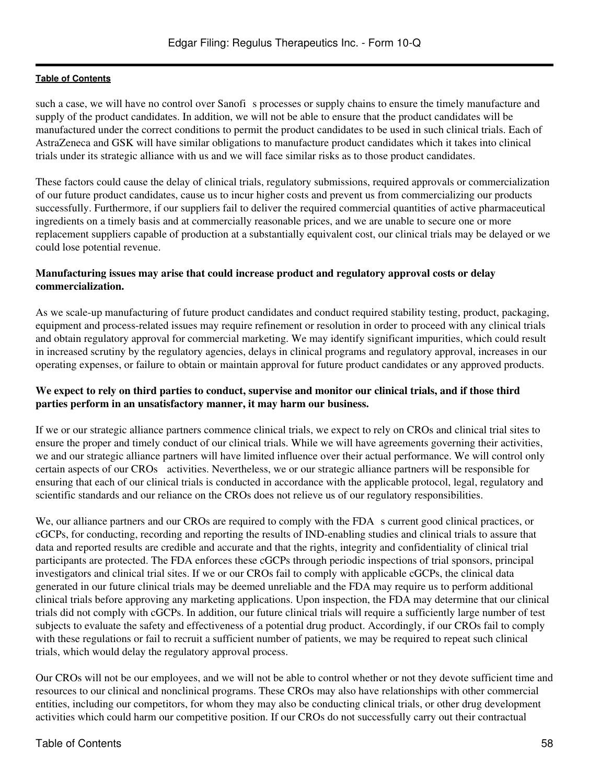such a case, we will have no control over Sanofis processes or supply chains to ensure the timely manufacture and supply of the product candidates. In addition, we will not be able to ensure that the product candidates will be manufactured under the correct conditions to permit the product candidates to be used in such clinical trials. Each of AstraZeneca and GSK will have similar obligations to manufacture product candidates which it takes into clinical trials under its strategic alliance with us and we will face similar risks as to those product candidates.

These factors could cause the delay of clinical trials, regulatory submissions, required approvals or commercialization of our future product candidates, cause us to incur higher costs and prevent us from commercializing our products successfully. Furthermore, if our suppliers fail to deliver the required commercial quantities of active pharmaceutical ingredients on a timely basis and at commercially reasonable prices, and we are unable to secure one or more replacement suppliers capable of production at a substantially equivalent cost, our clinical trials may be delayed or we could lose potential revenue.

## **Manufacturing issues may arise that could increase product and regulatory approval costs or delay commercialization.**

As we scale-up manufacturing of future product candidates and conduct required stability testing, product, packaging, equipment and process-related issues may require refinement or resolution in order to proceed with any clinical trials and obtain regulatory approval for commercial marketing. We may identify significant impurities, which could result in increased scrutiny by the regulatory agencies, delays in clinical programs and regulatory approval, increases in our operating expenses, or failure to obtain or maintain approval for future product candidates or any approved products.

### **We expect to rely on third parties to conduct, supervise and monitor our clinical trials, and if those third parties perform in an unsatisfactory manner, it may harm our business.**

If we or our strategic alliance partners commence clinical trials, we expect to rely on CROs and clinical trial sites to ensure the proper and timely conduct of our clinical trials. While we will have agreements governing their activities, we and our strategic alliance partners will have limited influence over their actual performance. We will control only certain aspects of our CROs activities. Nevertheless, we or our strategic alliance partners will be responsible for ensuring that each of our clinical trials is conducted in accordance with the applicable protocol, legal, regulatory and scientific standards and our reliance on the CROs does not relieve us of our regulatory responsibilities.

We, our alliance partners and our CROs are required to comply with the FDA s current good clinical practices, or cGCPs, for conducting, recording and reporting the results of IND-enabling studies and clinical trials to assure that data and reported results are credible and accurate and that the rights, integrity and confidentiality of clinical trial participants are protected. The FDA enforces these cGCPs through periodic inspections of trial sponsors, principal investigators and clinical trial sites. If we or our CROs fail to comply with applicable cGCPs, the clinical data generated in our future clinical trials may be deemed unreliable and the FDA may require us to perform additional clinical trials before approving any marketing applications. Upon inspection, the FDA may determine that our clinical trials did not comply with cGCPs. In addition, our future clinical trials will require a sufficiently large number of test subjects to evaluate the safety and effectiveness of a potential drug product. Accordingly, if our CROs fail to comply with these regulations or fail to recruit a sufficient number of patients, we may be required to repeat such clinical trials, which would delay the regulatory approval process.

Our CROs will not be our employees, and we will not be able to control whether or not they devote sufficient time and resources to our clinical and nonclinical programs. These CROs may also have relationships with other commercial entities, including our competitors, for whom they may also be conducting clinical trials, or other drug development activities which could harm our competitive position. If our CROs do not successfully carry out their contractual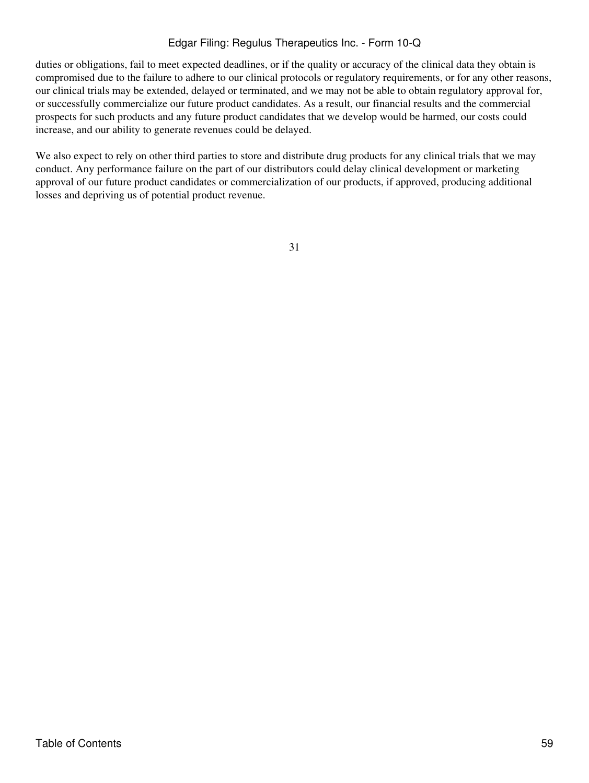duties or obligations, fail to meet expected deadlines, or if the quality or accuracy of the clinical data they obtain is compromised due to the failure to adhere to our clinical protocols or regulatory requirements, or for any other reasons, our clinical trials may be extended, delayed or terminated, and we may not be able to obtain regulatory approval for, or successfully commercialize our future product candidates. As a result, our financial results and the commercial prospects for such products and any future product candidates that we develop would be harmed, our costs could increase, and our ability to generate revenues could be delayed.

We also expect to rely on other third parties to store and distribute drug products for any clinical trials that we may conduct. Any performance failure on the part of our distributors could delay clinical development or marketing approval of our future product candidates or commercialization of our products, if approved, producing additional losses and depriving us of potential product revenue.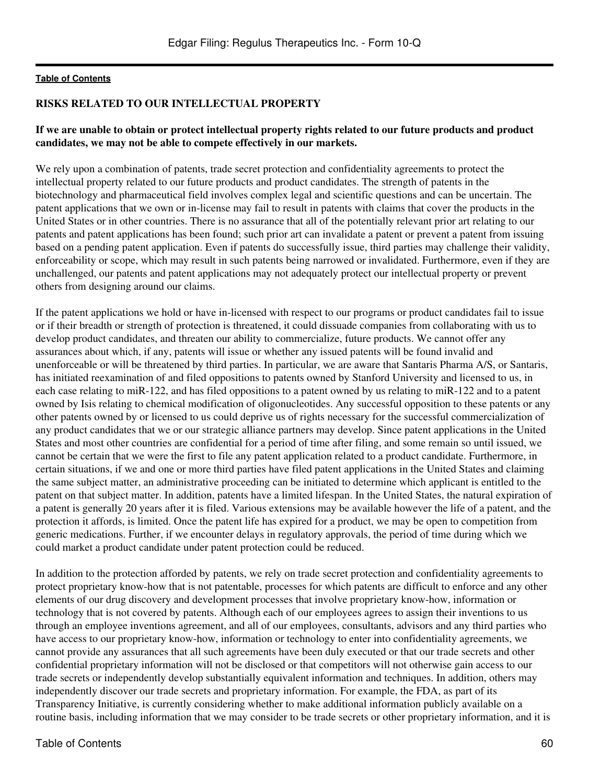### **RISKS RELATED TO OUR INTELLECTUAL PROPERTY**

#### **If we are unable to obtain or protect intellectual property rights related to our future products and product candidates, we may not be able to compete effectively in our markets.**

We rely upon a combination of patents, trade secret protection and confidentiality agreements to protect the intellectual property related to our future products and product candidates. The strength of patents in the biotechnology and pharmaceutical field involves complex legal and scientific questions and can be uncertain. The patent applications that we own or in-license may fail to result in patents with claims that cover the products in the United States or in other countries. There is no assurance that all of the potentially relevant prior art relating to our patents and patent applications has been found; such prior art can invalidate a patent or prevent a patent from issuing based on a pending patent application. Even if patents do successfully issue, third parties may challenge their validity, enforceability or scope, which may result in such patents being narrowed or invalidated. Furthermore, even if they are unchallenged, our patents and patent applications may not adequately protect our intellectual property or prevent others from designing around our claims.

If the patent applications we hold or have in-licensed with respect to our programs or product candidates fail to issue or if their breadth or strength of protection is threatened, it could dissuade companies from collaborating with us to develop product candidates, and threaten our ability to commercialize, future products. We cannot offer any assurances about which, if any, patents will issue or whether any issued patents will be found invalid and unenforceable or will be threatened by third parties. In particular, we are aware that Santaris Pharma A/S, or Santaris, has initiated reexamination of and filed oppositions to patents owned by Stanford University and licensed to us, in each case relating to miR-122, and has filed oppositions to a patent owned by us relating to miR-122 and to a patent owned by Isis relating to chemical modification of oligonucleotides. Any successful opposition to these patents or any other patents owned by or licensed to us could deprive us of rights necessary for the successful commercialization of any product candidates that we or our strategic alliance partners may develop. Since patent applications in the United States and most other countries are confidential for a period of time after filing, and some remain so until issued, we cannot be certain that we were the first to file any patent application related to a product candidate. Furthermore, in certain situations, if we and one or more third parties have filed patent applications in the United States and claiming the same subject matter, an administrative proceeding can be initiated to determine which applicant is entitled to the patent on that subject matter. In addition, patents have a limited lifespan. In the United States, the natural expiration of a patent is generally 20 years after it is filed. Various extensions may be available however the life of a patent, and the protection it affords, is limited. Once the patent life has expired for a product, we may be open to competition from generic medications. Further, if we encounter delays in regulatory approvals, the period of time during which we could market a product candidate under patent protection could be reduced.

In addition to the protection afforded by patents, we rely on trade secret protection and confidentiality agreements to protect proprietary know-how that is not patentable, processes for which patents are difficult to enforce and any other elements of our drug discovery and development processes that involve proprietary know-how, information or technology that is not covered by patents. Although each of our employees agrees to assign their inventions to us through an employee inventions agreement, and all of our employees, consultants, advisors and any third parties who have access to our proprietary know-how, information or technology to enter into confidentiality agreements, we cannot provide any assurances that all such agreements have been duly executed or that our trade secrets and other confidential proprietary information will not be disclosed or that competitors will not otherwise gain access to our trade secrets or independently develop substantially equivalent information and techniques. In addition, others may independently discover our trade secrets and proprietary information. For example, the FDA, as part of its Transparency Initiative, is currently considering whether to make additional information publicly available on a routine basis, including information that we may consider to be trade secrets or other proprietary information, and it is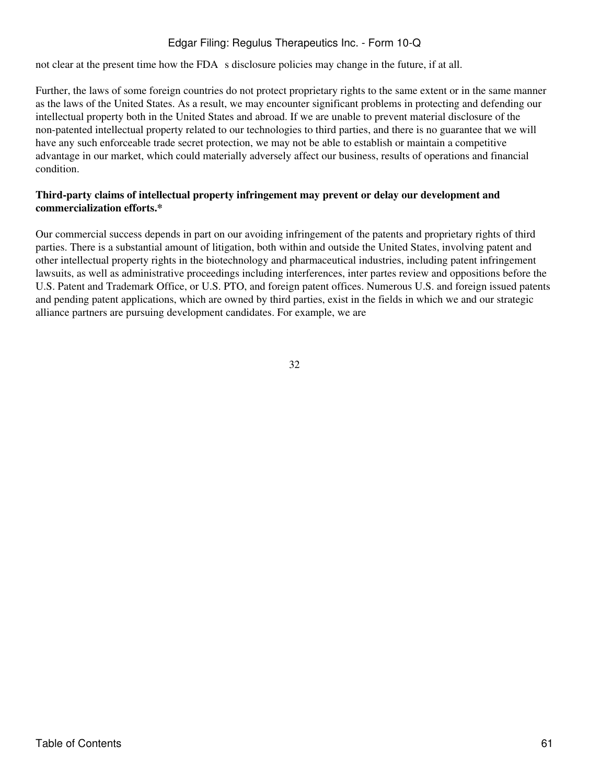not clear at the present time how the FDA s disclosure policies may change in the future, if at all.

Further, the laws of some foreign countries do not protect proprietary rights to the same extent or in the same manner as the laws of the United States. As a result, we may encounter significant problems in protecting and defending our intellectual property both in the United States and abroad. If we are unable to prevent material disclosure of the non-patented intellectual property related to our technologies to third parties, and there is no guarantee that we will have any such enforceable trade secret protection, we may not be able to establish or maintain a competitive advantage in our market, which could materially adversely affect our business, results of operations and financial condition.

## **Third-party claims of intellectual property infringement may prevent or delay our development and commercialization efforts.\***

Our commercial success depends in part on our avoiding infringement of the patents and proprietary rights of third parties. There is a substantial amount of litigation, both within and outside the United States, involving patent and other intellectual property rights in the biotechnology and pharmaceutical industries, including patent infringement lawsuits, as well as administrative proceedings including interferences, inter partes review and oppositions before the U.S. Patent and Trademark Office, or U.S. PTO, and foreign patent offices. Numerous U.S. and foreign issued patents and pending patent applications, which are owned by third parties, exist in the fields in which we and our strategic alliance partners are pursuing development candidates. For example, we are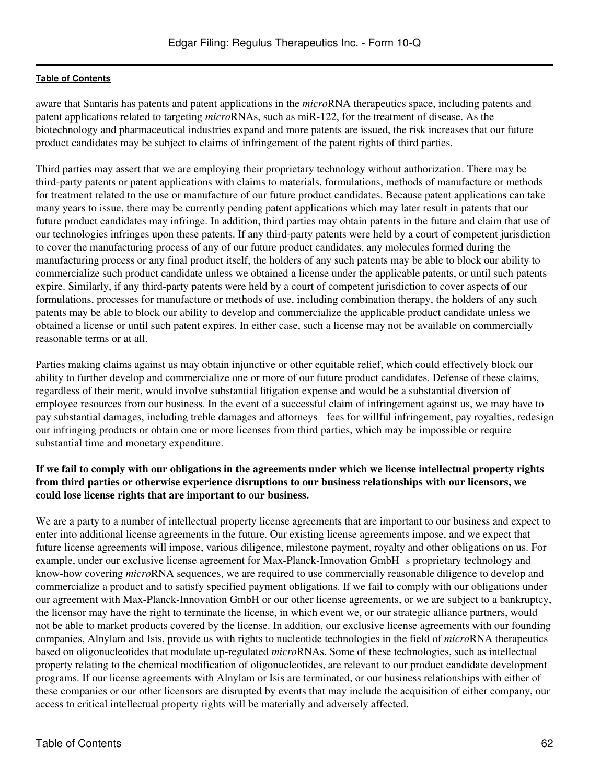aware that Santaris has patents and patent applications in the *micro*RNA therapeutics space, including patents and patent applications related to targeting *micro*RNAs, such as miR-122, for the treatment of disease. As the biotechnology and pharmaceutical industries expand and more patents are issued, the risk increases that our future product candidates may be subject to claims of infringement of the patent rights of third parties.

Third parties may assert that we are employing their proprietary technology without authorization. There may be third-party patents or patent applications with claims to materials, formulations, methods of manufacture or methods for treatment related to the use or manufacture of our future product candidates. Because patent applications can take many years to issue, there may be currently pending patent applications which may later result in patents that our future product candidates may infringe. In addition, third parties may obtain patents in the future and claim that use of our technologies infringes upon these patents. If any third-party patents were held by a court of competent jurisdiction to cover the manufacturing process of any of our future product candidates, any molecules formed during the manufacturing process or any final product itself, the holders of any such patents may be able to block our ability to commercialize such product candidate unless we obtained a license under the applicable patents, or until such patents expire. Similarly, if any third-party patents were held by a court of competent jurisdiction to cover aspects of our formulations, processes for manufacture or methods of use, including combination therapy, the holders of any such patents may be able to block our ability to develop and commercialize the applicable product candidate unless we obtained a license or until such patent expires. In either case, such a license may not be available on commercially reasonable terms or at all.

Parties making claims against us may obtain injunctive or other equitable relief, which could effectively block our ability to further develop and commercialize one or more of our future product candidates. Defense of these claims, regardless of their merit, would involve substantial litigation expense and would be a substantial diversion of employee resources from our business. In the event of a successful claim of infringement against us, we may have to pay substantial damages, including treble damages and attorneys fees for willful infringement, pay royalties, redesign our infringing products or obtain one or more licenses from third parties, which may be impossible or require substantial time and monetary expenditure.

## **If we fail to comply with our obligations in the agreements under which we license intellectual property rights from third parties or otherwise experience disruptions to our business relationships with our licensors, we could lose license rights that are important to our business.**

We are a party to a number of intellectual property license agreements that are important to our business and expect to enter into additional license agreements in the future. Our existing license agreements impose, and we expect that future license agreements will impose, various diligence, milestone payment, royalty and other obligations on us. For example, under our exclusive license agreement for Max-Planck-Innovation GmbH s proprietary technology and know-how covering *micro*RNA sequences, we are required to use commercially reasonable diligence to develop and commercialize a product and to satisfy specified payment obligations. If we fail to comply with our obligations under our agreement with Max-Planck-Innovation GmbH or our other license agreements, or we are subject to a bankruptcy, the licensor may have the right to terminate the license, in which event we, or our strategic alliance partners, would not be able to market products covered by the license. In addition, our exclusive license agreements with our founding companies, Alnylam and Isis, provide us with rights to nucleotide technologies in the field of *micro*RNA therapeutics based on oligonucleotides that modulate up-regulated *micro*RNAs. Some of these technologies, such as intellectual property relating to the chemical modification of oligonucleotides, are relevant to our product candidate development programs. If our license agreements with Alnylam or Isis are terminated, or our business relationships with either of these companies or our other licensors are disrupted by events that may include the acquisition of either company, our access to critical intellectual property rights will be materially and adversely affected.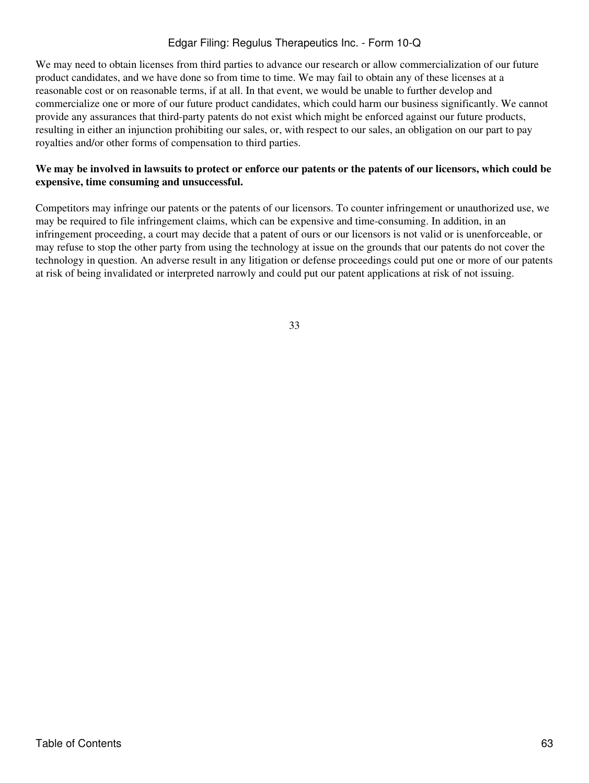We may need to obtain licenses from third parties to advance our research or allow commercialization of our future product candidates, and we have done so from time to time. We may fail to obtain any of these licenses at a reasonable cost or on reasonable terms, if at all. In that event, we would be unable to further develop and commercialize one or more of our future product candidates, which could harm our business significantly. We cannot provide any assurances that third-party patents do not exist which might be enforced against our future products, resulting in either an injunction prohibiting our sales, or, with respect to our sales, an obligation on our part to pay royalties and/or other forms of compensation to third parties.

### **We may be involved in lawsuits to protect or enforce our patents or the patents of our licensors, which could be expensive, time consuming and unsuccessful.**

Competitors may infringe our patents or the patents of our licensors. To counter infringement or unauthorized use, we may be required to file infringement claims, which can be expensive and time-consuming. In addition, in an infringement proceeding, a court may decide that a patent of ours or our licensors is not valid or is unenforceable, or may refuse to stop the other party from using the technology at issue on the grounds that our patents do not cover the technology in question. An adverse result in any litigation or defense proceedings could put one or more of our patents at risk of being invalidated or interpreted narrowly and could put our patent applications at risk of not issuing.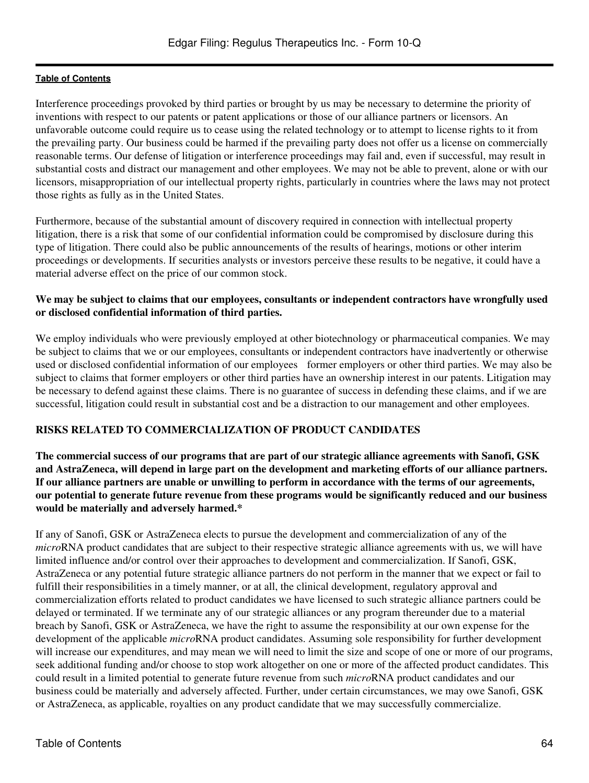Interference proceedings provoked by third parties or brought by us may be necessary to determine the priority of inventions with respect to our patents or patent applications or those of our alliance partners or licensors. An unfavorable outcome could require us to cease using the related technology or to attempt to license rights to it from the prevailing party. Our business could be harmed if the prevailing party does not offer us a license on commercially reasonable terms. Our defense of litigation or interference proceedings may fail and, even if successful, may result in substantial costs and distract our management and other employees. We may not be able to prevent, alone or with our licensors, misappropriation of our intellectual property rights, particularly in countries where the laws may not protect those rights as fully as in the United States.

Furthermore, because of the substantial amount of discovery required in connection with intellectual property litigation, there is a risk that some of our confidential information could be compromised by disclosure during this type of litigation. There could also be public announcements of the results of hearings, motions or other interim proceedings or developments. If securities analysts or investors perceive these results to be negative, it could have a material adverse effect on the price of our common stock.

## **We may be subject to claims that our employees, consultants or independent contractors have wrongfully used or disclosed confidential information of third parties.**

We employ individuals who were previously employed at other biotechnology or pharmaceutical companies. We may be subject to claims that we or our employees, consultants or independent contractors have inadvertently or otherwise used or disclosed confidential information of our employees former employers or other third parties. We may also be subject to claims that former employers or other third parties have an ownership interest in our patents. Litigation may be necessary to defend against these claims. There is no guarantee of success in defending these claims, and if we are successful, litigation could result in substantial cost and be a distraction to our management and other employees.

## **RISKS RELATED TO COMMERCIALIZATION OF PRODUCT CANDIDATES**

**The commercial success of our programs that are part of our strategic alliance agreements with Sanofi, GSK and AstraZeneca, will depend in large part on the development and marketing efforts of our alliance partners. If our alliance partners are unable or unwilling to perform in accordance with the terms of our agreements, our potential to generate future revenue from these programs would be significantly reduced and our business would be materially and adversely harmed.\***

If any of Sanofi, GSK or AstraZeneca elects to pursue the development and commercialization of any of the *micro*RNA product candidates that are subject to their respective strategic alliance agreements with us, we will have limited influence and/or control over their approaches to development and commercialization. If Sanofi, GSK, AstraZeneca or any potential future strategic alliance partners do not perform in the manner that we expect or fail to fulfill their responsibilities in a timely manner, or at all, the clinical development, regulatory approval and commercialization efforts related to product candidates we have licensed to such strategic alliance partners could be delayed or terminated. If we terminate any of our strategic alliances or any program thereunder due to a material breach by Sanofi, GSK or AstraZeneca, we have the right to assume the responsibility at our own expense for the development of the applicable *micro*RNA product candidates. Assuming sole responsibility for further development will increase our expenditures, and may mean we will need to limit the size and scope of one or more of our programs, seek additional funding and/or choose to stop work altogether on one or more of the affected product candidates. This could result in a limited potential to generate future revenue from such *micro*RNA product candidates and our business could be materially and adversely affected. Further, under certain circumstances, we may owe Sanofi, GSK or AstraZeneca, as applicable, royalties on any product candidate that we may successfully commercialize.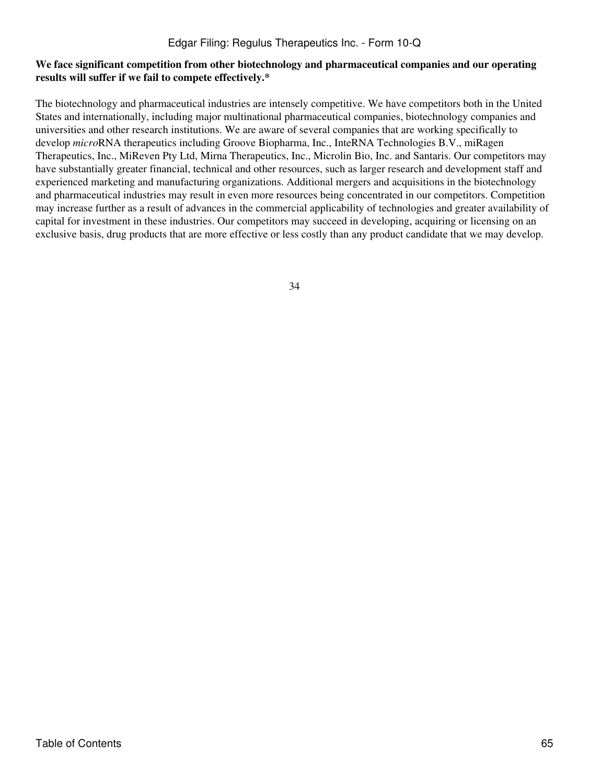## **We face significant competition from other biotechnology and pharmaceutical companies and our operating results will suffer if we fail to compete effectively.\***

The biotechnology and pharmaceutical industries are intensely competitive. We have competitors both in the United States and internationally, including major multinational pharmaceutical companies, biotechnology companies and universities and other research institutions. We are aware of several companies that are working specifically to develop *micro*RNA therapeutics including Groove Biopharma, Inc., InteRNA Technologies B.V., miRagen Therapeutics, Inc., MiReven Pty Ltd, Mirna Therapeutics, Inc., Microlin Bio, Inc. and Santaris. Our competitors may have substantially greater financial, technical and other resources, such as larger research and development staff and experienced marketing and manufacturing organizations. Additional mergers and acquisitions in the biotechnology and pharmaceutical industries may result in even more resources being concentrated in our competitors. Competition may increase further as a result of advances in the commercial applicability of technologies and greater availability of capital for investment in these industries. Our competitors may succeed in developing, acquiring or licensing on an exclusive basis, drug products that are more effective or less costly than any product candidate that we may develop.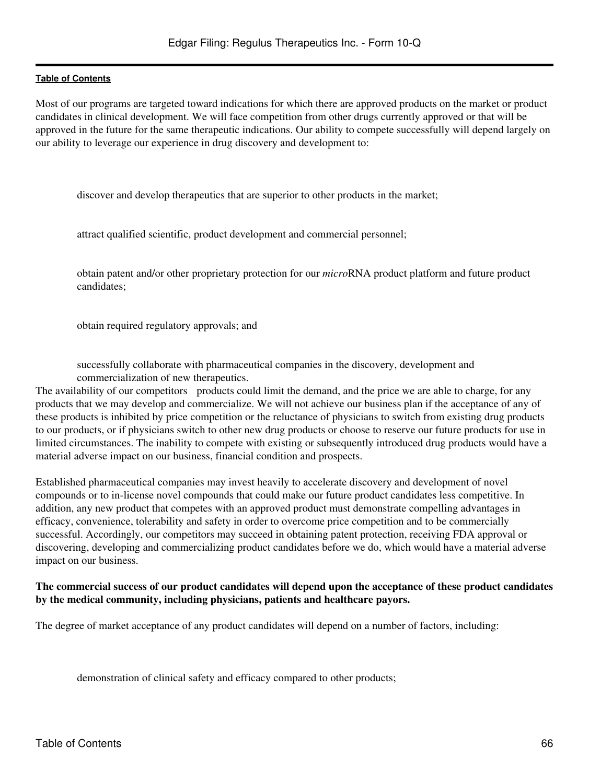Most of our programs are targeted toward indications for which there are approved products on the market or product candidates in clinical development. We will face competition from other drugs currently approved or that will be approved in the future for the same therapeutic indications. Our ability to compete successfully will depend largely on our ability to leverage our experience in drug discovery and development to:

discover and develop therapeutics that are superior to other products in the market;

attract qualified scientific, product development and commercial personnel;

obtain patent and/or other proprietary protection for our *micro*RNA product platform and future product candidates;

obtain required regulatory approvals; and

successfully collaborate with pharmaceutical companies in the discovery, development and commercialization of new therapeutics.

The availability of our competitors products could limit the demand, and the price we are able to charge, for any products that we may develop and commercialize. We will not achieve our business plan if the acceptance of any of these products is inhibited by price competition or the reluctance of physicians to switch from existing drug products to our products, or if physicians switch to other new drug products or choose to reserve our future products for use in limited circumstances. The inability to compete with existing or subsequently introduced drug products would have a material adverse impact on our business, financial condition and prospects.

Established pharmaceutical companies may invest heavily to accelerate discovery and development of novel compounds or to in-license novel compounds that could make our future product candidates less competitive. In addition, any new product that competes with an approved product must demonstrate compelling advantages in efficacy, convenience, tolerability and safety in order to overcome price competition and to be commercially successful. Accordingly, our competitors may succeed in obtaining patent protection, receiving FDA approval or discovering, developing and commercializing product candidates before we do, which would have a material adverse impact on our business.

#### **The commercial success of our product candidates will depend upon the acceptance of these product candidates by the medical community, including physicians, patients and healthcare payors.**

The degree of market acceptance of any product candidates will depend on a number of factors, including:

demonstration of clinical safety and efficacy compared to other products;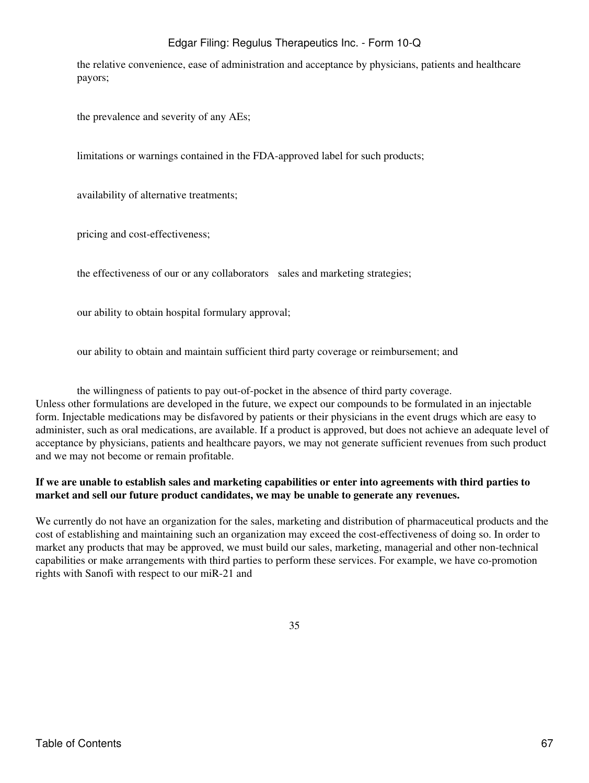the relative convenience, ease of administration and acceptance by physicians, patients and healthcare payors;

the prevalence and severity of any AEs;

limitations or warnings contained in the FDA-approved label for such products;

availability of alternative treatments;

pricing and cost-effectiveness;

the effectiveness of our or any collaborators sales and marketing strategies;

our ability to obtain hospital formulary approval;

our ability to obtain and maintain sufficient third party coverage or reimbursement; and

the willingness of patients to pay out-of-pocket in the absence of third party coverage. Unless other formulations are developed in the future, we expect our compounds to be formulated in an injectable form. Injectable medications may be disfavored by patients or their physicians in the event drugs which are easy to administer, such as oral medications, are available. If a product is approved, but does not achieve an adequate level of acceptance by physicians, patients and healthcare payors, we may not generate sufficient revenues from such product and we may not become or remain profitable.

## **If we are unable to establish sales and marketing capabilities or enter into agreements with third parties to market and sell our future product candidates, we may be unable to generate any revenues.**

We currently do not have an organization for the sales, marketing and distribution of pharmaceutical products and the cost of establishing and maintaining such an organization may exceed the cost-effectiveness of doing so. In order to market any products that may be approved, we must build our sales, marketing, managerial and other non-technical capabilities or make arrangements with third parties to perform these services. For example, we have co-promotion rights with Sanofi with respect to our miR-21 and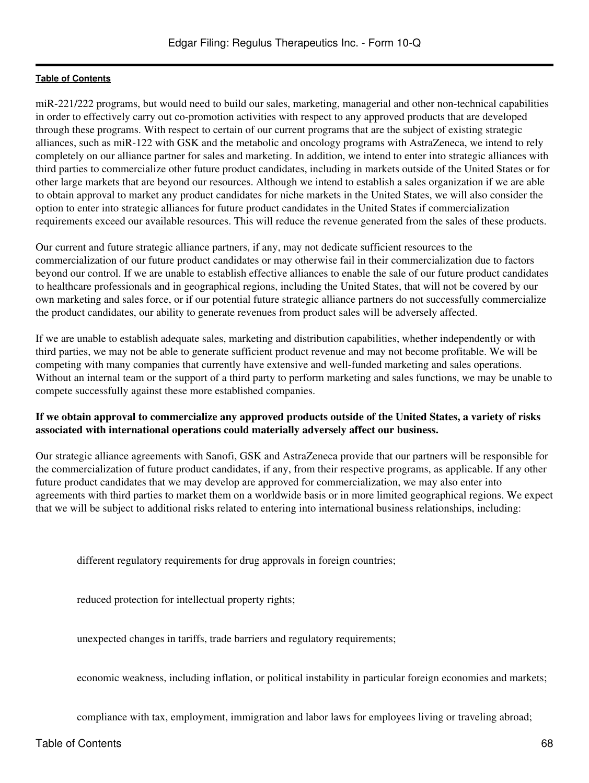miR-221/222 programs, but would need to build our sales, marketing, managerial and other non-technical capabilities in order to effectively carry out co-promotion activities with respect to any approved products that are developed through these programs. With respect to certain of our current programs that are the subject of existing strategic alliances, such as miR-122 with GSK and the metabolic and oncology programs with AstraZeneca, we intend to rely completely on our alliance partner for sales and marketing. In addition, we intend to enter into strategic alliances with third parties to commercialize other future product candidates, including in markets outside of the United States or for other large markets that are beyond our resources. Although we intend to establish a sales organization if we are able to obtain approval to market any product candidates for niche markets in the United States, we will also consider the option to enter into strategic alliances for future product candidates in the United States if commercialization requirements exceed our available resources. This will reduce the revenue generated from the sales of these products.

Our current and future strategic alliance partners, if any, may not dedicate sufficient resources to the commercialization of our future product candidates or may otherwise fail in their commercialization due to factors beyond our control. If we are unable to establish effective alliances to enable the sale of our future product candidates to healthcare professionals and in geographical regions, including the United States, that will not be covered by our own marketing and sales force, or if our potential future strategic alliance partners do not successfully commercialize the product candidates, our ability to generate revenues from product sales will be adversely affected.

If we are unable to establish adequate sales, marketing and distribution capabilities, whether independently or with third parties, we may not be able to generate sufficient product revenue and may not become profitable. We will be competing with many companies that currently have extensive and well-funded marketing and sales operations. Without an internal team or the support of a third party to perform marketing and sales functions, we may be unable to compete successfully against these more established companies.

## **If we obtain approval to commercialize any approved products outside of the United States, a variety of risks associated with international operations could materially adversely affect our business.**

Our strategic alliance agreements with Sanofi, GSK and AstraZeneca provide that our partners will be responsible for the commercialization of future product candidates, if any, from their respective programs, as applicable. If any other future product candidates that we may develop are approved for commercialization, we may also enter into agreements with third parties to market them on a worldwide basis or in more limited geographical regions. We expect that we will be subject to additional risks related to entering into international business relationships, including:

different regulatory requirements for drug approvals in foreign countries;

reduced protection for intellectual property rights;

unexpected changes in tariffs, trade barriers and regulatory requirements;

economic weakness, including inflation, or political instability in particular foreign economies and markets;

compliance with tax, employment, immigration and labor laws for employees living or traveling abroad;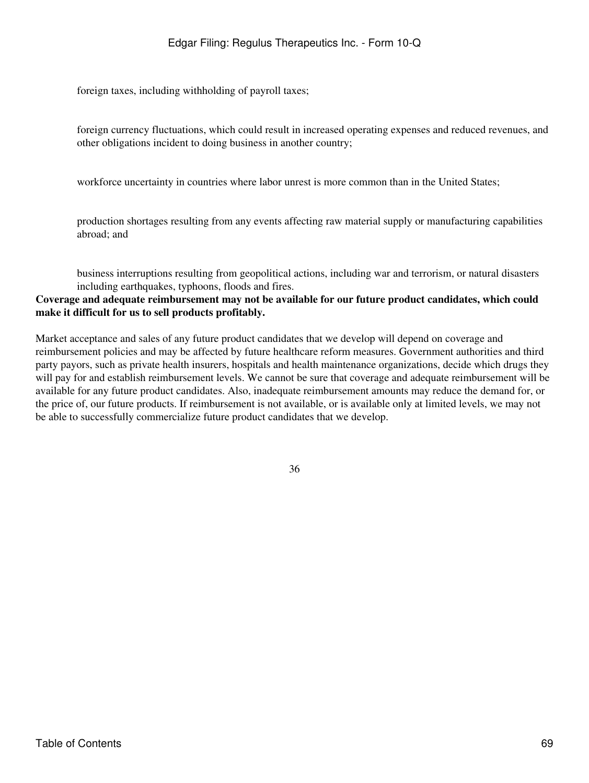foreign taxes, including withholding of payroll taxes;

foreign currency fluctuations, which could result in increased operating expenses and reduced revenues, and other obligations incident to doing business in another country;

workforce uncertainty in countries where labor unrest is more common than in the United States;

production shortages resulting from any events affecting raw material supply or manufacturing capabilities abroad; and

business interruptions resulting from geopolitical actions, including war and terrorism, or natural disasters including earthquakes, typhoons, floods and fires.

### **Coverage and adequate reimbursement may not be available for our future product candidates, which could make it difficult for us to sell products profitably.**

Market acceptance and sales of any future product candidates that we develop will depend on coverage and reimbursement policies and may be affected by future healthcare reform measures. Government authorities and third party payors, such as private health insurers, hospitals and health maintenance organizations, decide which drugs they will pay for and establish reimbursement levels. We cannot be sure that coverage and adequate reimbursement will be available for any future product candidates. Also, inadequate reimbursement amounts may reduce the demand for, or the price of, our future products. If reimbursement is not available, or is available only at limited levels, we may not be able to successfully commercialize future product candidates that we develop.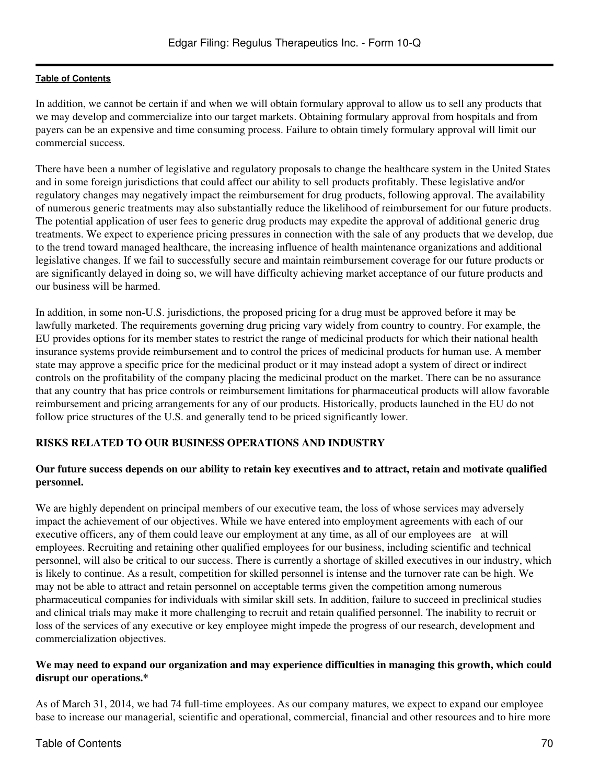In addition, we cannot be certain if and when we will obtain formulary approval to allow us to sell any products that we may develop and commercialize into our target markets. Obtaining formulary approval from hospitals and from payers can be an expensive and time consuming process. Failure to obtain timely formulary approval will limit our commercial success.

There have been a number of legislative and regulatory proposals to change the healthcare system in the United States and in some foreign jurisdictions that could affect our ability to sell products profitably. These legislative and/or regulatory changes may negatively impact the reimbursement for drug products, following approval. The availability of numerous generic treatments may also substantially reduce the likelihood of reimbursement for our future products. The potential application of user fees to generic drug products may expedite the approval of additional generic drug treatments. We expect to experience pricing pressures in connection with the sale of any products that we develop, due to the trend toward managed healthcare, the increasing influence of health maintenance organizations and additional legislative changes. If we fail to successfully secure and maintain reimbursement coverage for our future products or are significantly delayed in doing so, we will have difficulty achieving market acceptance of our future products and our business will be harmed.

In addition, in some non-U.S. jurisdictions, the proposed pricing for a drug must be approved before it may be lawfully marketed. The requirements governing drug pricing vary widely from country to country. For example, the EU provides options for its member states to restrict the range of medicinal products for which their national health insurance systems provide reimbursement and to control the prices of medicinal products for human use. A member state may approve a specific price for the medicinal product or it may instead adopt a system of direct or indirect controls on the profitability of the company placing the medicinal product on the market. There can be no assurance that any country that has price controls or reimbursement limitations for pharmaceutical products will allow favorable reimbursement and pricing arrangements for any of our products. Historically, products launched in the EU do not follow price structures of the U.S. and generally tend to be priced significantly lower.

## **RISKS RELATED TO OUR BUSINESS OPERATIONS AND INDUSTRY**

## **Our future success depends on our ability to retain key executives and to attract, retain and motivate qualified personnel.**

We are highly dependent on principal members of our executive team, the loss of whose services may adversely impact the achievement of our objectives. While we have entered into employment agreements with each of our executive officers, any of them could leave our employment at any time, as all of our employees are at will employees. Recruiting and retaining other qualified employees for our business, including scientific and technical personnel, will also be critical to our success. There is currently a shortage of skilled executives in our industry, which is likely to continue. As a result, competition for skilled personnel is intense and the turnover rate can be high. We may not be able to attract and retain personnel on acceptable terms given the competition among numerous pharmaceutical companies for individuals with similar skill sets. In addition, failure to succeed in preclinical studies and clinical trials may make it more challenging to recruit and retain qualified personnel. The inability to recruit or loss of the services of any executive or key employee might impede the progress of our research, development and commercialization objectives.

### **We may need to expand our organization and may experience difficulties in managing this growth, which could disrupt our operations.\***

As of March 31, 2014, we had 74 full-time employees. As our company matures, we expect to expand our employee base to increase our managerial, scientific and operational, commercial, financial and other resources and to hire more

## Table of Contents 70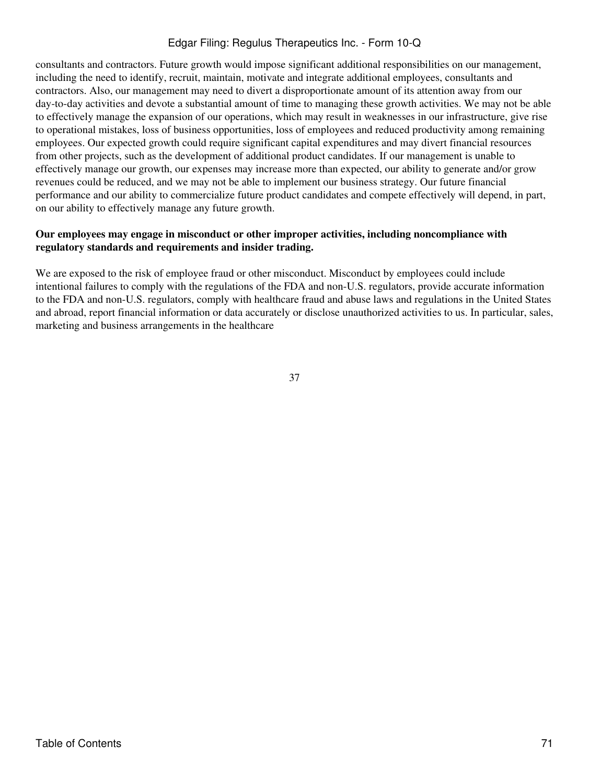consultants and contractors. Future growth would impose significant additional responsibilities on our management, including the need to identify, recruit, maintain, motivate and integrate additional employees, consultants and contractors. Also, our management may need to divert a disproportionate amount of its attention away from our day-to-day activities and devote a substantial amount of time to managing these growth activities. We may not be able to effectively manage the expansion of our operations, which may result in weaknesses in our infrastructure, give rise to operational mistakes, loss of business opportunities, loss of employees and reduced productivity among remaining employees. Our expected growth could require significant capital expenditures and may divert financial resources from other projects, such as the development of additional product candidates. If our management is unable to effectively manage our growth, our expenses may increase more than expected, our ability to generate and/or grow revenues could be reduced, and we may not be able to implement our business strategy. Our future financial performance and our ability to commercialize future product candidates and compete effectively will depend, in part, on our ability to effectively manage any future growth.

## **Our employees may engage in misconduct or other improper activities, including noncompliance with regulatory standards and requirements and insider trading.**

We are exposed to the risk of employee fraud or other misconduct. Misconduct by employees could include intentional failures to comply with the regulations of the FDA and non-U.S. regulators, provide accurate information to the FDA and non-U.S. regulators, comply with healthcare fraud and abuse laws and regulations in the United States and abroad, report financial information or data accurately or disclose unauthorized activities to us. In particular, sales, marketing and business arrangements in the healthcare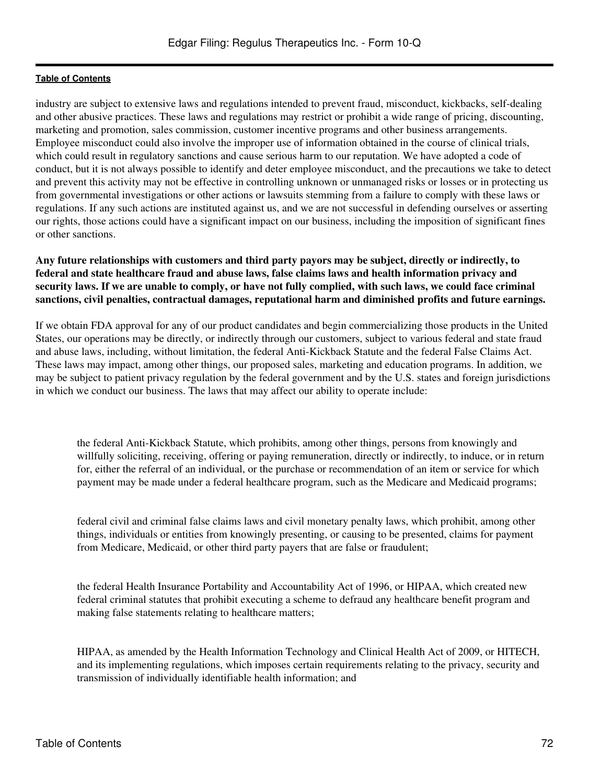industry are subject to extensive laws and regulations intended to prevent fraud, misconduct, kickbacks, self-dealing and other abusive practices. These laws and regulations may restrict or prohibit a wide range of pricing, discounting, marketing and promotion, sales commission, customer incentive programs and other business arrangements. Employee misconduct could also involve the improper use of information obtained in the course of clinical trials, which could result in regulatory sanctions and cause serious harm to our reputation. We have adopted a code of conduct, but it is not always possible to identify and deter employee misconduct, and the precautions we take to detect and prevent this activity may not be effective in controlling unknown or unmanaged risks or losses or in protecting us from governmental investigations or other actions or lawsuits stemming from a failure to comply with these laws or regulations. If any such actions are instituted against us, and we are not successful in defending ourselves or asserting our rights, those actions could have a significant impact on our business, including the imposition of significant fines or other sanctions.

## **Any future relationships with customers and third party payors may be subject, directly or indirectly, to federal and state healthcare fraud and abuse laws, false claims laws and health information privacy and security laws. If we are unable to comply, or have not fully complied, with such laws, we could face criminal sanctions, civil penalties, contractual damages, reputational harm and diminished profits and future earnings.**

If we obtain FDA approval for any of our product candidates and begin commercializing those products in the United States, our operations may be directly, or indirectly through our customers, subject to various federal and state fraud and abuse laws, including, without limitation, the federal Anti-Kickback Statute and the federal False Claims Act. These laws may impact, among other things, our proposed sales, marketing and education programs. In addition, we may be subject to patient privacy regulation by the federal government and by the U.S. states and foreign jurisdictions in which we conduct our business. The laws that may affect our ability to operate include:

the federal Anti-Kickback Statute, which prohibits, among other things, persons from knowingly and willfully soliciting, receiving, offering or paying remuneration, directly or indirectly, to induce, or in return for, either the referral of an individual, or the purchase or recommendation of an item or service for which payment may be made under a federal healthcare program, such as the Medicare and Medicaid programs;

federal civil and criminal false claims laws and civil monetary penalty laws, which prohibit, among other things, individuals or entities from knowingly presenting, or causing to be presented, claims for payment from Medicare, Medicaid, or other third party payers that are false or fraudulent;

the federal Health Insurance Portability and Accountability Act of 1996, or HIPAA, which created new federal criminal statutes that prohibit executing a scheme to defraud any healthcare benefit program and making false statements relating to healthcare matters;

HIPAA, as amended by the Health Information Technology and Clinical Health Act of 2009, or HITECH, and its implementing regulations, which imposes certain requirements relating to the privacy, security and transmission of individually identifiable health information; and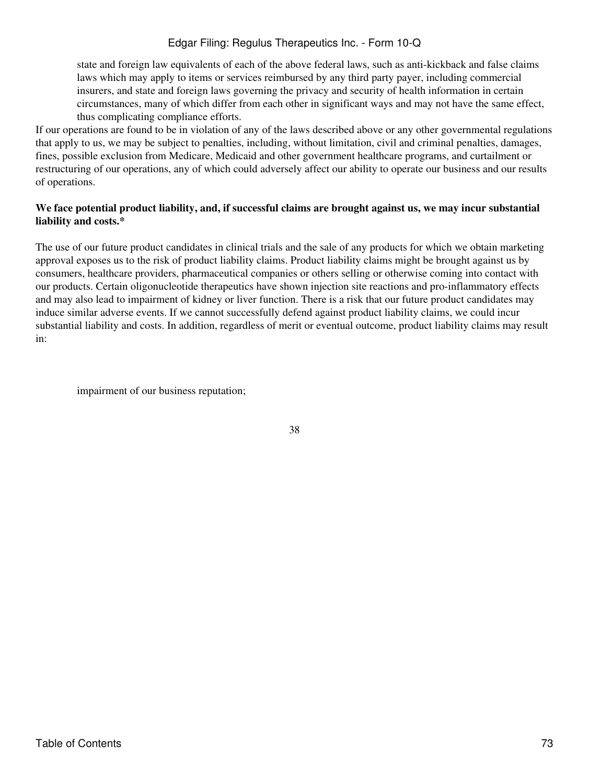state and foreign law equivalents of each of the above federal laws, such as anti-kickback and false claims laws which may apply to items or services reimbursed by any third party payer, including commercial insurers, and state and foreign laws governing the privacy and security of health information in certain circumstances, many of which differ from each other in significant ways and may not have the same effect, thus complicating compliance efforts.

If our operations are found to be in violation of any of the laws described above or any other governmental regulations that apply to us, we may be subject to penalties, including, without limitation, civil and criminal penalties, damages, fines, possible exclusion from Medicare, Medicaid and other government healthcare programs, and curtailment or restructuring of our operations, any of which could adversely affect our ability to operate our business and our results of operations.

### **We face potential product liability, and, if successful claims are brought against us, we may incur substantial liability and costs.\***

The use of our future product candidates in clinical trials and the sale of any products for which we obtain marketing approval exposes us to the risk of product liability claims. Product liability claims might be brought against us by consumers, healthcare providers, pharmaceutical companies or others selling or otherwise coming into contact with our products. Certain oligonucleotide therapeutics have shown injection site reactions and pro-inflammatory effects and may also lead to impairment of kidney or liver function. There is a risk that our future product candidates may induce similar adverse events. If we cannot successfully defend against product liability claims, we could incur substantial liability and costs. In addition, regardless of merit or eventual outcome, product liability claims may result in:

impairment of our business reputation;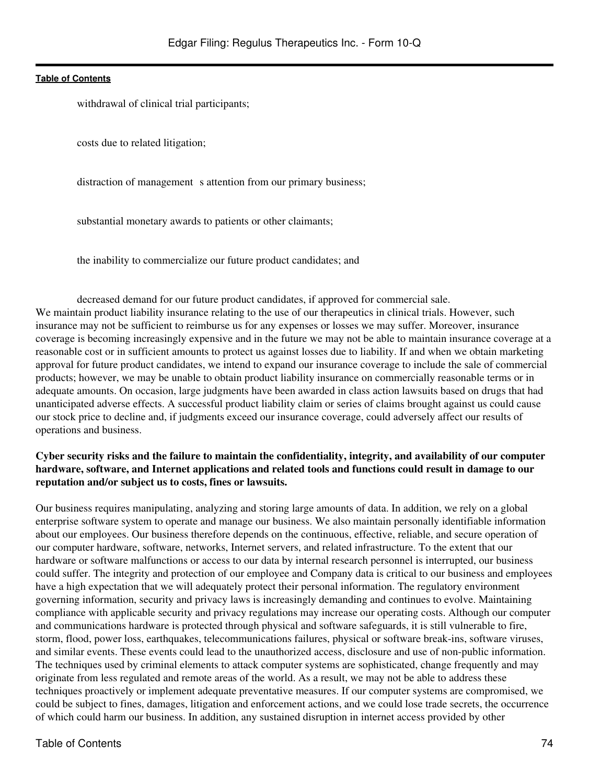withdrawal of clinical trial participants;

costs due to related litigation;

distraction of management s attention from our primary business;

substantial monetary awards to patients or other claimants;

the inability to commercialize our future product candidates; and

decreased demand for our future product candidates, if approved for commercial sale. We maintain product liability insurance relating to the use of our therapeutics in clinical trials. However, such insurance may not be sufficient to reimburse us for any expenses or losses we may suffer. Moreover, insurance coverage is becoming increasingly expensive and in the future we may not be able to maintain insurance coverage at a reasonable cost or in sufficient amounts to protect us against losses due to liability. If and when we obtain marketing approval for future product candidates, we intend to expand our insurance coverage to include the sale of commercial products; however, we may be unable to obtain product liability insurance on commercially reasonable terms or in adequate amounts. On occasion, large judgments have been awarded in class action lawsuits based on drugs that had unanticipated adverse effects. A successful product liability claim or series of claims brought against us could cause our stock price to decline and, if judgments exceed our insurance coverage, could adversely affect our results of operations and business.

## **Cyber security risks and the failure to maintain the confidentiality, integrity, and availability of our computer hardware, software, and Internet applications and related tools and functions could result in damage to our reputation and/or subject us to costs, fines or lawsuits.**

Our business requires manipulating, analyzing and storing large amounts of data. In addition, we rely on a global enterprise software system to operate and manage our business. We also maintain personally identifiable information about our employees. Our business therefore depends on the continuous, effective, reliable, and secure operation of our computer hardware, software, networks, Internet servers, and related infrastructure. To the extent that our hardware or software malfunctions or access to our data by internal research personnel is interrupted, our business could suffer. The integrity and protection of our employee and Company data is critical to our business and employees have a high expectation that we will adequately protect their personal information. The regulatory environment governing information, security and privacy laws is increasingly demanding and continues to evolve. Maintaining compliance with applicable security and privacy regulations may increase our operating costs. Although our computer and communications hardware is protected through physical and software safeguards, it is still vulnerable to fire, storm, flood, power loss, earthquakes, telecommunications failures, physical or software break-ins, software viruses, and similar events. These events could lead to the unauthorized access, disclosure and use of non-public information. The techniques used by criminal elements to attack computer systems are sophisticated, change frequently and may originate from less regulated and remote areas of the world. As a result, we may not be able to address these techniques proactively or implement adequate preventative measures. If our computer systems are compromised, we could be subject to fines, damages, litigation and enforcement actions, and we could lose trade secrets, the occurrence of which could harm our business. In addition, any sustained disruption in internet access provided by other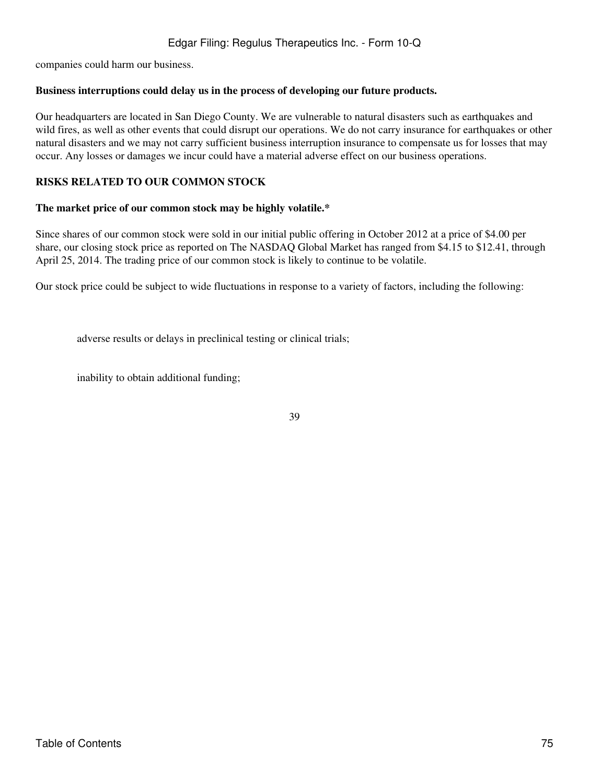companies could harm our business.

### **Business interruptions could delay us in the process of developing our future products.**

Our headquarters are located in San Diego County. We are vulnerable to natural disasters such as earthquakes and wild fires, as well as other events that could disrupt our operations. We do not carry insurance for earthquakes or other natural disasters and we may not carry sufficient business interruption insurance to compensate us for losses that may occur. Any losses or damages we incur could have a material adverse effect on our business operations.

## **RISKS RELATED TO OUR COMMON STOCK**

### **The market price of our common stock may be highly volatile.\***

Since shares of our common stock were sold in our initial public offering in October 2012 at a price of \$4.00 per share, our closing stock price as reported on The NASDAQ Global Market has ranged from \$4.15 to \$12.41, through April 25, 2014. The trading price of our common stock is likely to continue to be volatile.

Our stock price could be subject to wide fluctuations in response to a variety of factors, including the following:

adverse results or delays in preclinical testing or clinical trials;

inability to obtain additional funding;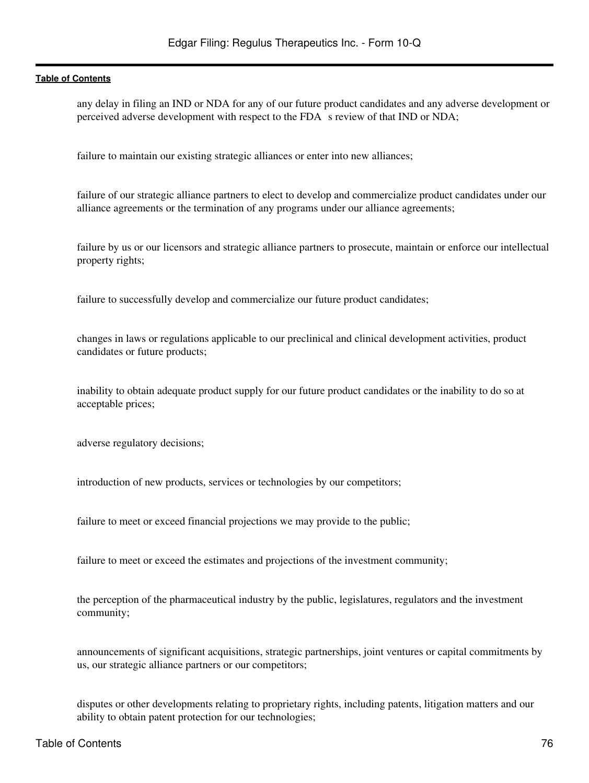any delay in filing an IND or NDA for any of our future product candidates and any adverse development or perceived adverse development with respect to the FDA s review of that IND or NDA;

failure to maintain our existing strategic alliances or enter into new alliances;

failure of our strategic alliance partners to elect to develop and commercialize product candidates under our alliance agreements or the termination of any programs under our alliance agreements;

failure by us or our licensors and strategic alliance partners to prosecute, maintain or enforce our intellectual property rights;

failure to successfully develop and commercialize our future product candidates;

changes in laws or regulations applicable to our preclinical and clinical development activities, product candidates or future products;

inability to obtain adequate product supply for our future product candidates or the inability to do so at acceptable prices;

adverse regulatory decisions;

introduction of new products, services or technologies by our competitors;

failure to meet or exceed financial projections we may provide to the public;

failure to meet or exceed the estimates and projections of the investment community;

the perception of the pharmaceutical industry by the public, legislatures, regulators and the investment community;

announcements of significant acquisitions, strategic partnerships, joint ventures or capital commitments by us, our strategic alliance partners or our competitors;

disputes or other developments relating to proprietary rights, including patents, litigation matters and our ability to obtain patent protection for our technologies;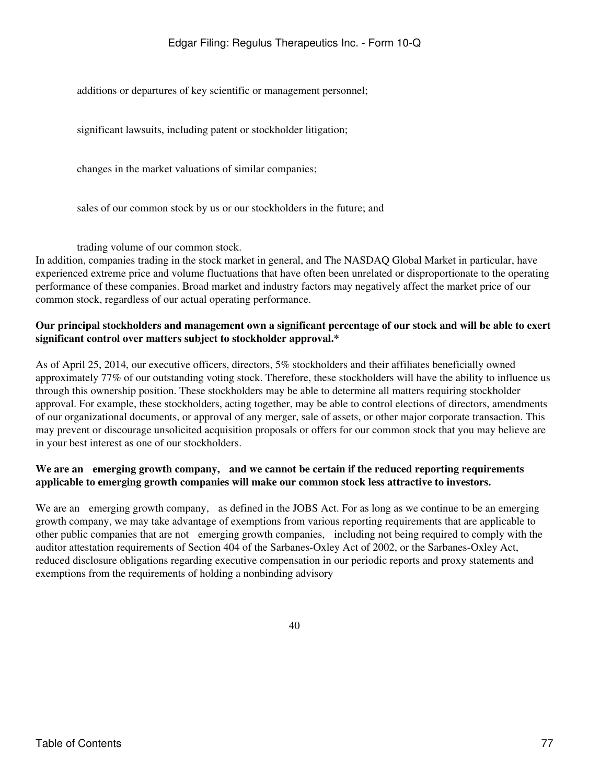additions or departures of key scientific or management personnel;

significant lawsuits, including patent or stockholder litigation;

changes in the market valuations of similar companies;

sales of our common stock by us or our stockholders in the future; and

trading volume of our common stock.

In addition, companies trading in the stock market in general, and The NASDAQ Global Market in particular, have experienced extreme price and volume fluctuations that have often been unrelated or disproportionate to the operating performance of these companies. Broad market and industry factors may negatively affect the market price of our common stock, regardless of our actual operating performance.

## **Our principal stockholders and management own a significant percentage of our stock and will be able to exert significant control over matters subject to stockholder approval.\***

As of April 25, 2014, our executive officers, directors, 5% stockholders and their affiliates beneficially owned approximately 77% of our outstanding voting stock. Therefore, these stockholders will have the ability to influence us through this ownership position. These stockholders may be able to determine all matters requiring stockholder approval. For example, these stockholders, acting together, may be able to control elections of directors, amendments of our organizational documents, or approval of any merger, sale of assets, or other major corporate transaction. This may prevent or discourage unsolicited acquisition proposals or offers for our common stock that you may believe are in your best interest as one of our stockholders.

## **We are an emerging growth company, and we cannot be certain if the reduced reporting requirements applicable to emerging growth companies will make our common stock less attractive to investors.**

We are an emerging growth company, as defined in the JOBS Act. For as long as we continue to be an emerging growth company, we may take advantage of exemptions from various reporting requirements that are applicable to other public companies that are not emerging growth companies, including not being required to comply with the auditor attestation requirements of Section 404 of the Sarbanes-Oxley Act of 2002, or the Sarbanes-Oxley Act, reduced disclosure obligations regarding executive compensation in our periodic reports and proxy statements and exemptions from the requirements of holding a nonbinding advisory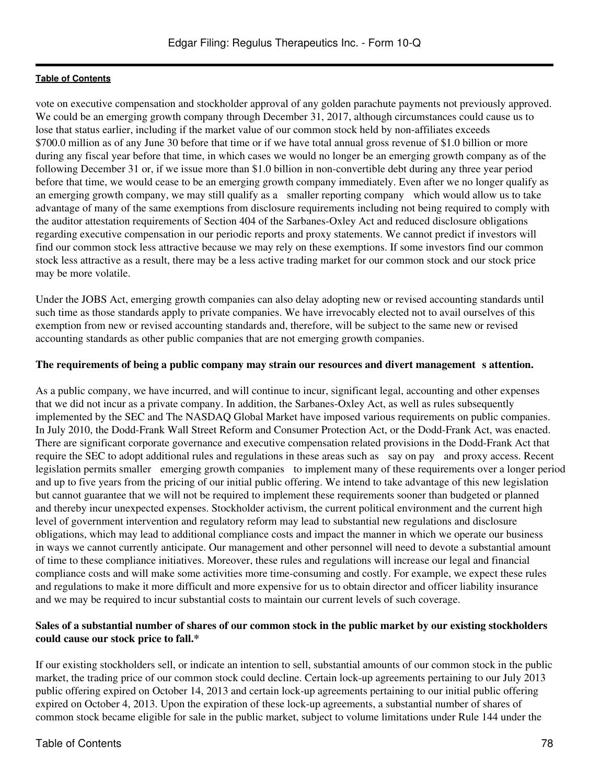vote on executive compensation and stockholder approval of any golden parachute payments not previously approved. We could be an emerging growth company through December 31, 2017, although circumstances could cause us to lose that status earlier, including if the market value of our common stock held by non-affiliates exceeds \$700.0 million as of any June 30 before that time or if we have total annual gross revenue of \$1.0 billion or more during any fiscal year before that time, in which cases we would no longer be an emerging growth company as of the following December 31 or, if we issue more than \$1.0 billion in non-convertible debt during any three year period before that time, we would cease to be an emerging growth company immediately. Even after we no longer qualify as an emerging growth company, we may still qualify as a smaller reporting company which would allow us to take advantage of many of the same exemptions from disclosure requirements including not being required to comply with the auditor attestation requirements of Section 404 of the Sarbanes-Oxley Act and reduced disclosure obligations regarding executive compensation in our periodic reports and proxy statements. We cannot predict if investors will find our common stock less attractive because we may rely on these exemptions. If some investors find our common stock less attractive as a result, there may be a less active trading market for our common stock and our stock price may be more volatile.

Under the JOBS Act, emerging growth companies can also delay adopting new or revised accounting standards until such time as those standards apply to private companies. We have irrevocably elected not to avail ourselves of this exemption from new or revised accounting standards and, therefore, will be subject to the same new or revised accounting standards as other public companies that are not emerging growth companies.

## The requirements of being a public company may strain our resources and divert management s attention.

As a public company, we have incurred, and will continue to incur, significant legal, accounting and other expenses that we did not incur as a private company. In addition, the Sarbanes-Oxley Act, as well as rules subsequently implemented by the SEC and The NASDAQ Global Market have imposed various requirements on public companies. In July 2010, the Dodd-Frank Wall Street Reform and Consumer Protection Act, or the Dodd-Frank Act, was enacted. There are significant corporate governance and executive compensation related provisions in the Dodd-Frank Act that require the SEC to adopt additional rules and regulations in these areas such as say on pay and proxy access. Recent legislation permits smaller emerging growth companies to implement many of these requirements over a longer period and up to five years from the pricing of our initial public offering. We intend to take advantage of this new legislation but cannot guarantee that we will not be required to implement these requirements sooner than budgeted or planned and thereby incur unexpected expenses. Stockholder activism, the current political environment and the current high level of government intervention and regulatory reform may lead to substantial new regulations and disclosure obligations, which may lead to additional compliance costs and impact the manner in which we operate our business in ways we cannot currently anticipate. Our management and other personnel will need to devote a substantial amount of time to these compliance initiatives. Moreover, these rules and regulations will increase our legal and financial compliance costs and will make some activities more time-consuming and costly. For example, we expect these rules and regulations to make it more difficult and more expensive for us to obtain director and officer liability insurance and we may be required to incur substantial costs to maintain our current levels of such coverage.

## **Sales of a substantial number of shares of our common stock in the public market by our existing stockholders could cause our stock price to fall.\***

If our existing stockholders sell, or indicate an intention to sell, substantial amounts of our common stock in the public market, the trading price of our common stock could decline. Certain lock-up agreements pertaining to our July 2013 public offering expired on October 14, 2013 and certain lock-up agreements pertaining to our initial public offering expired on October 4, 2013. Upon the expiration of these lock-up agreements, a substantial number of shares of common stock became eligible for sale in the public market, subject to volume limitations under Rule 144 under the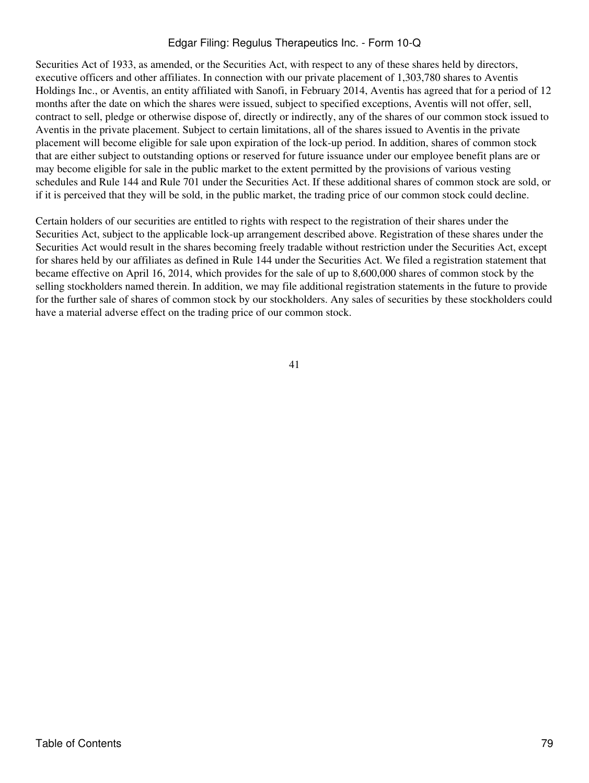Securities Act of 1933, as amended, or the Securities Act, with respect to any of these shares held by directors, executive officers and other affiliates. In connection with our private placement of 1,303,780 shares to Aventis Holdings Inc., or Aventis, an entity affiliated with Sanofi, in February 2014, Aventis has agreed that for a period of 12 months after the date on which the shares were issued, subject to specified exceptions, Aventis will not offer, sell, contract to sell, pledge or otherwise dispose of, directly or indirectly, any of the shares of our common stock issued to Aventis in the private placement. Subject to certain limitations, all of the shares issued to Aventis in the private placement will become eligible for sale upon expiration of the lock-up period. In addition, shares of common stock that are either subject to outstanding options or reserved for future issuance under our employee benefit plans are or may become eligible for sale in the public market to the extent permitted by the provisions of various vesting schedules and Rule 144 and Rule 701 under the Securities Act. If these additional shares of common stock are sold, or if it is perceived that they will be sold, in the public market, the trading price of our common stock could decline.

Certain holders of our securities are entitled to rights with respect to the registration of their shares under the Securities Act, subject to the applicable lock-up arrangement described above. Registration of these shares under the Securities Act would result in the shares becoming freely tradable without restriction under the Securities Act, except for shares held by our affiliates as defined in Rule 144 under the Securities Act. We filed a registration statement that became effective on April 16, 2014, which provides for the sale of up to 8,600,000 shares of common stock by the selling stockholders named therein. In addition, we may file additional registration statements in the future to provide for the further sale of shares of common stock by our stockholders. Any sales of securities by these stockholders could have a material adverse effect on the trading price of our common stock.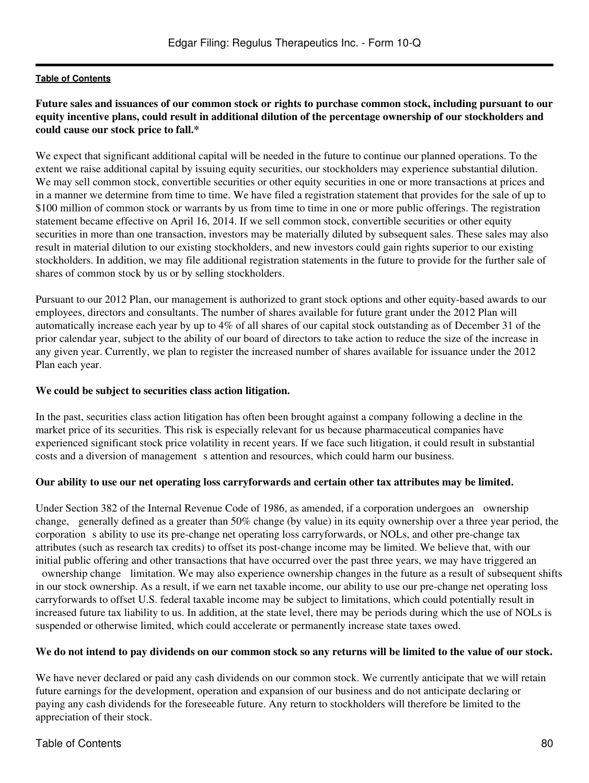## **Future sales and issuances of our common stock or rights to purchase common stock, including pursuant to our equity incentive plans, could result in additional dilution of the percentage ownership of our stockholders and could cause our stock price to fall.\***

We expect that significant additional capital will be needed in the future to continue our planned operations. To the extent we raise additional capital by issuing equity securities, our stockholders may experience substantial dilution. We may sell common stock, convertible securities or other equity securities in one or more transactions at prices and in a manner we determine from time to time. We have filed a registration statement that provides for the sale of up to \$100 million of common stock or warrants by us from time to time in one or more public offerings. The registration statement became effective on April 16, 2014. If we sell common stock, convertible securities or other equity securities in more than one transaction, investors may be materially diluted by subsequent sales. These sales may also result in material dilution to our existing stockholders, and new investors could gain rights superior to our existing stockholders. In addition, we may file additional registration statements in the future to provide for the further sale of shares of common stock by us or by selling stockholders.

Pursuant to our 2012 Plan, our management is authorized to grant stock options and other equity-based awards to our employees, directors and consultants. The number of shares available for future grant under the 2012 Plan will automatically increase each year by up to 4% of all shares of our capital stock outstanding as of December 31 of the prior calendar year, subject to the ability of our board of directors to take action to reduce the size of the increase in any given year. Currently, we plan to register the increased number of shares available for issuance under the 2012 Plan each year.

## **We could be subject to securities class action litigation.**

In the past, securities class action litigation has often been brought against a company following a decline in the market price of its securities. This risk is especially relevant for us because pharmaceutical companies have experienced significant stock price volatility in recent years. If we face such litigation, it could result in substantial costs and a diversion of management s attention and resources, which could harm our business.

### **Our ability to use our net operating loss carryforwards and certain other tax attributes may be limited.**

Under Section 382 of the Internal Revenue Code of 1986, as amended, if a corporation undergoes an ownership change, generally defined as a greater than 50% change (by value) in its equity ownership over a three year period, the corporation s ability to use its pre-change net operating loss carryforwards, or NOLs, and other pre-change tax attributes (such as research tax credits) to offset its post-change income may be limited. We believe that, with our initial public offering and other transactions that have occurred over the past three years, we may have triggered an

ownership change limitation. We may also experience ownership changes in the future as a result of subsequent shifts in our stock ownership. As a result, if we earn net taxable income, our ability to use our pre-change net operating loss carryforwards to offset U.S. federal taxable income may be subject to limitations, which could potentially result in increased future tax liability to us. In addition, at the state level, there may be periods during which the use of NOLs is suspended or otherwise limited, which could accelerate or permanently increase state taxes owed.

## **We do not intend to pay dividends on our common stock so any returns will be limited to the value of our stock.**

We have never declared or paid any cash dividends on our common stock. We currently anticipate that we will retain future earnings for the development, operation and expansion of our business and do not anticipate declaring or paying any cash dividends for the foreseeable future. Any return to stockholders will therefore be limited to the appreciation of their stock.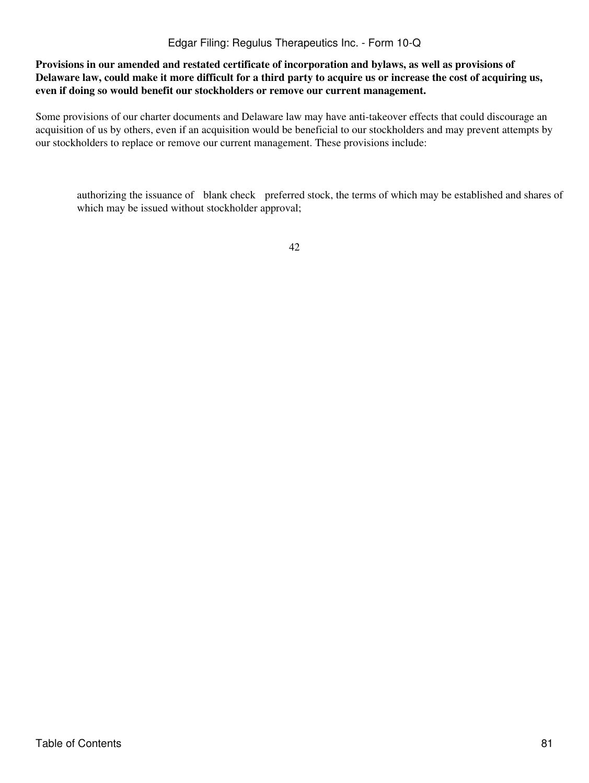**Provisions in our amended and restated certificate of incorporation and bylaws, as well as provisions of Delaware law, could make it more difficult for a third party to acquire us or increase the cost of acquiring us, even if doing so would benefit our stockholders or remove our current management.**

Some provisions of our charter documents and Delaware law may have anti-takeover effects that could discourage an acquisition of us by others, even if an acquisition would be beneficial to our stockholders and may prevent attempts by our stockholders to replace or remove our current management. These provisions include:

authorizing the issuance of blank check preferred stock, the terms of which may be established and shares of which may be issued without stockholder approval;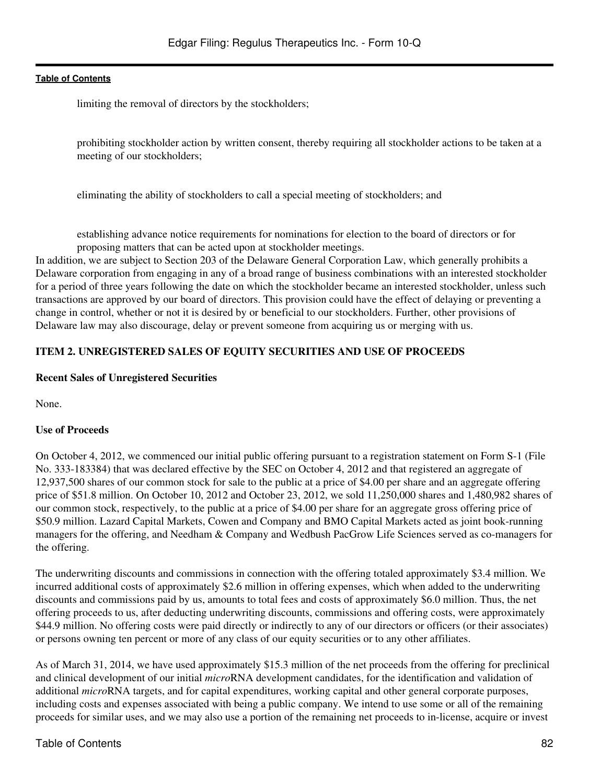limiting the removal of directors by the stockholders;

prohibiting stockholder action by written consent, thereby requiring all stockholder actions to be taken at a meeting of our stockholders;

eliminating the ability of stockholders to call a special meeting of stockholders; and

establishing advance notice requirements for nominations for election to the board of directors or for proposing matters that can be acted upon at stockholder meetings.

In addition, we are subject to Section 203 of the Delaware General Corporation Law, which generally prohibits a Delaware corporation from engaging in any of a broad range of business combinations with an interested stockholder for a period of three years following the date on which the stockholder became an interested stockholder, unless such transactions are approved by our board of directors. This provision could have the effect of delaying or preventing a change in control, whether or not it is desired by or beneficial to our stockholders. Further, other provisions of Delaware law may also discourage, delay or prevent someone from acquiring us or merging with us.

## **ITEM 2. UNREGISTERED SALES OF EQUITY SECURITIES AND USE OF PROCEEDS**

### **Recent Sales of Unregistered Securities**

None.

### **Use of Proceeds**

On October 4, 2012, we commenced our initial public offering pursuant to a registration statement on Form S-1 (File No. 333-183384) that was declared effective by the SEC on October 4, 2012 and that registered an aggregate of 12,937,500 shares of our common stock for sale to the public at a price of \$4.00 per share and an aggregate offering price of \$51.8 million. On October 10, 2012 and October 23, 2012, we sold 11,250,000 shares and 1,480,982 shares of our common stock, respectively, to the public at a price of \$4.00 per share for an aggregate gross offering price of \$50.9 million. Lazard Capital Markets, Cowen and Company and BMO Capital Markets acted as joint book-running managers for the offering, and Needham & Company and Wedbush PacGrow Life Sciences served as co-managers for the offering.

The underwriting discounts and commissions in connection with the offering totaled approximately \$3.4 million. We incurred additional costs of approximately \$2.6 million in offering expenses, which when added to the underwriting discounts and commissions paid by us, amounts to total fees and costs of approximately \$6.0 million. Thus, the net offering proceeds to us, after deducting underwriting discounts, commissions and offering costs, were approximately \$44.9 million. No offering costs were paid directly or indirectly to any of our directors or officers (or their associates) or persons owning ten percent or more of any class of our equity securities or to any other affiliates.

As of March 31, 2014, we have used approximately \$15.3 million of the net proceeds from the offering for preclinical and clinical development of our initial *micro*RNA development candidates, for the identification and validation of additional *micro*RNA targets, and for capital expenditures, working capital and other general corporate purposes, including costs and expenses associated with being a public company. We intend to use some or all of the remaining proceeds for similar uses, and we may also use a portion of the remaining net proceeds to in-license, acquire or invest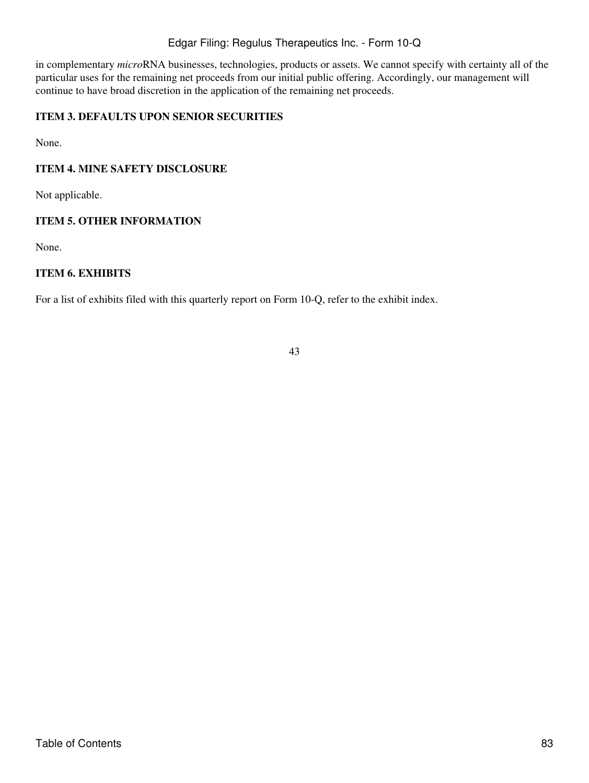in complementary *micro*RNA businesses, technologies, products or assets. We cannot specify with certainty all of the particular uses for the remaining net proceeds from our initial public offering. Accordingly, our management will continue to have broad discretion in the application of the remaining net proceeds.

## **ITEM 3. DEFAULTS UPON SENIOR SECURITIES**

None.

## **ITEM 4. MINE SAFETY DISCLOSURE**

Not applicable.

### **ITEM 5. OTHER INFORMATION**

None.

## **ITEM 6. EXHIBITS**

For a list of exhibits filed with this quarterly report on Form 10-Q, refer to the exhibit index.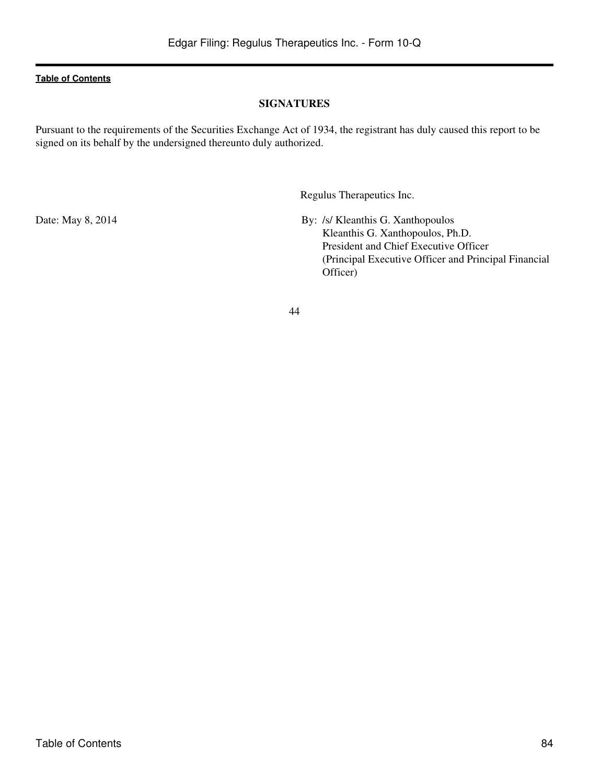## **SIGNATURES**

Pursuant to the requirements of the Securities Exchange Act of 1934, the registrant has duly caused this report to be signed on its behalf by the undersigned thereunto duly authorized.

Regulus Therapeutics Inc.

Date: May 8, 2014 By: /s/ Kleanthis G. Xanthopoulos Kleanthis G. Xanthopoulos, Ph.D. President and Chief Executive Officer (Principal Executive Officer and Principal Financial Officer)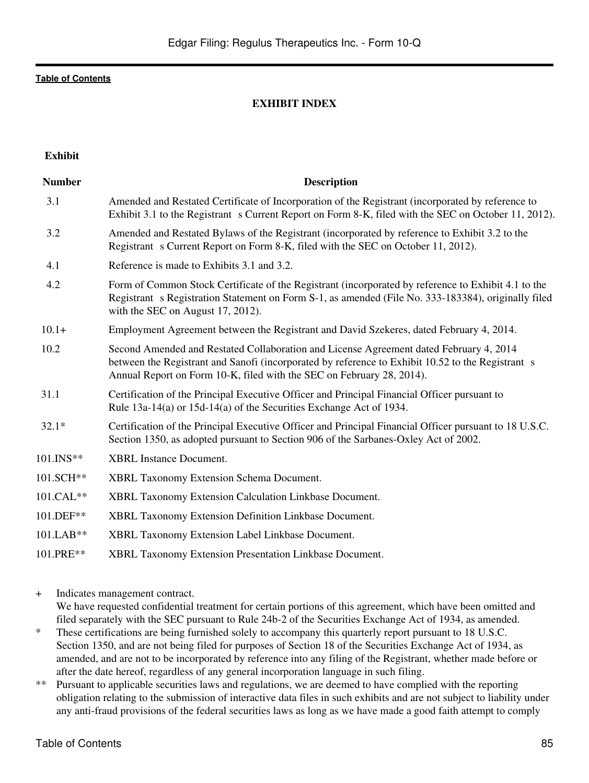## **EXHIBIT INDEX**

| <b>Exhibit</b> |                                                                                                                                                                                                                                                                      |
|----------------|----------------------------------------------------------------------------------------------------------------------------------------------------------------------------------------------------------------------------------------------------------------------|
| <b>Number</b>  | <b>Description</b>                                                                                                                                                                                                                                                   |
| 3.1            | Amended and Restated Certificate of Incorporation of the Registrant (incorporated by reference to<br>Exhibit 3.1 to the Registrant s Current Report on Form 8-K, filed with the SEC on October 11, 2012).                                                            |
| 3.2            | Amended and Restated Bylaws of the Registrant (incorporated by reference to Exhibit 3.2 to the<br>Registrant s Current Report on Form 8-K, filed with the SEC on October 11, 2012).                                                                                  |
| 4.1            | Reference is made to Exhibits 3.1 and 3.2.                                                                                                                                                                                                                           |
| 4.2            | Form of Common Stock Certificate of the Registrant (incorporated by reference to Exhibit 4.1 to the<br>Registrant s Registration Statement on Form S-1, as amended (File No. 333-183384), originally filed<br>with the SEC on August 17, 2012).                      |
| $10.1+$        | Employment Agreement between the Registrant and David Szekeres, dated February 4, 2014.                                                                                                                                                                              |
| 10.2           | Second Amended and Restated Collaboration and License Agreement dated February 4, 2014<br>between the Registrant and Sanofi (incorporated by reference to Exhibit 10.52 to the Registrant s<br>Annual Report on Form 10-K, filed with the SEC on February 28, 2014). |
| 31.1           | Certification of the Principal Executive Officer and Principal Financial Officer pursuant to<br>Rule 13a-14(a) or 15d-14(a) of the Securities Exchange Act of 1934.                                                                                                  |
| $32.1*$        | Certification of the Principal Executive Officer and Principal Financial Officer pursuant to 18 U.S.C.<br>Section 1350, as adopted pursuant to Section 906 of the Sarbanes-Oxley Act of 2002.                                                                        |
| 101.INS**      | <b>XBRL</b> Instance Document.                                                                                                                                                                                                                                       |
| 101.SCH**      | <b>XBRL Taxonomy Extension Schema Document.</b>                                                                                                                                                                                                                      |
| 101.CAL**      | XBRL Taxonomy Extension Calculation Linkbase Document.                                                                                                                                                                                                               |
| 101.DEF**      | XBRL Taxonomy Extension Definition Linkbase Document.                                                                                                                                                                                                                |
| 101.LAB**      | XBRL Taxonomy Extension Label Linkbase Document.                                                                                                                                                                                                                     |
| 101.PRE**      | XBRL Taxonomy Extension Presentation Linkbase Document.                                                                                                                                                                                                              |

+ Indicates management contract. We have requested confidential treatment for certain portions of this agreement, which have been omitted and filed separately with the SEC pursuant to Rule 24b-2 of the Securities Exchange Act of 1934, as amended.

- \* These certifications are being furnished solely to accompany this quarterly report pursuant to 18 U.S.C. Section 1350, and are not being filed for purposes of Section 18 of the Securities Exchange Act of 1934, as amended, and are not to be incorporated by reference into any filing of the Registrant, whether made before or after the date hereof, regardless of any general incorporation language in such filing.
- \*\* Pursuant to applicable securities laws and regulations, we are deemed to have complied with the reporting obligation relating to the submission of interactive data files in such exhibits and are not subject to liability under any anti-fraud provisions of the federal securities laws as long as we have made a good faith attempt to comply